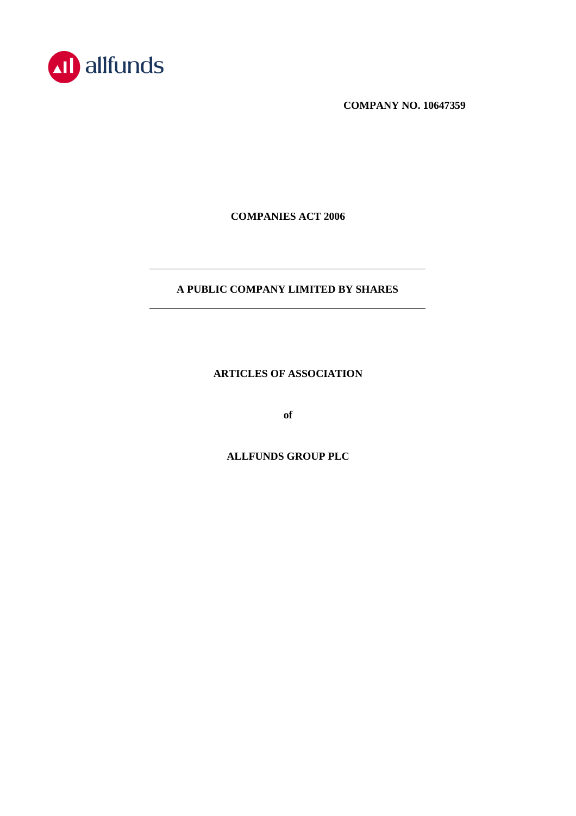

**COMPANY NO. 10647359**

**COMPANIES ACT 2006**

# **A PUBLIC COMPANY LIMITED BY SHARES**

**ARTICLES OF ASSOCIATION**

**of**

**ALLFUNDS GROUP PLC**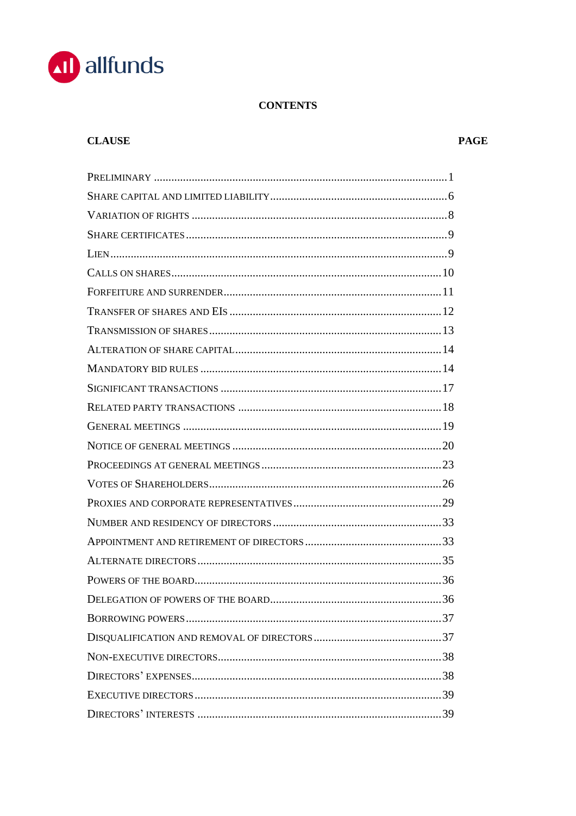

# **CONTENTS**

# **CLAUSE**

# **PAGE**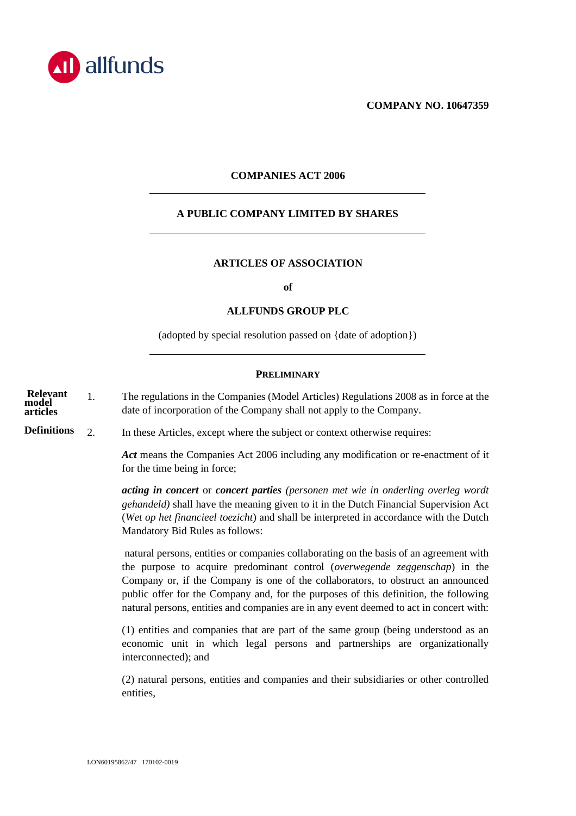

**COMPANY NO. 10647359**

# **COMPANIES ACT 2006**

# **A PUBLIC COMPANY LIMITED BY SHARES**

# **ARTICLES OF ASSOCIATION**

**of**

#### **ALLFUNDS GROUP PLC**

(adopted by special resolution passed on {date of adoption})

#### **PRELIMINARY**

<span id="page-3-0"></span>1. The regulations in the Companies (Model Articles) Regulations 2008 as in force at the date of incorporation of the Company shall not apply to the Company. **Relevant model articles**

**Definitions**

<span id="page-3-1"></span>2. In these Articles, except where the subject or context otherwise requires:

*Act* means the Companies Act 2006 including any modification or re-enactment of it for the time being in force;

*acting in concert* or *concert parties (personen met wie in onderling overleg wordt gehandeld)* shall have the meaning given to it in the Dutch Financial Supervision Act (*Wet op het financieel toezicht*) and shall be interpreted in accordance with the Dutch Mandatory Bid Rules as follows:

natural persons, entities or companies collaborating on the basis of an agreement with the purpose to acquire predominant control (*overwegende zeggenschap*) in the Company or, if the Company is one of the collaborators, to obstruct an announced public offer for the Company and, for the purposes of this definition, the following natural persons, entities and companies are in any event deemed to act in concert with:

(1) entities and companies that are part of the same group (being understood as an economic unit in which legal persons and partnerships are organizationally interconnected); and

(2) natural persons, entities and companies and their subsidiaries or other controlled entities,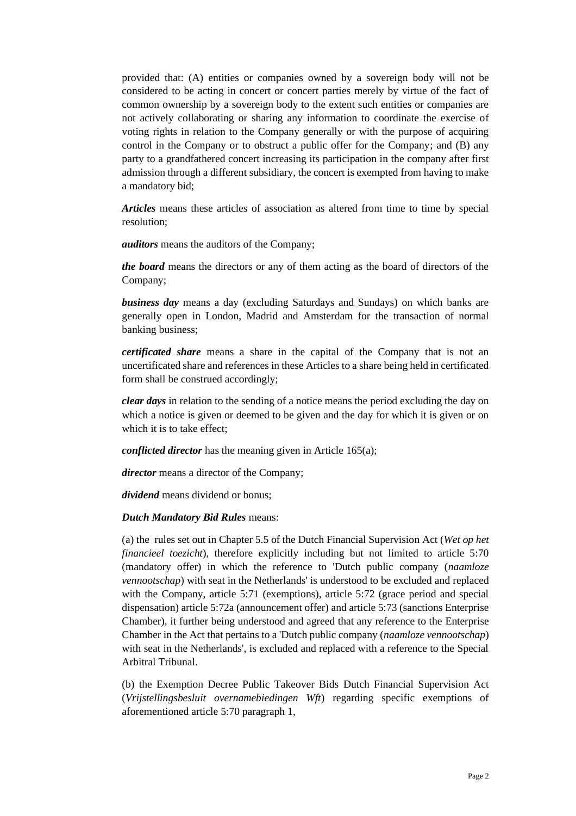provided that: (A) entities or companies owned by a sovereign body will not be considered to be acting in concert or concert parties merely by virtue of the fact of common ownership by a sovereign body to the extent such entities or companies are not actively collaborating or sharing any information to coordinate the exercise of voting rights in relation to the Company generally or with the purpose of acquiring control in the Company or to obstruct a public offer for the Company; and (B) any party to a grandfathered concert increasing its participation in the company after first admission through a different subsidiary, the concert is exempted from having to make a mandatory bid;

*Articles* means these articles of association as altered from time to time by special resolution;

*auditors* means the auditors of the Company;

*the board* means the directors or any of them acting as the board of directors of the Company;

*business day* means a day (excluding Saturdays and Sundays) on which banks are generally open in London, Madrid and Amsterdam for the transaction of normal banking business;

*certificated share* means a share in the capital of the Company that is not an uncertificated share and references in these Articles to a share being held in certificated form shall be construed accordingly;

*clear days* in relation to the sending of a notice means the period excluding the day on which a notice is given or deemed to be given and the day for which it is given or on which it is to take effect;

*conflicted director* has the meaning given in Article [165\(a\);](#page-41-2)

*director* means a director of the Company;

*dividend* means dividend or bonus;

### *Dutch Mandatory Bid Rules* means:

(a) the rules set out in Chapter 5.5 of the Dutch Financial Supervision Act (*Wet op het financieel toezicht*), therefore explicitly including but not limited to article 5:70 (mandatory offer) in which the reference to 'Dutch public company (*naamloze vennootschap*) with seat in the Netherlands' is understood to be excluded and replaced with the Company, article 5:71 (exemptions), article 5:72 (grace period and special dispensation) article 5:72a (announcement offer) and article 5:73 (sanctions Enterprise Chamber), it further being understood and agreed that any reference to the Enterprise Chamber in the Act that pertains to a 'Dutch public company (*naamloze vennootschap*) with seat in the Netherlands', is excluded and replaced with a reference to the Special Arbitral Tribunal.

(b) the Exemption Decree Public Takeover Bids Dutch Financial Supervision Act (*Vrijstellingsbesluit overnamebiedingen Wft*) regarding specific exemptions of aforementioned article 5:70 paragraph 1,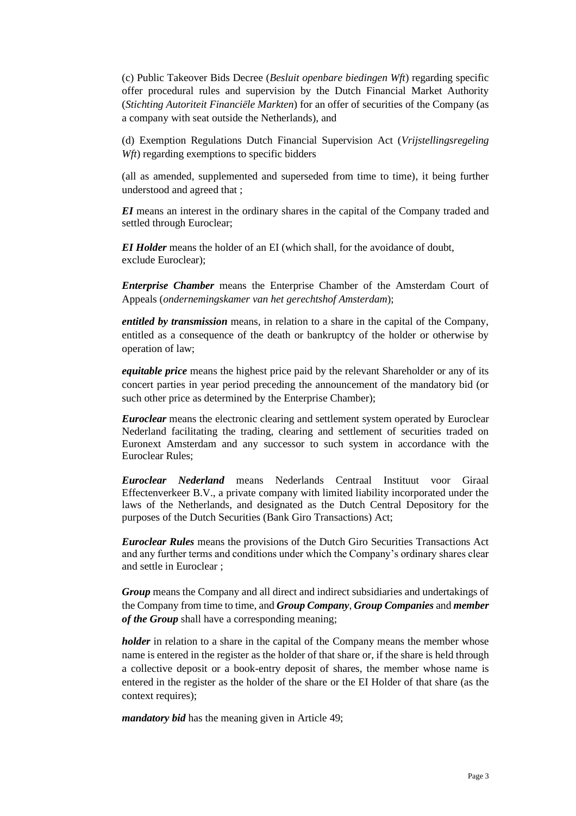(c) Public Takeover Bids Decree (*Besluit openbare biedingen Wft*) regarding specific offer procedural rules and supervision by the Dutch Financial Market Authority (*Stichting Autoriteit Financiële Markten*) for an offer of securities of the Company (as a company with seat outside the Netherlands), and

(d) Exemption Regulations Dutch Financial Supervision Act (*Vrijstellingsregeling Wft*) regarding exemptions to specific bidders

(all as amended, supplemented and superseded from time to time), it being further understood and agreed that ;

*EI* means an interest in the ordinary shares in the capital of the Company traded and settled through Euroclear;

*EI Holder* means the holder of an EI (which shall, for the avoidance of doubt, exclude Euroclear);

*Enterprise Chamber* means the Enterprise Chamber of the Amsterdam Court of Appeals (*ondernemingskamer van het gerechtshof Amsterdam*);

*entitled by transmission* means, in relation to a share in the capital of the Company, entitled as a consequence of the death or bankruptcy of the holder or otherwise by operation of law;

*equitable price* means the highest price paid by the relevant Shareholder or any of its concert parties in year period preceding the announcement of the mandatory bid (or such other price as determined by the Enterprise Chamber);

*Euroclear* means the electronic clearing and settlement system operated by Euroclear Nederland facilitating the trading, clearing and settlement of securities traded on Euronext Amsterdam and any successor to such system in accordance with the Euroclear Rules;

*Euroclear Nederland* means Nederlands Centraal Instituut voor Giraal Effectenverkeer B.V., a private company with limited liability incorporated under the laws of the Netherlands, and designated as the Dutch Central Depository for the purposes of the Dutch Securities (Bank Giro Transactions) Act;

*Euroclear Rules* means the provisions of the Dutch Giro Securities Transactions Act and any further terms and conditions under which the Company's ordinary shares clear and settle in Euroclear ;

*Group* means the Company and all direct and indirect subsidiaries and undertakings of the Company from time to time, and *Group Company*, *Group Companies* and *member of the Group* shall have a corresponding meaning;

*holder* in relation to a share in the capital of the Company means the member whose name is entered in the register as the holder of that share or, if the share is held through a collective deposit or a book-entry deposit of shares, the member whose name is entered in the register as the holder of the share or the EI Holder of that share (as the context requires);

*mandatory bid* has the meaning given in Article [49;](#page-17-0)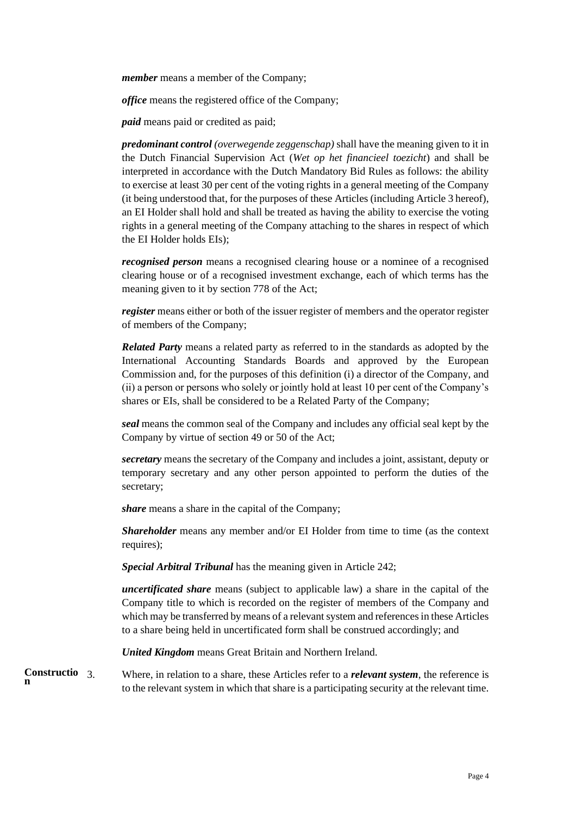*member* means a member of the Company;

*office* means the registered office of the Company;

*paid* means paid or credited as paid;

*predominant control (overwegende zeggenschap)* shall have the meaning given to it in the Dutch Financial Supervision Act (*Wet op het financieel toezicht*) and shall be interpreted in accordance with the Dutch Mandatory Bid Rules as follows: the ability to exercise at least 30 per cent of the voting rights in a general meeting of the Company (it being understood that, for the purposes of these Articles (including Article 3 hereof), an EI Holder shall hold and shall be treated as having the ability to exercise the voting rights in a general meeting of the Company attaching to the shares in respect of which the EI Holder holds EIs);

*recognised person* means a recognised clearing house or a nominee of a recognised clearing house or of a recognised investment exchange, each of which terms has the meaning given to it by section 778 of the Act;

*register* means either or both of the issuer register of members and the operator register of members of the Company;

*Related Party* means a related party as referred to in the standards as adopted by the International Accounting Standards Boards and approved by the European Commission and, for the purposes of this definition (i) a director of the Company, and (ii) a person or persons who solely or jointly hold at least 10 per cent of the Company's shares or EIs, shall be considered to be a Related Party of the Company;

*seal* means the common seal of the Company and includes any official seal kept by the Company by virtue of section 49 or 50 of the Act;

*secretary* means the secretary of the Company and includes a joint, assistant, deputy or temporary secretary and any other person appointed to perform the duties of the secretary;

*share* means a share in the capital of the Company;

*Shareholder* means any member and/or EI Holder from time to time (as the context requires);

*Special Arbitral Tribunal* has the meaning given in Articl[e 242;](#page-62-1)

*uncertificated share* means (subject to applicable law) a share in the capital of the Company title to which is recorded on the register of members of the Company and which may be transferred by means of a relevant system and references in these Articles to a share being held in uncertificated form shall be construed accordingly; and

*United Kingdom* means Great Britain and Northern Ireland.

3. Where, in relation to a share, these Articles refer to a *relevant system*, the reference is to the relevant system in which that share is a participating security at the relevant time. **Constructio n**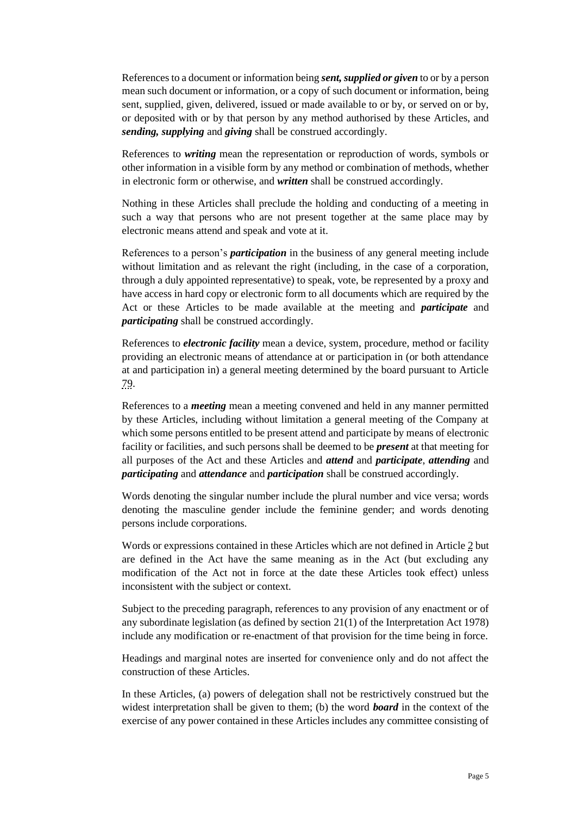References to a document or information being *sent,supplied or given* to or by a person mean such document or information, or a copy of such document or information, being sent, supplied, given, delivered, issued or made available to or by, or served on or by, or deposited with or by that person by any method authorised by these Articles, and *sending, supplying* and *giving* shall be construed accordingly.

References to *writing* mean the representation or reproduction of words, symbols or other information in a visible form by any method or combination of methods, whether in electronic form or otherwise, and *written* shall be construed accordingly.

Nothing in these Articles shall preclude the holding and conducting of a meeting in such a way that persons who are not present together at the same place may by electronic means attend and speak and vote at it.

References to a person's *participation* in the business of any general meeting include without limitation and as relevant the right (including, in the case of a corporation, through a duly appointed representative) to speak, vote, be represented by a proxy and have access in hard copy or electronic form to all documents which are required by the Act or these Articles to be made available at the meeting and *participate* and *participating* shall be construed accordingly.

References to *electronic facility* mean a device, system, procedure, method or facility providing an electronic means of attendance at or participation in (or both attendance at and participation in) a general meeting determined by the board pursuant to Article [79.](#page-23-0)

References to a *meeting* mean a meeting convened and held in any manner permitted by these Articles, including without limitation a general meeting of the Company at which some persons entitled to be present attend and participate by means of electronic facility or facilities, and such persons shall be deemed to be *present* at that meeting for all purposes of the Act and these Articles and *attend* and *participate*, *attending* and *participating* and *attendance* and *participation* shall be construed accordingly.

Words denoting the singular number include the plural number and vice versa; words denoting the masculine gender include the feminine gender; and words denoting persons include corporations.

Words or expressions contained in these Articles which are not defined in Article [2](#page-3-1) but are defined in the Act have the same meaning as in the Act (but excluding any modification of the Act not in force at the date these Articles took effect) unless inconsistent with the subject or context.

Subject to the preceding paragraph, references to any provision of any enactment or of any subordinate legislation (as defined by section 21(1) of the Interpretation Act 1978) include any modification or re-enactment of that provision for the time being in force.

Headings and marginal notes are inserted for convenience only and do not affect the construction of these Articles.

In these Articles, (a) powers of delegation shall not be restrictively construed but the widest interpretation shall be given to them; (b) the word *board* in the context of the exercise of any power contained in these Articles includes any committee consisting of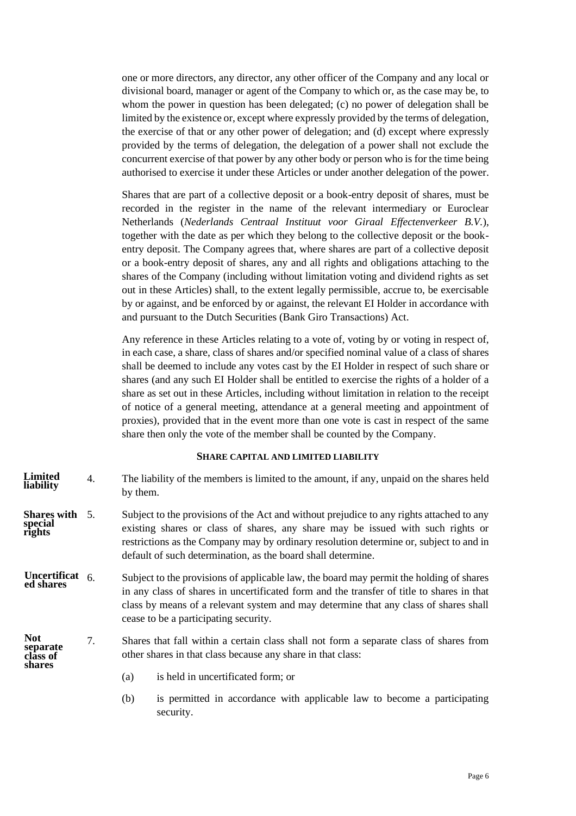one or more directors, any director, any other officer of the Company and any local or divisional board, manager or agent of the Company to which or, as the case may be, to whom the power in question has been delegated; (c) no power of delegation shall be limited by the existence or, except where expressly provided by the terms of delegation, the exercise of that or any other power of delegation; and (d) except where expressly provided by the terms of delegation, the delegation of a power shall not exclude the concurrent exercise of that power by any other body or person who is for the time being authorised to exercise it under these Articles or under another delegation of the power.

Shares that are part of a collective deposit or a book-entry deposit of shares, must be recorded in the register in the name of the relevant intermediary or Euroclear Netherlands (*Nederlands Centraal Instituut voor Giraal Effectenverkeer B.V.*), together with the date as per which they belong to the collective deposit or the bookentry deposit. The Company agrees that, where shares are part of a collective deposit or a book-entry deposit of shares, any and all rights and obligations attaching to the shares of the Company (including without limitation voting and dividend rights as set out in these Articles) shall, to the extent legally permissible, accrue to, be exercisable by or against, and be enforced by or against, the relevant EI Holder in accordance with and pursuant to the Dutch Securities (Bank Giro Transactions) Act.

Any reference in these Articles relating to a vote of, voting by or voting in respect of, in each case, a share, class of shares and/or specified nominal value of a class of shares shall be deemed to include any votes cast by the EI Holder in respect of such share or shares (and any such EI Holder shall be entitled to exercise the rights of a holder of a share as set out in these Articles, including without limitation in relation to the receipt of notice of a general meeting, attendance at a general meeting and appointment of proxies), provided that in the event more than one vote is cast in respect of the same share then only the vote of the member shall be counted by the Company.

### **SHARE CAPITAL AND LIMITED LIABILITY**

- <span id="page-8-0"></span>4. The liability of the members is limited to the amount, if any, unpaid on the shares held by them. **Limited liability**
- 5. Subject to the provisions of the Act and without prejudice to any rights attached to any existing shares or class of shares, any share may be issued with such rights or restrictions as the Company may by ordinary resolution determine or, subject to and in default of such determination, as the board shall determine. **Shares with special rights**
- Subject to the provisions of applicable law, the board may permit the holding of shares in any class of shares in uncertificated form and the transfer of title to shares in that class by means of a relevant system and may determine that any class of shares shall cease to be a participating security. **Uncertificat ed shares**
- 7. Shares that fall within a certain class shall not form a separate class of shares from other shares in that class because any share in that class: **Not separate class of shares**
	- (a) is held in uncertificated form; or
	- (b) is permitted in accordance with applicable law to become a participating security.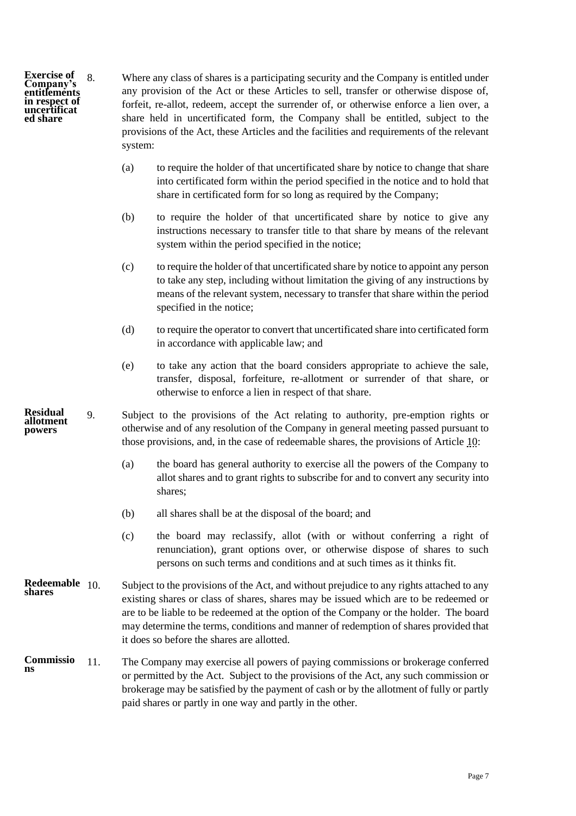**Exercise of Company's entitlements in respect of uncertificat ed share**

<span id="page-9-1"></span>8. Where any class of shares is a participating security and the Company is entitled under any provision of the Act or these Articles to sell, transfer or otherwise dispose of, forfeit, re-allot, redeem, accept the surrender of, or otherwise enforce a lien over, a share held in uncertificated form, the Company shall be entitled, subject to the provisions of the Act, these Articles and the facilities and requirements of the relevant system:

- (a) to require the holder of that uncertificated share by notice to change that share into certificated form within the period specified in the notice and to hold that share in certificated form for so long as required by the Company;
- (b) to require the holder of that uncertificated share by notice to give any instructions necessary to transfer title to that share by means of the relevant system within the period specified in the notice;
- (c) to require the holder of that uncertificated share by notice to appoint any person to take any step, including without limitation the giving of any instructions by means of the relevant system, necessary to transfer that share within the period specified in the notice;
- (d) to require the operator to convert that uncertificated share into certificated form in accordance with applicable law; and
- (e) to take any action that the board considers appropriate to achieve the sale, transfer, disposal, forfeiture, re-allotment or surrender of that share, or otherwise to enforce a lien in respect of that share.
- 9. Subject to the provisions of the Act relating to authority, pre-emption rights or otherwise and of any resolution of the Company in general meeting passed pursuant to those provisions, and, in the case of redeemable shares, the provisions of Article [10:](#page-9-0) **Residual allotment powers**
	- (a) the board has general authority to exercise all the powers of the Company to allot shares and to grant rights to subscribe for and to convert any security into shares;
	- (b) all shares shall be at the disposal of the board; and
	- (c) the board may reclassify, allot (with or without conferring a right of renunciation), grant options over, or otherwise dispose of shares to such persons on such terms and conditions and at such times as it thinks fit.
- <span id="page-9-0"></span>Subject to the provisions of the Act, and without prejudice to any rights attached to any existing shares or class of shares, shares may be issued which are to be redeemed or are to be liable to be redeemed at the option of the Company or the holder. The board may determine the terms, conditions and manner of redemption of shares provided that it does so before the shares are allotted. **Redeemable shares**
- 11. The Company may exercise all powers of paying commissions or brokerage conferred or permitted by the Act. Subject to the provisions of the Act, any such commission or brokerage may be satisfied by the payment of cash or by the allotment of fully or partly paid shares or partly in one way and partly in the other. **Commissio ns**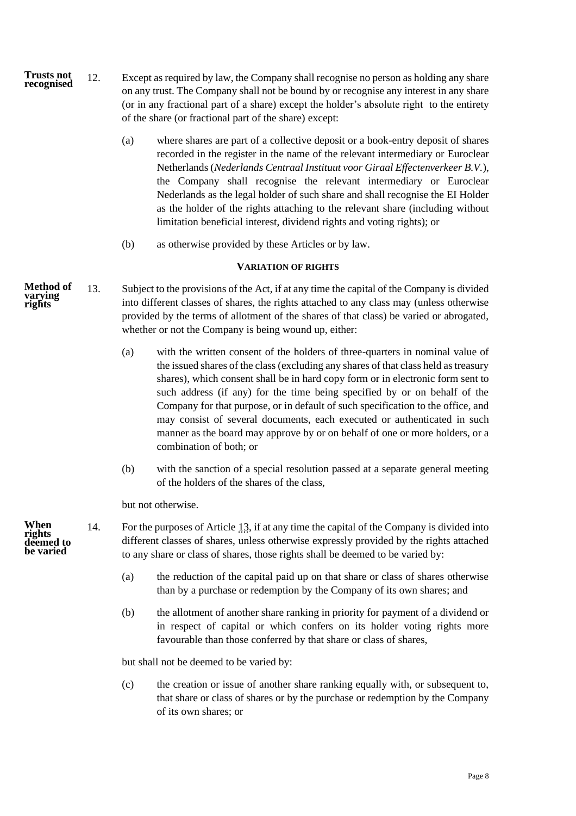- 12. Except as required by law, the Company shall recognise no person as holding any share on any trust. The Company shall not be bound by or recognise any interest in any share (or in any fractional part of a share) except the holder's absolute right to the entirety of the share (or fractional part of the share) except: **Trusts not recognised**
	- (a) where shares are part of a collective deposit or a book-entry deposit of shares recorded in the register in the name of the relevant intermediary or Euroclear Netherlands (*Nederlands Centraal Instituut voor Giraal Effectenverkeer B.V.*), the Company shall recognise the relevant intermediary or Euroclear Nederlands as the legal holder of such share and shall recognise the EI Holder as the holder of the rights attaching to the relevant share (including without limitation beneficial interest, dividend rights and voting rights); or
	- (b) as otherwise provided by these Articles or by law.

## **VARIATION OF RIGHTS**

- <span id="page-10-1"></span><span id="page-10-0"></span>13. Subject to the provisions of the Act, if at any time the capital of the Company is divided into different classes of shares, the rights attached to any class may (unless otherwise provided by the terms of allotment of the shares of that class) be varied or abrogated, whether or not the Company is being wound up, either: **Method of varying rights**
	- (a) with the written consent of the holders of three-quarters in nominal value of the issued shares of the class (excluding any shares of that class held as treasury shares), which consent shall be in hard copy form or in electronic form sent to such address (if any) for the time being specified by or on behalf of the Company for that purpose, or in default of such specification to the office, and may consist of several documents, each executed or authenticated in such manner as the board may approve by or on behalf of one or more holders, or a combination of both; or
	- (b) with the sanction of a special resolution passed at a separate general meeting of the holders of the shares of the class,

but not otherwise.

- 14. For the purposes of Article [13,](#page-10-1) if at any time the capital of the Company is divided into different classes of shares, unless otherwise expressly provided by the rights attached to any share or class of shares, those rights shall be deemed to be varied by:
	- (a) the reduction of the capital paid up on that share or class of shares otherwise than by a purchase or redemption by the Company of its own shares; and
	- (b) the allotment of another share ranking in priority for payment of a dividend or in respect of capital or which confers on its holder voting rights more favourable than those conferred by that share or class of shares,

but shall not be deemed to be varied by:

(c) the creation or issue of another share ranking equally with, or subsequent to, that share or class of shares or by the purchase or redemption by the Company of its own shares; or

**When rights deemed to be varied**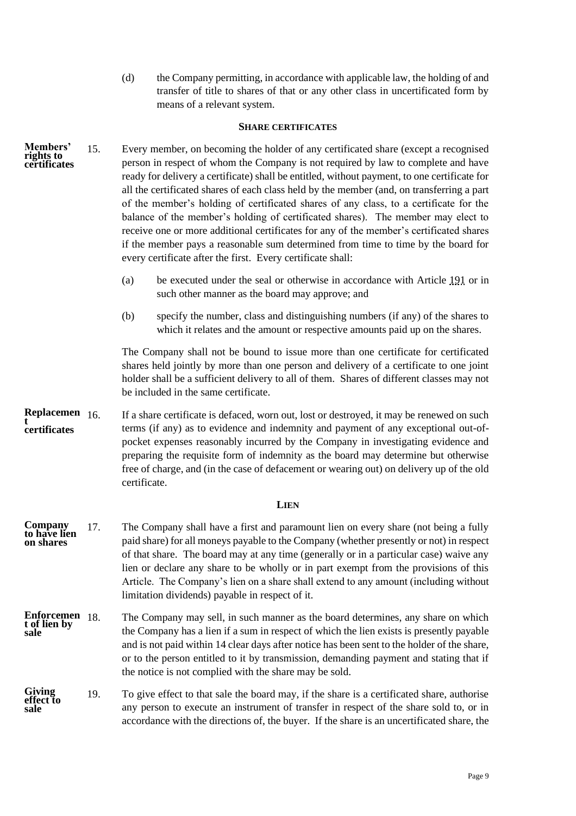<span id="page-11-0"></span>(d) the Company permitting, in accordance with applicable law, the holding of and transfer of title to shares of that or any other class in uncertificated form by means of a relevant system.

### **SHARE CERTIFICATES**

- 15. Every member, on becoming the holder of any certificated share (except a recognised person in respect of whom the Company is not required by law to complete and have ready for delivery a certificate) shall be entitled, without payment, to one certificate for all the certificated shares of each class held by the member (and, on transferring a part of the member's holding of certificated shares of any class, to a certificate for the balance of the member's holding of certificated shares). The member may elect to receive one or more additional certificates for any of the member's certificated shares if the member pays a reasonable sum determined from time to time by the board for every certificate after the first. Every certificate shall: **Members' rights to certificates**
	- (a) be executed under the seal or otherwise in accordance with Article [191](#page-48-4) or in such other manner as the board may approve; and
	- (b) specify the number, class and distinguishing numbers (if any) of the shares to which it relates and the amount or respective amounts paid up on the shares.

The Company shall not be bound to issue more than one certificate for certificated shares held jointly by more than one person and delivery of a certificate to one joint holder shall be a sufficient delivery to all of them. Shares of different classes may not be included in the same certificate.

16. If a share certificate is defaced, worn out, lost or destroyed, it may be renewed on such terms (if any) as to evidence and indemnity and payment of any exceptional out-ofpocket expenses reasonably incurred by the Company in investigating evidence and preparing the requisite form of indemnity as the board may determine but otherwise free of charge, and (in the case of defacement or wearing out) on delivery up of the old certificate. **Replacemen t certificates**

# **LIEN**

- <span id="page-11-1"></span>17. The Company shall have a first and paramount lien on every share (not being a fully paid share) for all moneys payable to the Company (whether presently or not) in respect of that share. The board may at any time (generally or in a particular case) waive any lien or declare any share to be wholly or in part exempt from the provisions of this Article. The Company's lien on a share shall extend to any amount (including without limitation dividends) payable in respect of it. **Company to have lien on shares**
- The Company may sell, in such manner as the board determines, any share on which the Company has a lien if a sum in respect of which the lien exists is presently payable and is not paid within 14 clear days after notice has been sent to the holder of the share, or to the person entitled to it by transmission, demanding payment and stating that if the notice is not complied with the share may be sold. **Enforcemen t of lien by sale**
- 19. To give effect to that sale the board may, if the share is a certificated share, authorise any person to execute an instrument of transfer in respect of the share sold to, or in accordance with the directions of, the buyer. If the share is an uncertificated share, the **Giving effect to sale**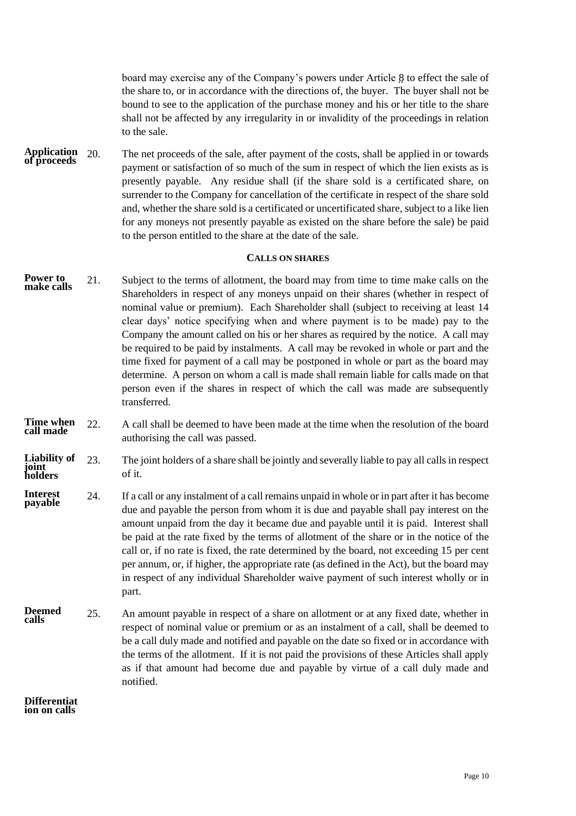board may exercise any of the Company's powers under Article [8](#page-9-1) to effect the sale of the share to, or in accordance with the directions of, the buyer. The buyer shall not be bound to see to the application of the purchase money and his or her title to the share shall not be affected by any irregularity in or invalidity of the proceedings in relation to the sale.

20. The net proceeds of the sale, after payment of the costs, shall be applied in or towards payment or satisfaction of so much of the sum in respect of which the lien exists as is presently payable. Any residue shall (if the share sold is a certificated share, on surrender to the Company for cancellation of the certificate in respect of the share sold and, whether the share sold is a certificated or uncertificated share, subject to a like lien for any moneys not presently payable as existed on the share before the sale) be paid to the person entitled to the share at the date of the sale. **Application of proceeds**

## **CALLS ON SHARES**

- <span id="page-12-0"></span>21. Subject to the terms of allotment, the board may from time to time make calls on the Shareholders in respect of any moneys unpaid on their shares (whether in respect of nominal value or premium). Each Shareholder shall (subject to receiving at least 14 clear days' notice specifying when and where payment is to be made) pay to the Company the amount called on his or her shares as required by the notice. A call may be required to be paid by instalments. A call may be revoked in whole or part and the time fixed for payment of a call may be postponed in whole or part as the board may determine. A person on whom a call is made shall remain liable for calls made on that person even if the shares in respect of which the call was made are subsequently transferred. **Power to make calls**
- 22. A call shall be deemed to have been made at the time when the resolution of the board authorising the call was passed. **Time when call made**
- 23. The joint holders of a share shall be jointly and severally liable to pay all calls in respect of it. **Liability of joint holders**
- 24. If a call or any instalment of a call remains unpaid in whole or in part after it has become due and payable the person from whom it is due and payable shall pay interest on the amount unpaid from the day it became due and payable until it is paid. Interest shall be paid at the rate fixed by the terms of allotment of the share or in the notice of the call or, if no rate is fixed, the rate determined by the board, not exceeding 15 per cent per annum, or, if higher, the appropriate rate (as defined in the Act), but the board may in respect of any individual Shareholder waive payment of such interest wholly or in part. **Interest payable**
- 25. An amount payable in respect of a share on allotment or at any fixed date, whether in respect of nominal value or premium or as an instalment of a call, shall be deemed to be a call duly made and notified and payable on the date so fixed or in accordance with the terms of the allotment. If it is not paid the provisions of these Articles shall apply as if that amount had become due and payable by virtue of a call duly made and notified. **Deemed calls**

**Differentiat ion on calls**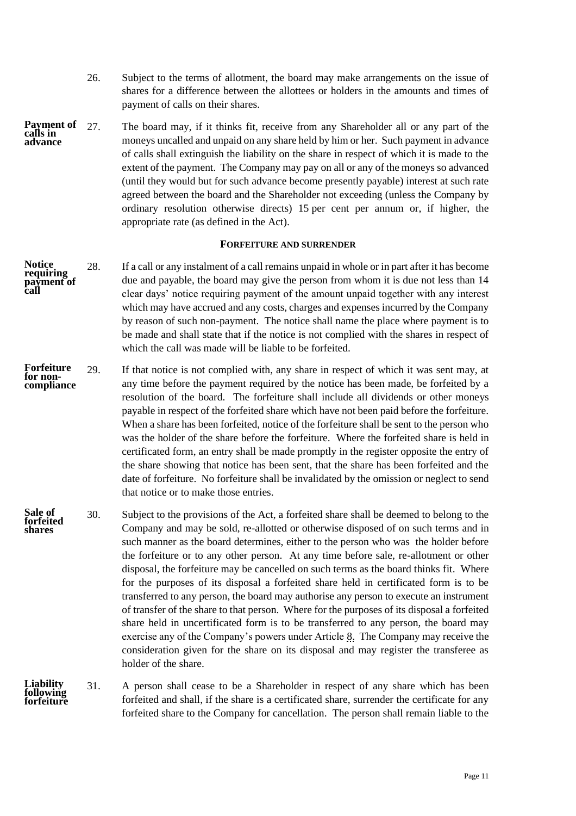- 26. Subject to the terms of allotment, the board may make arrangements on the issue of shares for a difference between the allottees or holders in the amounts and times of payment of calls on their shares.
- 27. The board may, if it thinks fit, receive from any Shareholder all or any part of the moneys uncalled and unpaid on any share held by him or her. Such payment in advance of calls shall extinguish the liability on the share in respect of which it is made to the extent of the payment. The Company may pay on all or any of the moneys so advanced (until they would but for such advance become presently payable) interest at such rate agreed between the board and the Shareholder not exceeding (unless the Company by ordinary resolution otherwise directs) 15 per cent per annum or, if higher, the appropriate rate (as defined in the Act). **Payment of calls in advance**

#### **FORFEITURE AND SURRENDER**

- <span id="page-13-0"></span>28. If a call or any instalment of a call remains unpaid in whole or in part after it has become due and payable, the board may give the person from whom it is due not less than 14 clear days' notice requiring payment of the amount unpaid together with any interest which may have accrued and any costs, charges and expenses incurred by the Company by reason of such non-payment. The notice shall name the place where payment is to be made and shall state that if the notice is not complied with the shares in respect of which the call was made will be liable to be forfeited. **Notice requiring payment of call**
- 29. If that notice is not complied with, any share in respect of which it was sent may, at any time before the payment required by the notice has been made, be forfeited by a resolution of the board. The forfeiture shall include all dividends or other moneys payable in respect of the forfeited share which have not been paid before the forfeiture. When a share has been forfeited, notice of the forfeiture shall be sent to the person who was the holder of the share before the forfeiture. Where the forfeited share is held in certificated form, an entry shall be made promptly in the register opposite the entry of the share showing that notice has been sent, that the share has been forfeited and the date of forfeiture. No forfeiture shall be invalidated by the omission or neglect to send that notice or to make those entries. **Forfeiture for noncompliance**
- 30. Subject to the provisions of the Act, a forfeited share shall be deemed to belong to the Company and may be sold, re-allotted or otherwise disposed of on such terms and in such manner as the board determines, either to the person who was the holder before the forfeiture or to any other person. At any time before sale, re-allotment or other disposal, the forfeiture may be cancelled on such terms as the board thinks fit. Where for the purposes of its disposal a forfeited share held in certificated form is to be transferred to any person, the board may authorise any person to execute an instrument of transfer of the share to that person. Where for the purposes of its disposal a forfeited share held in uncertificated form is to be transferred to any person, the board may exercise any of the Company's powers under Article [8.](#page-9-1) The Company may receive the consideration given for the share on its disposal and may register the transferee as holder of the share. **Sale of forfeited shares**
- 31. A person shall cease to be a Shareholder in respect of any share which has been forfeited and shall, if the share is a certificated share, surrender the certificate for any forfeited share to the Company for cancellation. The person shall remain liable to the **Liability following forfeiture**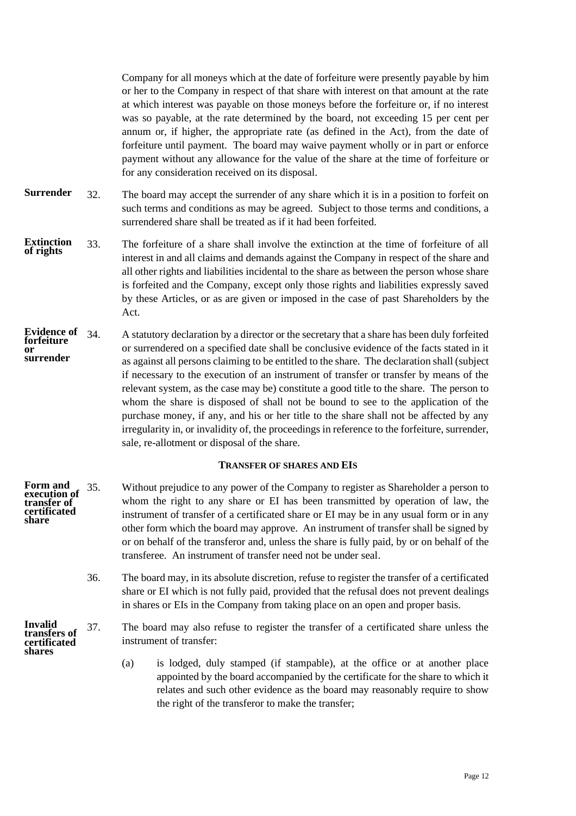Company for all moneys which at the date of forfeiture were presently payable by him or her to the Company in respect of that share with interest on that amount at the rate at which interest was payable on those moneys before the forfeiture or, if no interest was so payable, at the rate determined by the board, not exceeding 15 per cent per annum or, if higher, the appropriate rate (as defined in the Act), from the date of forfeiture until payment. The board may waive payment wholly or in part or enforce payment without any allowance for the value of the share at the time of forfeiture or for any consideration received on its disposal.

- 32. The board may accept the surrender of any share which it is in a position to forfeit on such terms and conditions as may be agreed. Subject to those terms and conditions, a surrendered share shall be treated as if it had been forfeited. **Surrender**
- 33. The forfeiture of a share shall involve the extinction at the time of forfeiture of all interest in and all claims and demands against the Company in respect of the share and all other rights and liabilities incidental to the share as between the person whose share is forfeited and the Company, except only those rights and liabilities expressly saved by these Articles, or as are given or imposed in the case of past Shareholders by the Act. **Extinction of rights**
- 34. A statutory declaration by a director or the secretary that a share has been duly forfeited or surrendered on a specified date shall be conclusive evidence of the facts stated in it as against all persons claiming to be entitled to the share. The declaration shall (subject if necessary to the execution of an instrument of transfer or transfer by means of the relevant system, as the case may be) constitute a good title to the share. The person to whom the share is disposed of shall not be bound to see to the application of the purchase money, if any, and his or her title to the share shall not be affected by any irregularity in, or invalidity of, the proceedings in reference to the forfeiture, surrender, sale, re-allotment or disposal of the share. **Evidence of forfeiture or surrender**

# **TRANSFER OF SHARES AND EIS**

- <span id="page-14-0"></span>35. Without prejudice to any power of the Company to register as Shareholder a person to whom the right to any share or EI has been transmitted by operation of law, the instrument of transfer of a certificated share or EI may be in any usual form or in any other form which the board may approve. An instrument of transfer shall be signed by or on behalf of the transferor and, unless the share is fully paid, by or on behalf of the transferee. An instrument of transfer need not be under seal. **Form and execution of transfer of certificated share**
	- 36. The board may, in its absolute discretion, refuse to register the transfer of a certificated share or EI which is not fully paid, provided that the refusal does not prevent dealings in shares or EIs in the Company from taking place on an open and proper basis.
- 37. The board may also refuse to register the transfer of a certificated share unless the instrument of transfer: **Invalid transfers of certificated shares**
	- (a) is lodged, duly stamped (if stampable), at the office or at another place appointed by the board accompanied by the certificate for the share to which it relates and such other evidence as the board may reasonably require to show the right of the transferor to make the transfer;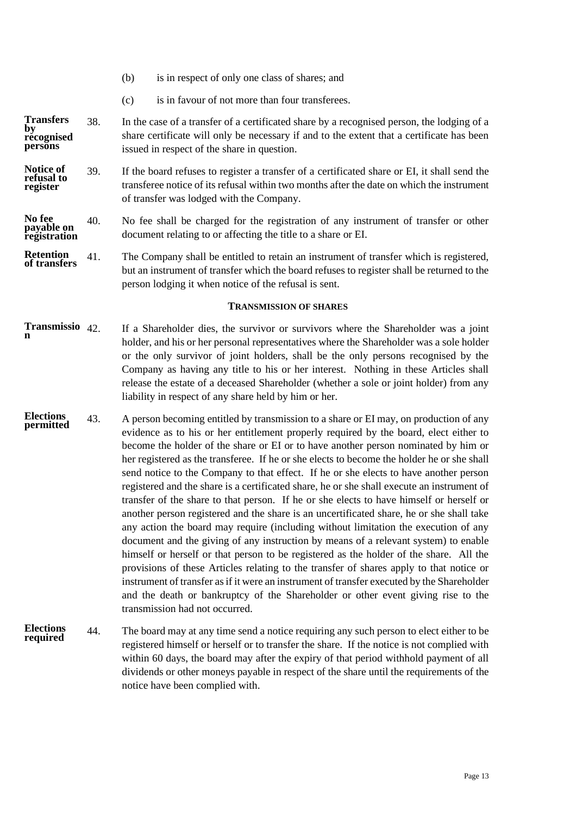- (b) is in respect of only one class of shares; and
- (c) is in favour of not more than four transferees.

38. In the case of a transfer of a certificated share by a recognised person, the lodging of a share certificate will only be necessary if and to the extent that a certificate has been issued in respect of the share in question. **Transfers by recognised persons**

39. If the board refuses to register a transfer of a certificated share or EI, it shall send the transferee notice of its refusal within two months after the date on which the instrument of transfer was lodged with the Company. **Notice of refusal to register**

#### 40. No fee shall be charged for the registration of any instrument of transfer or other document relating to or affecting the title to a share or EI. **No fee payable on registration**

41. The Company shall be entitled to retain an instrument of transfer which is registered, but an instrument of transfer which the board refuses to register shall be returned to the person lodging it when notice of the refusal is sent. **Retention of transfers**

## **TRANSMISSION OF SHARES**

- <span id="page-15-0"></span>42. If a Shareholder dies, the survivor or survivors where the Shareholder was a joint holder, and his or her personal representatives where the Shareholder was a sole holder or the only survivor of joint holders, shall be the only persons recognised by the Company as having any title to his or her interest. Nothing in these Articles shall release the estate of a deceased Shareholder (whether a sole or joint holder) from any liability in respect of any share held by him or her. **Transmissio n**
- <span id="page-15-1"></span>43. A person becoming entitled by transmission to a share or EI may, on production of any evidence as to his or her entitlement properly required by the board, elect either to become the holder of the share or EI or to have another person nominated by him or her registered as the transferee. If he or she elects to become the holder he or she shall send notice to the Company to that effect. If he or she elects to have another person registered and the share is a certificated share, he or she shall execute an instrument of transfer of the share to that person. If he or she elects to have himself or herself or another person registered and the share is an uncertificated share, he or she shall take any action the board may require (including without limitation the execution of any document and the giving of any instruction by means of a relevant system) to enable himself or herself or that person to be registered as the holder of the share. All the provisions of these Articles relating to the transfer of shares apply to that notice or instrument of transfer as if it were an instrument of transfer executed by the Shareholder and the death or bankruptcy of the Shareholder or other event giving rise to the transmission had not occurred. **Elections permitted**
- 44. The board may at any time send a notice requiring any such person to elect either to be registered himself or herself or to transfer the share. If the notice is not complied with within 60 days, the board may after the expiry of that period withhold payment of all dividends or other moneys payable in respect of the share until the requirements of the notice have been complied with. **Elections required**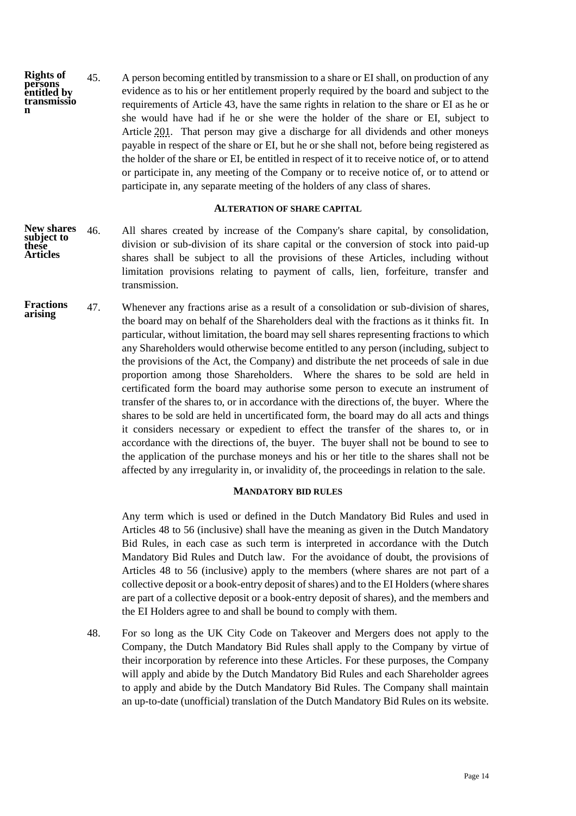45. A person becoming entitled by transmission to a share or EI shall, on production of any evidence as to his or her entitlement properly required by the board and subject to the requirements of Article [43,](#page-15-1) have the same rights in relation to the share or EI as he or she would have had if he or she were the holder of the share or EI, subject to Article [201.](#page-51-0) That person may give a discharge for all dividends and other moneys payable in respect of the share or EI, but he or she shall not, before being registered as the holder of the share or EI, be entitled in respect of it to receive notice of, or to attend or participate in, any meeting of the Company or to receive notice of, or to attend or participate in, any separate meeting of the holders of any class of shares. **Rights of persons entitled by transmissio n**

### **ALTERATION OF SHARE CAPITAL**

- <span id="page-16-0"></span>46. All shares created by increase of the Company's share capital, by consolidation, division or sub-division of its share capital or the conversion of stock into paid-up shares shall be subject to all the provisions of these Articles, including without limitation provisions relating to payment of calls, lien, forfeiture, transfer and transmission. **New shares subject to these Articles**
- 47. Whenever any fractions arise as a result of a consolidation or sub-division of shares, the board may on behalf of the Shareholders deal with the fractions as it thinks fit. In particular, without limitation, the board may sell shares representing fractions to which any Shareholders would otherwise become entitled to any person (including, subject to the provisions of the Act, the Company) and distribute the net proceeds of sale in due proportion among those Shareholders. Where the shares to be sold are held in certificated form the board may authorise some person to execute an instrument of transfer of the shares to, or in accordance with the directions of, the buyer. Where the shares to be sold are held in uncertificated form, the board may do all acts and things it considers necessary or expedient to effect the transfer of the shares to, or in accordance with the directions of, the buyer. The buyer shall not be bound to see to the application of the purchase moneys and his or her title to the shares shall not be affected by any irregularity in, or invalidity of, the proceedings in relation to the sale. **Fractions arising**

# **MANDATORY BID RULES**

<span id="page-16-1"></span>Any term which is used or defined in the Dutch Mandatory Bid Rules and used in Articles [48](#page-16-2) to [56](#page-18-0) (inclusive) shall have the meaning as given in the Dutch Mandatory Bid Rules, in each case as such term is interpreted in accordance with the Dutch Mandatory Bid Rules and Dutch law. For the avoidance of doubt, the provisions of Articles [48](#page-16-2) to [56](#page-18-0) (inclusive) apply to the members (where shares are not part of a collective deposit or a book-entry deposit of shares) and to the EI Holders (where shares are part of a collective deposit or a book-entry deposit of shares), and the members and the EI Holders agree to and shall be bound to comply with them.

<span id="page-16-2"></span>48. For so long as the UK City Code on Takeover and Mergers does not apply to the Company, the Dutch Mandatory Bid Rules shall apply to the Company by virtue of their incorporation by reference into these Articles. For these purposes, the Company will apply and abide by the Dutch Mandatory Bid Rules and each Shareholder agrees to apply and abide by the Dutch Mandatory Bid Rules. The Company shall maintain an up-to-date (unofficial) translation of the Dutch Mandatory Bid Rules on its website.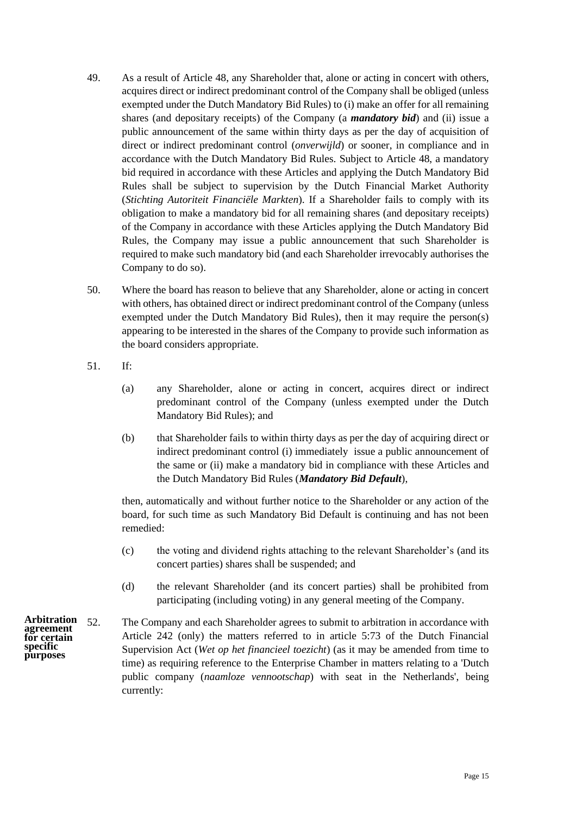- <span id="page-17-0"></span>49. As a result of Article [48,](#page-16-2) any Shareholder that, alone or acting in concert with others, acquires direct or indirect predominant control of the Company shall be obliged (unless exempted under the Dutch Mandatory Bid Rules) to (i) make an offer for all remaining shares (and depositary receipts) of the Company (a *mandatory bid*) and (ii) issue a public announcement of the same within thirty days as per the day of acquisition of direct or indirect predominant control (*onverwijld*) or sooner, in compliance and in accordance with the Dutch Mandatory Bid Rules. Subject to Article 48, a mandatory bid required in accordance with these Articles and applying the Dutch Mandatory Bid Rules shall be subject to supervision by the Dutch Financial Market Authority (*Stichting Autoriteit Financiële Markten*). If a Shareholder fails to comply with its obligation to make a mandatory bid for all remaining shares (and depositary receipts) of the Company in accordance with these Articles applying the Dutch Mandatory Bid Rules, the Company may issue a public announcement that such Shareholder is required to make such mandatory bid (and each Shareholder irrevocably authorises the Company to do so).
- 50. Where the board has reason to believe that any Shareholder, alone or acting in concert with others, has obtained direct or indirect predominant control of the Company (unless exempted under the Dutch Mandatory Bid Rules), then it may require the person(s) appearing to be interested in the shares of the Company to provide such information as the board considers appropriate.
- 51. If:
	- (a) any Shareholder, alone or acting in concert, acquires direct or indirect predominant control of the Company (unless exempted under the Dutch Mandatory Bid Rules); and
	- (b) that Shareholder fails to within thirty days as per the day of acquiring direct or indirect predominant control (i) immediately issue a public announcement of the same or (ii) make a mandatory bid in compliance with these Articles and the Dutch Mandatory Bid Rules (*Mandatory Bid Default*),

then, automatically and without further notice to the Shareholder or any action of the board, for such time as such Mandatory Bid Default is continuing and has not been remedied:

- (c) the voting and dividend rights attaching to the relevant Shareholder's (and its concert parties) shares shall be suspended; and
- <span id="page-17-1"></span>(d) the relevant Shareholder (and its concert parties) shall be prohibited from participating (including voting) in any general meeting of the Company.

52. The Company and each Shareholder agrees to submit to arbitration in accordance with Article [242](#page-62-1) (only) the matters referred to in article 5:73 of the Dutch Financial Supervision Act (*Wet op het financieel toezicht*) (as it may be amended from time to time) as requiring reference to the Enterprise Chamber in matters relating to a 'Dutch public company (*naamloze vennootschap*) with seat in the Netherlands', being currently: **Arbitration agreement for certain specific purposes**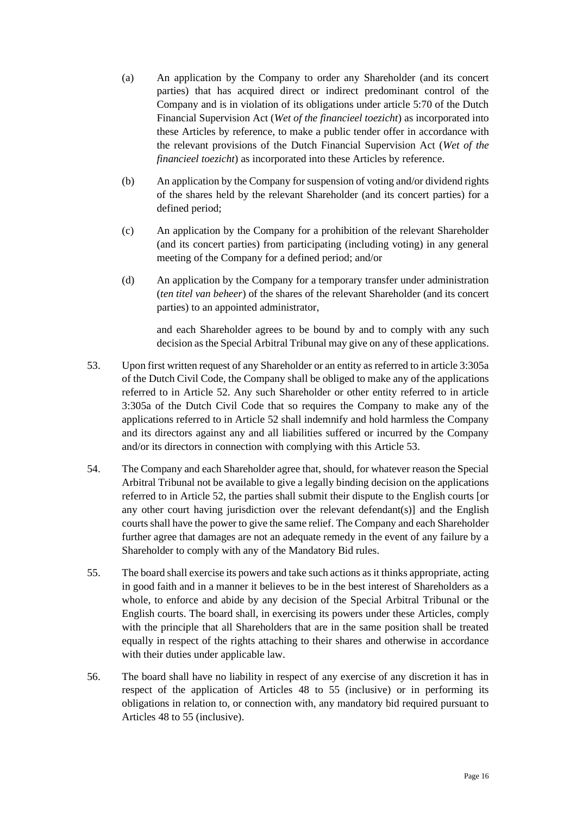- (a) An application by the Company to order any Shareholder (and its concert parties) that has acquired direct or indirect predominant control of the Company and is in violation of its obligations under article 5:70 of the Dutch Financial Supervision Act (*Wet of the financieel toezicht*) as incorporated into these Articles by reference, to make a public tender offer in accordance with the relevant provisions of the Dutch Financial Supervision Act (*Wet of the financieel toezicht*) as incorporated into these Articles by reference.
- (b) An application by the Company for suspension of voting and/or dividend rights of the shares held by the relevant Shareholder (and its concert parties) for a defined period;
- (c) An application by the Company for a prohibition of the relevant Shareholder (and its concert parties) from participating (including voting) in any general meeting of the Company for a defined period; and/or
- (d) An application by the Company for a temporary transfer under administration (*ten titel van beheer*) of the shares of the relevant Shareholder (and its concert parties) to an appointed administrator,

and each Shareholder agrees to be bound by and to comply with any such decision as the Special Arbitral Tribunal may give on any of these applications.

- <span id="page-18-1"></span>53. Upon first written request of any Shareholder or an entity as referred to in article 3:305a of the Dutch Civil Code, the Company shall be obliged to make any of the applications referred to in Article [52.](#page-17-1) Any such Shareholder or other entity referred to in article 3:305a of the Dutch Civil Code that so requires the Company to make any of the applications referred to in Article [52](#page-17-1) shall indemnify and hold harmless the Company and its directors against any and all liabilities suffered or incurred by the Company and/or its directors in connection with complying with this Article [53.](#page-18-1)
- 54. The Company and each Shareholder agree that, should, for whatever reason the Special Arbitral Tribunal not be available to give a legally binding decision on the applications referred to in Article [52,](#page-17-1) the parties shall submit their dispute to the English courts [or any other court having jurisdiction over the relevant defendant(s)] and the English courts shall have the power to give the same relief. The Company and each Shareholder further agree that damages are not an adequate remedy in the event of any failure by a Shareholder to comply with any of the Mandatory Bid rules.
- <span id="page-18-2"></span>55. The board shall exercise its powers and take such actions as it thinks appropriate, acting in good faith and in a manner it believes to be in the best interest of Shareholders as a whole, to enforce and abide by any decision of the Special Arbitral Tribunal or the English courts. The board shall, in exercising its powers under these Articles, comply with the principle that all Shareholders that are in the same position shall be treated equally in respect of the rights attaching to their shares and otherwise in accordance with their duties under applicable law.
- <span id="page-18-0"></span>56. The board shall have no liability in respect of any exercise of any discretion it has in respect of the application of Articles [48](#page-16-2) to [55](#page-18-2) (inclusive) or in performing its obligations in relation to, or connection with, any mandatory bid required pursuant to Articles [48](#page-16-2) t[o 55](#page-18-2) (inclusive).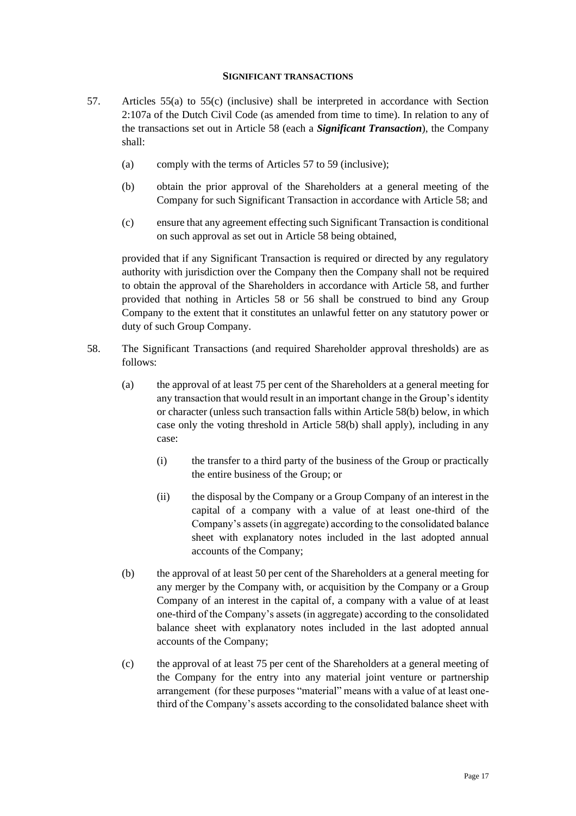### <span id="page-19-2"></span>**SIGNIFICANT TRANSACTIONS**

- <span id="page-19-0"></span>57. Articles 55(a) to 55(c) (inclusive) shall be interpreted in accordance with Section 2:107a of the Dutch Civil Code (as amended from time to time). In relation to any of the transactions set out in Article [58](#page-19-1) (each a *Significant Transaction*), the Company shall:
	- (a) comply with the terms of Articles [57](#page-19-2) to [59](#page-20-1) (inclusive);
	- (b) obtain the prior approval of the Shareholders at a general meeting of the Company for such Significant Transaction in accordance with Article [58;](#page-19-1) and
	- (c) ensure that any agreement effecting such Significant Transaction is conditional on such approval as set out in Article [58](#page-19-1) being obtained,

provided that if any Significant Transaction is required or directed by any regulatory authority with jurisdiction over the Company then the Company shall not be required to obtain the approval of the Shareholders in accordance with Article [58,](#page-19-1) and further provided that nothing in Articles [58](#page-19-1) or 56 shall be construed to bind any Group Company to the extent that it constitutes an unlawful fetter on any statutory power or duty of such Group Company.

- <span id="page-19-3"></span><span id="page-19-1"></span>58. The Significant Transactions (and required Shareholder approval thresholds) are as follows:
	- (a) the approval of at least 75 per cent of the Shareholders at a general meeting for any transaction that would result in an important change in the Group's identity or character (unless such transaction falls within Articl[e 58](#page-19-1)[\(b\)](#page-19-3) below, in which case only the voting threshold in Article [58](#page-19-1)[\(b\)](#page-19-3) shall apply), including in any case:
		- (i) the transfer to a third party of the business of the Group or practically the entire business of the Group; or
		- (ii) the disposal by the Company or a Group Company of an interest in the capital of a company with a value of at least one-third of the Company's assets (in aggregate) according to the consolidated balance sheet with explanatory notes included in the last adopted annual accounts of the Company;
	- (b) the approval of at least 50 per cent of the Shareholders at a general meeting for any merger by the Company with, or acquisition by the Company or a Group Company of an interest in the capital of, a company with a value of at least one-third of the Company's assets (in aggregate) according to the consolidated balance sheet with explanatory notes included in the last adopted annual accounts of the Company;
	- (c) the approval of at least 75 per cent of the Shareholders at a general meeting of the Company for the entry into any material joint venture or partnership arrangement (for these purposes "material" means with a value of at least onethird of the Company's assets according to the consolidated balance sheet with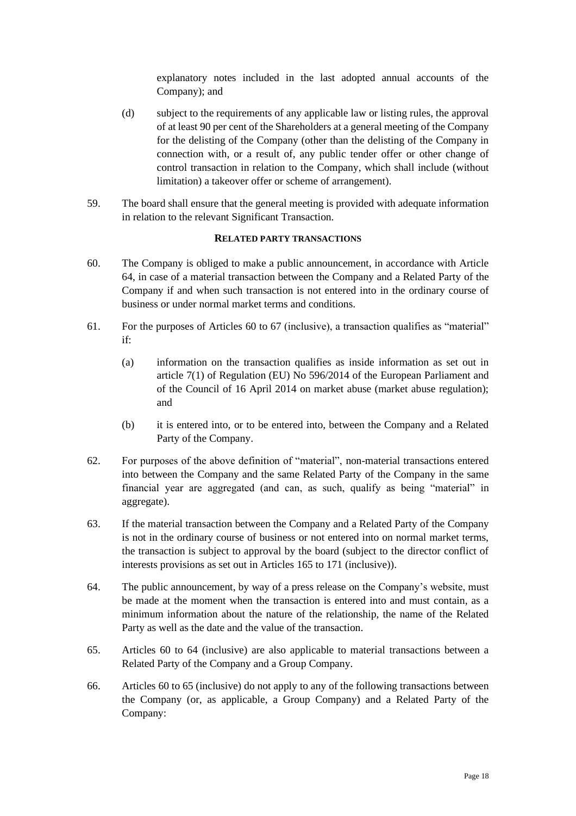explanatory notes included in the last adopted annual accounts of the Company); and

- (d) subject to the requirements of any applicable law or listing rules, the approval of at least 90 per cent of the Shareholders at a general meeting of the Company for the delisting of the Company (other than the delisting of the Company in connection with, or a result of, any public tender offer or other change of control transaction in relation to the Company, which shall include (without limitation) a takeover offer or scheme of arrangement).
- <span id="page-20-1"></span>59. The board shall ensure that the general meeting is provided with adequate information in relation to the relevant Significant Transaction.

# **RELATED PARTY TRANSACTIONS**

- <span id="page-20-3"></span><span id="page-20-0"></span>60. The Company is obliged to make a public announcement, in accordance with Article [64,](#page-20-2) in case of a material transaction between the Company and a Related Party of the Company if and when such transaction is not entered into in the ordinary course of business or under normal market terms and conditions.
- 61. For the purposes of Articles [60](#page-20-3) to [67](#page-21-1) (inclusive), a transaction qualifies as "material" if:
	- (a) information on the transaction qualifies as inside information as set out in article 7(1) of Regulation (EU) No 596/2014 of the European Parliament and of the Council of 16 April 2014 on market abuse (market abuse regulation); and
	- (b) it is entered into, or to be entered into, between the Company and a Related Party of the Company.
- 62. For purposes of the above definition of "material", non-material transactions entered into between the Company and the same Related Party of the Company in the same financial year are aggregated (and can, as such, qualify as being "material" in aggregate).
- 63. If the material transaction between the Company and a Related Party of the Company is not in the ordinary course of business or not entered into on normal market terms, the transaction is subject to approval by the board (subject to the director conflict of interests provisions as set out in Articles [165](#page-41-3) to [171](#page-43-1) (inclusive)).
- <span id="page-20-2"></span>64. The public announcement, by way of a press release on the Company's website, must be made at the moment when the transaction is entered into and must contain, as a minimum information about the nature of the relationship, the name of the Related Party as well as the date and the value of the transaction.
- <span id="page-20-4"></span>65. Articles [60](#page-20-3) to [64](#page-20-2) (inclusive) are also applicable to material transactions between a Related Party of the Company and a Group Company.
- 66. Articles [60](#page-20-3) t[o 65](#page-20-4) (inclusive) do not apply to any of the following transactions between the Company (or, as applicable, a Group Company) and a Related Party of the Company: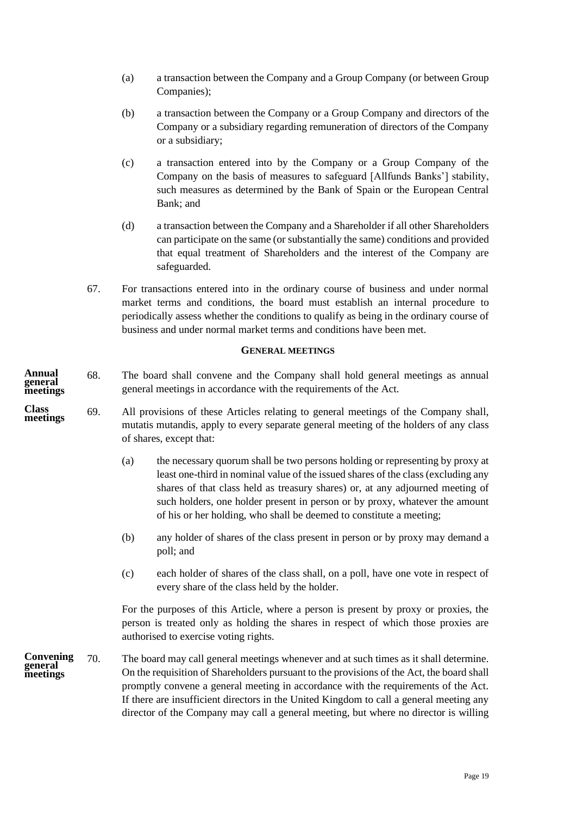- (a) a transaction between the Company and a Group Company (or between Group Companies);
- (b) a transaction between the Company or a Group Company and directors of the Company or a subsidiary regarding remuneration of directors of the Company or a subsidiary;
- (c) a transaction entered into by the Company or a Group Company of the Company on the basis of measures to safeguard [Allfunds Banks'] stability, such measures as determined by the Bank of Spain or the European Central Bank; and
- (d) a transaction between the Company and a Shareholder if all other Shareholders can participate on the same (or substantially the same) conditions and provided that equal treatment of Shareholders and the interest of the Company are safeguarded.
- <span id="page-21-1"></span><span id="page-21-0"></span>67. For transactions entered into in the ordinary course of business and under normal market terms and conditions, the board must establish an internal procedure to periodically assess whether the conditions to qualify as being in the ordinary course of business and under normal market terms and conditions have been met.

### **GENERAL MEETINGS**

- 68. The board shall convene and the Company shall hold general meetings as annual general meetings in accordance with the requirements of the Act. **Annual general meetings**
- 69. All provisions of these Articles relating to general meetings of the Company shall, mutatis mutandis, apply to every separate general meeting of the holders of any class of shares, except that: **Class meetings**
	- (a) the necessary quorum shall be two persons holding or representing by proxy at least one-third in nominal value of the issued shares of the class (excluding any shares of that class held as treasury shares) or, at any adjourned meeting of such holders, one holder present in person or by proxy, whatever the amount of his or her holding, who shall be deemed to constitute a meeting;
	- (b) any holder of shares of the class present in person or by proxy may demand a poll; and
	- (c) each holder of shares of the class shall, on a poll, have one vote in respect of every share of the class held by the holder.

For the purposes of this Article, where a person is present by proxy or proxies, the person is treated only as holding the shares in respect of which those proxies are authorised to exercise voting rights.

70. The board may call general meetings whenever and at such times as it shall determine. On the requisition of Shareholders pursuant to the provisions of the Act, the board shall promptly convene a general meeting in accordance with the requirements of the Act. If there are insufficient directors in the United Kingdom to call a general meeting any director of the Company may call a general meeting, but where no director is willing **Convening general meetings**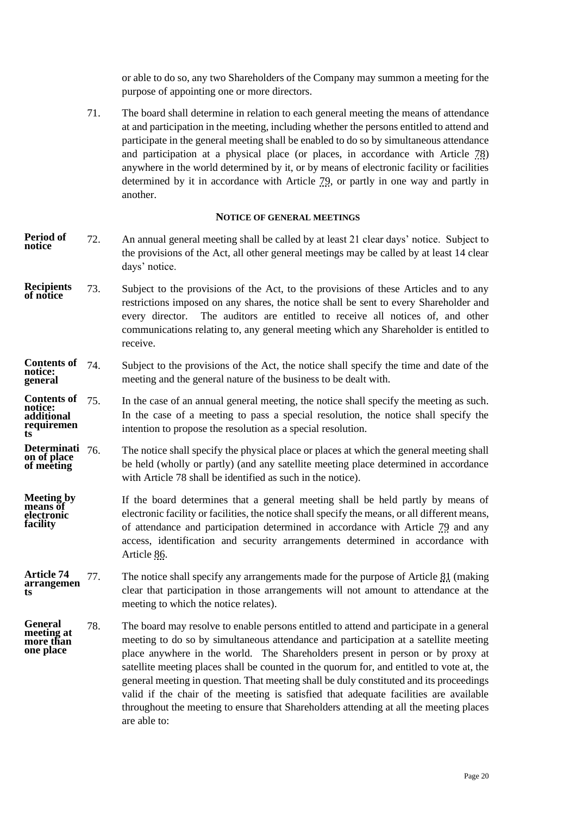or able to do so, any two Shareholders of the Company may summon a meeting for the purpose of appointing one or more directors.

71. The board shall determine in relation to each general meeting the means of attendance at and participation in the meeting, including whether the persons entitled to attend and participate in the general meeting shall be enabled to do so by simultaneous attendance and participation at a physical place (or places, in accordance with Article [78\)](#page-22-1) anywhere in the world determined by it, or by means of electronic facility or facilities determined by it in accordance with Article [79,](#page-23-0) or partly in one way and partly in another.

#### **NOTICE OF GENERAL MEETINGS**

- <span id="page-22-0"></span>72. An annual general meeting shall be called by at least 21 clear days' notice. Subject to the provisions of the Act, all other general meetings may be called by at least 14 clear days' notice. **Period of notice**
- 73. Subject to the provisions of the Act, to the provisions of these Articles and to any restrictions imposed on any shares, the notice shall be sent to every Shareholder and every director. The auditors are entitled to receive all notices of, and other communications relating to, any general meeting which any Shareholder is entitled to receive. **Recipients of notice**

#### Subject to the provisions of the Act, the notice shall specify the time and date of the meeting and the general nature of the business to be dealt with. **Contents of notice: general**

In the case of an annual general meeting, the notice shall specify the meeting as such. In the case of a meeting to pass a special resolution, the notice shall specify the intention to propose the resolution as a special resolution. Contents of 75. **notice: additional requiremen ts**

The notice shall specify the physical place or places at which the general meeting shall be held (wholly or partly) (and any satellite meeting place determined in accordance with Article [78](#page-22-1) shall be identified as such in the notice). **Determinati on of place of meeting**

- If the board determines that a general meeting shall be held partly by means of electronic facility or facilities, the notice shall specify the means, or all different means, of attendance and participation determined in accordance with Article [79](#page-23-0) and any access, identification and security arrangements determined in accordance with Article [86.](#page-25-1) **Meeting by**  means of **electronic facility**
- 77. The notice shall specify any arrangements made for the purpose of Article [81](#page-23-1) (making clear that participation in those arrangements will not amount to attendance at the meeting to which the notice relates). **Article 74 arrangemen ts**
- <span id="page-22-1"></span>78. The board may resolve to enable persons entitled to attend and participate in a general meeting to do so by simultaneous attendance and participation at a satellite meeting place anywhere in the world. The Shareholders present in person or by proxy at satellite meeting places shall be counted in the quorum for, and entitled to vote at, the general meeting in question. That meeting shall be duly constituted and its proceedings valid if the chair of the meeting is satisfied that adequate facilities are available throughout the meeting to ensure that Shareholders attending at all the meeting places are able to: **General meeting at more than one place**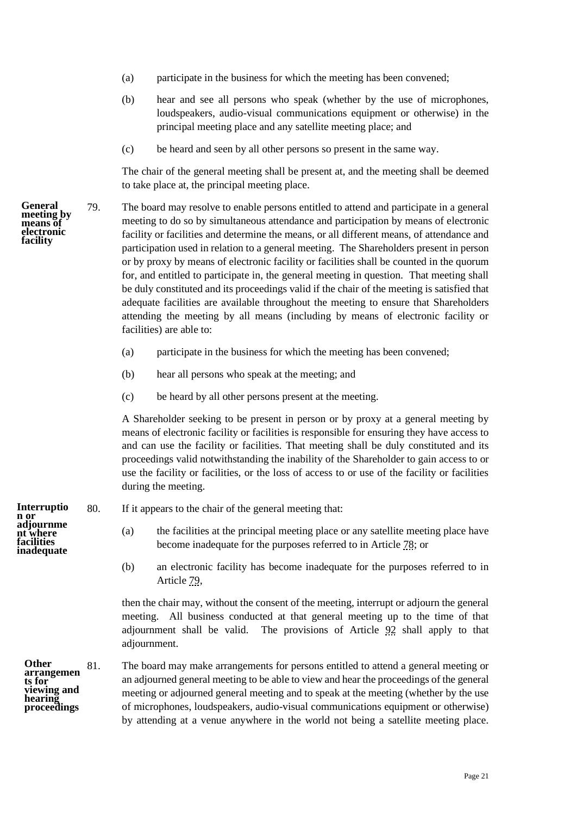- (a) participate in the business for which the meeting has been convened;
- (b) hear and see all persons who speak (whether by the use of microphones, loudspeakers, audio-visual communications equipment or otherwise) in the principal meeting place and any satellite meeting place; and
- (c) be heard and seen by all other persons so present in the same way.

The chair of the general meeting shall be present at, and the meeting shall be deemed to take place at, the principal meeting place.

<span id="page-23-0"></span>79. The board may resolve to enable persons entitled to attend and participate in a general meeting to do so by simultaneous attendance and participation by means of electronic facility or facilities and determine the means, or all different means, of attendance and participation used in relation to a general meeting. The Shareholders present in person or by proxy by means of electronic facility or facilities shall be counted in the quorum for, and entitled to participate in, the general meeting in question. That meeting shall be duly constituted and its proceedings valid if the chair of the meeting is satisfied that adequate facilities are available throughout the meeting to ensure that Shareholders attending the meeting by all means (including by means of electronic facility or facilities) are able to:

- (a) participate in the business for which the meeting has been convened;
- (b) hear all persons who speak at the meeting; and
- (c) be heard by all other persons present at the meeting.

A Shareholder seeking to be present in person or by proxy at a general meeting by means of electronic facility or facilities is responsible for ensuring they have access to and can use the facility or facilities. That meeting shall be duly constituted and its proceedings valid notwithstanding the inability of the Shareholder to gain access to or use the facility or facilities, or the loss of access to or use of the facility or facilities during the meeting.

- <span id="page-23-2"></span>80. If it appears to the chair of the general meeting that:
	- (a) the facilities at the principal meeting place or any satellite meeting place have become inadequate for the purposes referred to in Article [78;](#page-22-1) or
	- (b) an electronic facility has become inadequate for the purposes referred to in Article [79,](#page-23-0)

then the chair may, without the consent of the meeting, interrupt or adjourn the general meeting. All business conducted at that general meeting up to the time of that adjournment shall be valid. The provisions of Article [92](#page-26-0) shall apply to that adjournment.

81. The board may make arrangements for persons entitled to attend a general meeting or an adjourned general meeting to be able to view and hear the proceedings of the general meeting or adjourned general meeting and to speak at the meeting (whether by the use of microphones, loudspeakers, audio-visual communications equipment or otherwise) by attending at a venue anywhere in the world not being a satellite meeting place. **arrangemen viewing and proceedings**

**Interruptio n or adjournme nt where facilities inadequate**

<span id="page-23-1"></span>**Other** 

**ts for** 

**hearing** 

**General meeting by means of electronic facility**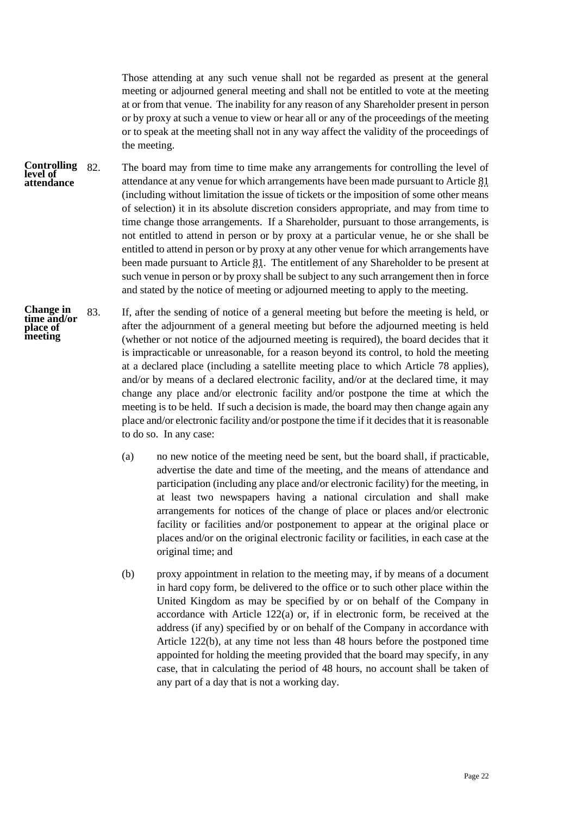Those attending at any such venue shall not be regarded as present at the general meeting or adjourned general meeting and shall not be entitled to vote at the meeting at or from that venue. The inability for any reason of any Shareholder present in person or by proxy at such a venue to view or hear all or any of the proceedings of the meeting or to speak at the meeting shall not in any way affect the validity of the proceedings of the meeting.

- 82. The board may from time to time make any arrangements for controlling the level of attendance at any venue for which arrangements have been made pursuant to Article [81](#page-23-1) (including without limitation the issue of tickets or the imposition of some other means of selection) it in its absolute discretion considers appropriate, and may from time to time change those arrangements. If a Shareholder, pursuant to those arrangements, is not entitled to attend in person or by proxy at a particular venue, he or she shall be entitled to attend in person or by proxy at any other venue for which arrangements have been made pursuant to Article [81.](#page-23-1) The entitlement of any Shareholder to be present at such venue in person or by proxy shall be subject to any such arrangement then in force and stated by the notice of meeting or adjourned meeting to apply to the meeting. **Controlling level of attendance**
- <span id="page-24-1"></span><span id="page-24-0"></span>83. If, after the sending of notice of a general meeting but before the meeting is held, or after the adjournment of a general meeting but before the adjourned meeting is held (whether or not notice of the adjourned meeting is required), the board decides that it is impracticable or unreasonable, for a reason beyond its control, to hold the meeting at a declared place (including a satellite meeting place to which Article [78](#page-22-1) applies), and/or by means of a declared electronic facility, and/or at the declared time, it may change any place and/or electronic facility and/or postpone the time at which the meeting is to be held. If such a decision is made, the board may then change again any place and/or electronic facility and/or postpone the time if it decides that it is reasonable to do so. In any case: **Change in time and/or place of meeting**
	- (a) no new notice of the meeting need be sent, but the board shall, if practicable, advertise the date and time of the meeting, and the means of attendance and participation (including any place and/or electronic facility) for the meeting, in at least two newspapers having a national circulation and shall make arrangements for notices of the change of place or places and/or electronic facility or facilities and/or postponement to appear at the original place or places and/or on the original electronic facility or facilities, in each case at the original time; and
	- (b) proxy appointment in relation to the meeting may, if by means of a document in hard copy form, be delivered to the office or to such other place within the United Kingdom as may be specified by or on behalf of the Company in accordance with Article [122\(a\)](#page-32-0) or, if in electronic form, be received at the address (if any) specified by or on behalf of the Company in accordance with Article [122\(b\),](#page-33-0) at any time not less than 48 hours before the postponed time appointed for holding the meeting provided that the board may specify, in any case, that in calculating the period of 48 hours, no account shall be taken of any part of a day that is not a working day.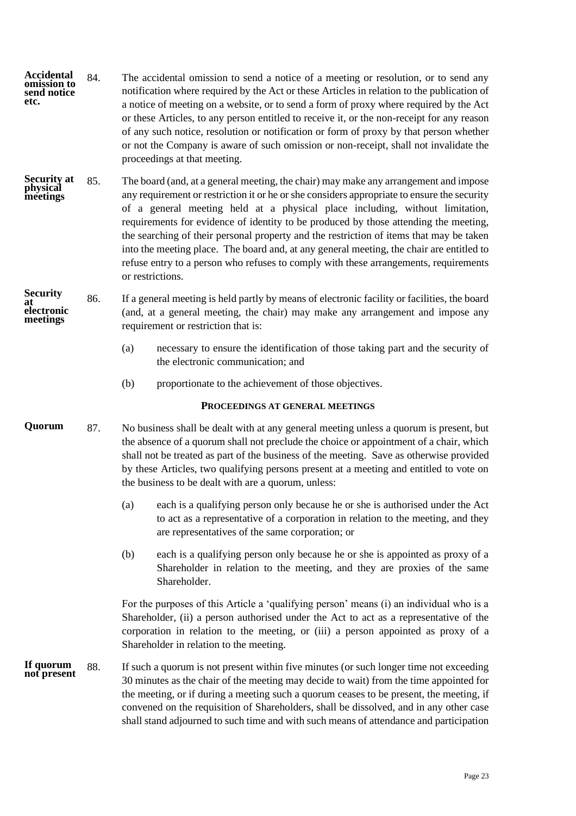- 84. The accidental omission to send a notice of a meeting or resolution, or to send any notification where required by the Act or these Articles in relation to the publication of a notice of meeting on a website, or to send a form of proxy where required by the Act or these Articles, to any person entitled to receive it, or the non-receipt for any reason of any such notice, resolution or notification or form of proxy by that person whether or not the Company is aware of such omission or non-receipt, shall not invalidate the proceedings at that meeting. **Accidental omission to send notice etc.**
- 85. The board (and, at a general meeting, the chair) may make any arrangement and impose any requirement or restriction it or he or she considers appropriate to ensure the security of a general meeting held at a physical place including, without limitation, requirements for evidence of identity to be produced by those attending the meeting, the searching of their personal property and the restriction of items that may be taken into the meeting place. The board and, at any general meeting, the chair are entitled to refuse entry to a person who refuses to comply with these arrangements, requirements or restrictions. **Security at physical meetings**
- <span id="page-25-1"></span>86. If a general meeting is held partly by means of electronic facility or facilities, the board (and, at a general meeting, the chair) may make any arrangement and impose any requirement or restriction that is: **Security at electronic meetings**
	- (a) necessary to ensure the identification of those taking part and the security of the electronic communication; and
	- (b) proportionate to the achievement of those objectives.

# **PROCEEDINGS AT GENERAL MEETINGS**

- <span id="page-25-0"></span>87. No business shall be dealt with at any general meeting unless a quorum is present, but the absence of a quorum shall not preclude the choice or appointment of a chair, which shall not be treated as part of the business of the meeting. Save as otherwise provided by these Articles, two qualifying persons present at a meeting and entitled to vote on the business to be dealt with are a quorum, unless: **Quorum**
	- (a) each is a qualifying person only because he or she is authorised under the Act to act as a representative of a corporation in relation to the meeting, and they are representatives of the same corporation; or
	- (b) each is a qualifying person only because he or she is appointed as proxy of a Shareholder in relation to the meeting, and they are proxies of the same Shareholder.

For the purposes of this Article a 'qualifying person' means (i) an individual who is a Shareholder, (ii) a person authorised under the Act to act as a representative of the corporation in relation to the meeting, or (iii) a person appointed as proxy of a Shareholder in relation to the meeting.

88. If such a quorum is not present within five minutes (or such longer time not exceeding 30 minutes as the chair of the meeting may decide to wait) from the time appointed for the meeting, or if during a meeting such a quorum ceases to be present, the meeting, if convened on the requisition of Shareholders, shall be dissolved, and in any other case shall stand adjourned to such time and with such means of attendance and participation **If quorum not present**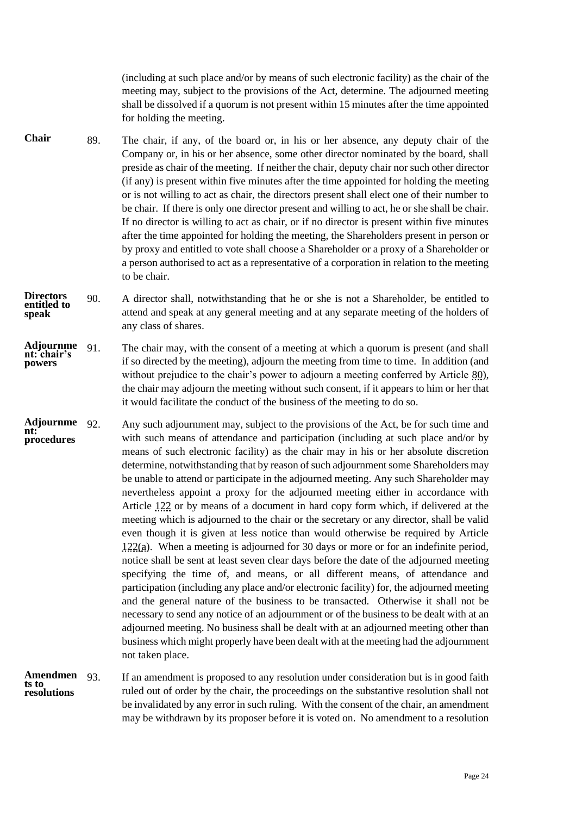(including at such place and/or by means of such electronic facility) as the chair of the meeting may, subject to the provisions of the Act, determine. The adjourned meeting shall be dissolved if a quorum is not present within 15 minutes after the time appointed for holding the meeting.

- 89. The chair, if any, of the board or, in his or her absence, any deputy chair of the Company or, in his or her absence, some other director nominated by the board, shall preside as chair of the meeting. If neither the chair, deputy chair nor such other director (if any) is present within five minutes after the time appointed for holding the meeting or is not willing to act as chair, the directors present shall elect one of their number to be chair. If there is only one director present and willing to act, he or she shall be chair. If no director is willing to act as chair, or if no director is present within five minutes after the time appointed for holding the meeting, the Shareholders present in person or by proxy and entitled to vote shall choose a Shareholder or a proxy of a Shareholder or a person authorised to act as a representative of a corporation in relation to the meeting to be chair. **Chair**
- 90. A director shall, notwithstanding that he or she is not a Shareholder, be entitled to attend and speak at any general meeting and at any separate meeting of the holders of any class of shares. **Directors entitled to speak**
- 91. The chair may, with the consent of a meeting at which a quorum is present (and shall if so directed by the meeting), adjourn the meeting from time to time. In addition (and without prejudice to the chair's power to adjourn a meeting conferred by Article [80\)](#page-23-2), the chair may adjourn the meeting without such consent, if it appears to him or her that it would facilitate the conduct of the business of the meeting to do so. **Adjournme nt: chair's powers**
- <span id="page-26-0"></span>92. Any such adjournment may, subject to the provisions of the Act, be for such time and with such means of attendance and participation (including at such place and/or by means of such electronic facility) as the chair may in his or her absolute discretion determine, notwithstanding that by reason of such adjournment some Shareholders may be unable to attend or participate in the adjourned meeting. Any such Shareholder may nevertheless appoint a proxy for the adjourned meeting either in accordance with Article [122](#page-32-1) or by means of a document in hard copy form which, if delivered at the meeting which is adjourned to the chair or the secretary or any director, shall be valid even though it is given at less notice than would otherwise be required by Article [122\(a\).](#page-32-0) When a meeting is adjourned for 30 days or more or for an indefinite period, notice shall be sent at least seven clear days before the date of the adjourned meeting specifying the time of, and means, or all different means, of attendance and participation (including any place and/or electronic facility) for, the adjourned meeting and the general nature of the business to be transacted. Otherwise it shall not be necessary to send any notice of an adjournment or of the business to be dealt with at an adjourned meeting. No business shall be dealt with at an adjourned meeting other than business which might properly have been dealt with at the meeting had the adjournment not taken place. **Adjournme nt: procedures**

#### 93. If an amendment is proposed to any resolution under consideration but is in good faith ruled out of order by the chair, the proceedings on the substantive resolution shall not be invalidated by any error in such ruling. With the consent of the chair, an amendment may be withdrawn by its proposer before it is voted on. No amendment to a resolution **Amendmen ts to resolutions**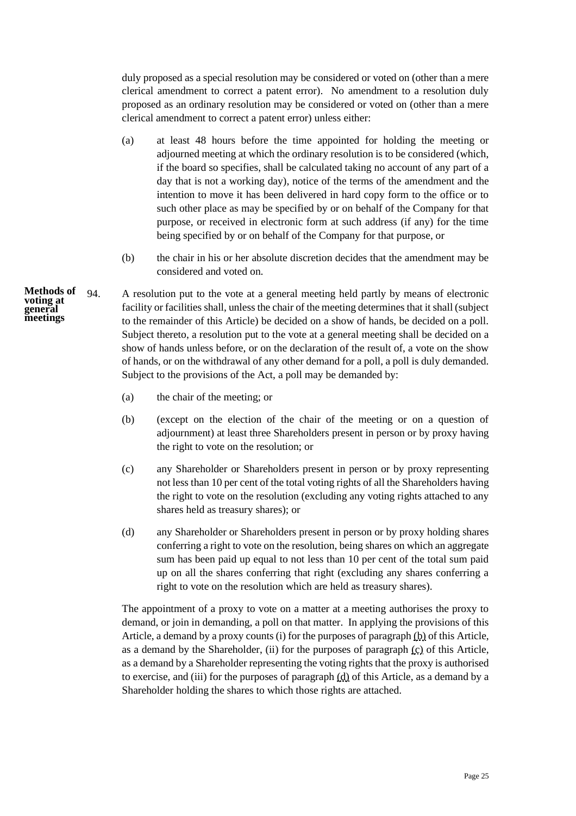duly proposed as a special resolution may be considered or voted on (other than a mere clerical amendment to correct a patent error). No amendment to a resolution duly proposed as an ordinary resolution may be considered or voted on (other than a mere clerical amendment to correct a patent error) unless either:

- (a) at least 48 hours before the time appointed for holding the meeting or adjourned meeting at which the ordinary resolution is to be considered (which, if the board so specifies, shall be calculated taking no account of any part of a day that is not a working day), notice of the terms of the amendment and the intention to move it has been delivered in hard copy form to the office or to such other place as may be specified by or on behalf of the Company for that purpose, or received in electronic form at such address (if any) for the time being specified by or on behalf of the Company for that purpose, or
- (b) the chair in his or her absolute discretion decides that the amendment may be considered and voted on.

94. A resolution put to the vote at a general meeting held partly by means of electronic facility or facilities shall, unless the chair of the meeting determines that it shall (subject to the remainder of this Article) be decided on a show of hands, be decided on a poll. Subject thereto, a resolution put to the vote at a general meeting shall be decided on a show of hands unless before, or on the declaration of the result of, a vote on the show of hands, or on the withdrawal of any other demand for a poll, a poll is duly demanded. Subject to the provisions of the Act, a poll may be demanded by:

- (a) the chair of the meeting; or
- <span id="page-27-0"></span>(b) (except on the election of the chair of the meeting or on a question of adjournment) at least three Shareholders present in person or by proxy having the right to vote on the resolution; or
- <span id="page-27-1"></span>(c) any Shareholder or Shareholders present in person or by proxy representing not less than 10 per cent of the total voting rights of all the Shareholders having the right to vote on the resolution (excluding any voting rights attached to any shares held as treasury shares); or
- <span id="page-27-2"></span>(d) any Shareholder or Shareholders present in person or by proxy holding shares conferring a right to vote on the resolution, being shares on which an aggregate sum has been paid up equal to not less than 10 per cent of the total sum paid up on all the shares conferring that right (excluding any shares conferring a right to vote on the resolution which are held as treasury shares).

The appointment of a proxy to vote on a matter at a meeting authorises the proxy to demand, or join in demanding, a poll on that matter. In applying the provisions of this Article, a demand by a proxy counts (i) for the purposes of paragraph [\(b\)](#page-27-0) of this Article, as a demand by the Shareholder, (ii) for the purposes of paragraph  $(c)$  of this Article, as a demand by a Shareholder representing the voting rights that the proxy is authorised to exercise, and (iii) for the purposes of paragraph [\(d\)](#page-27-2) of this Article, as a demand by a Shareholder holding the shares to which those rights are attached.

**Methods of voting at general meetings**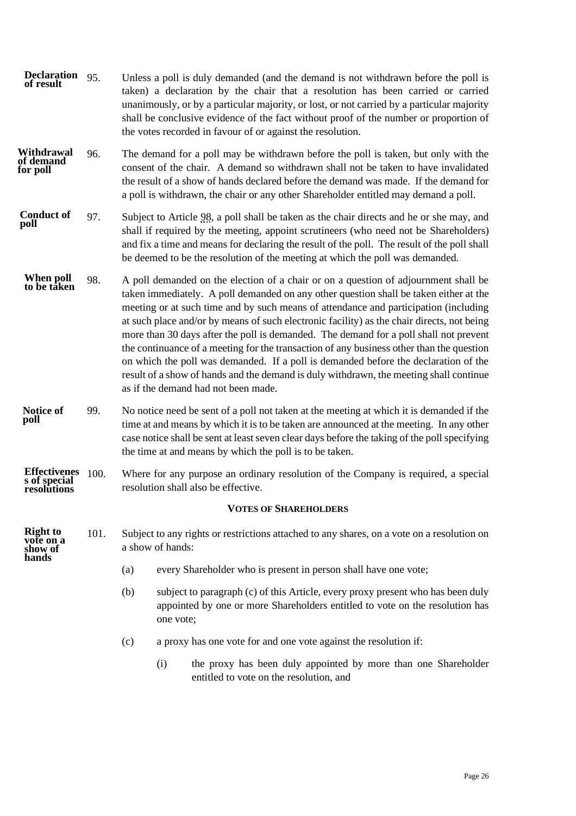<span id="page-28-2"></span><span id="page-28-1"></span><span id="page-28-0"></span>

| <b>Declaration</b><br>of result                    | 95.  | Unless a poll is duly demanded (and the demand is not withdrawn before the poll is<br>taken) a declaration by the chair that a resolution has been carried or carried<br>unanimously, or by a particular majority, or lost, or not carried by a particular majority<br>shall be conclusive evidence of the fact without proof of the number or proportion of<br>the votes recorded in favour of or against the resolution.                                                                                                                                                                                                                                                                                                                                                      |           |                                                                                                                                                                 |  |  |  |  |
|----------------------------------------------------|------|---------------------------------------------------------------------------------------------------------------------------------------------------------------------------------------------------------------------------------------------------------------------------------------------------------------------------------------------------------------------------------------------------------------------------------------------------------------------------------------------------------------------------------------------------------------------------------------------------------------------------------------------------------------------------------------------------------------------------------------------------------------------------------|-----------|-----------------------------------------------------------------------------------------------------------------------------------------------------------------|--|--|--|--|
| Withdrawal<br>of demand<br>for poll                | 96.  | The demand for a poll may be withdrawn before the poll is taken, but only with the<br>consent of the chair. A demand so withdrawn shall not be taken to have invalidated<br>the result of a show of hands declared before the demand was made. If the demand for<br>a poll is withdrawn, the chair or any other Shareholder entitled may demand a poll.                                                                                                                                                                                                                                                                                                                                                                                                                         |           |                                                                                                                                                                 |  |  |  |  |
| <b>Conduct of</b><br>poll                          | 97.  | Subject to Article 98, a poll shall be taken as the chair directs and he or she may, and<br>shall if required by the meeting, appoint scrutineers (who need not be Shareholders)<br>and fix a time and means for declaring the result of the poll. The result of the poll shall<br>be deemed to be the resolution of the meeting at which the poll was demanded.                                                                                                                                                                                                                                                                                                                                                                                                                |           |                                                                                                                                                                 |  |  |  |  |
| When poll<br>to be taken                           | 98.  | A poll demanded on the election of a chair or on a question of adjournment shall be<br>taken immediately. A poll demanded on any other question shall be taken either at the<br>meeting or at such time and by such means of attendance and participation (including<br>at such place and/or by means of such electronic facility) as the chair directs, not being<br>more than 30 days after the poll is demanded. The demand for a poll shall not prevent<br>the continuance of a meeting for the transaction of any business other than the question<br>on which the poll was demanded. If a poll is demanded before the declaration of the<br>result of a show of hands and the demand is duly withdrawn, the meeting shall continue<br>as if the demand had not been made. |           |                                                                                                                                                                 |  |  |  |  |
| Notice of<br>poll                                  | 99.  | No notice need be sent of a poll not taken at the meeting at which it is demanded if the<br>time at and means by which it is to be taken are announced at the meeting. In any other<br>case notice shall be sent at least seven clear days before the taking of the poll specifying<br>the time at and means by which the poll is to be taken.                                                                                                                                                                                                                                                                                                                                                                                                                                  |           |                                                                                                                                                                 |  |  |  |  |
| <b>Effectivenes</b><br>s of special<br>resolutions | 100. | Where for any purpose an ordinary resolution of the Company is required, a special<br>resolution shall also be effective.                                                                                                                                                                                                                                                                                                                                                                                                                                                                                                                                                                                                                                                       |           |                                                                                                                                                                 |  |  |  |  |
|                                                    |      |                                                                                                                                                                                                                                                                                                                                                                                                                                                                                                                                                                                                                                                                                                                                                                                 |           | <b>VOTES OF SHAREHOLDERS</b>                                                                                                                                    |  |  |  |  |
| Right to<br>hands                                  | 101. | Subject to any rights or restrictions attached to any shares, on a vote on a resolution on<br>a show of hands:                                                                                                                                                                                                                                                                                                                                                                                                                                                                                                                                                                                                                                                                  |           |                                                                                                                                                                 |  |  |  |  |
|                                                    |      | (a)                                                                                                                                                                                                                                                                                                                                                                                                                                                                                                                                                                                                                                                                                                                                                                             |           | every Shareholder who is present in person shall have one vote;                                                                                                 |  |  |  |  |
|                                                    |      | (b)                                                                                                                                                                                                                                                                                                                                                                                                                                                                                                                                                                                                                                                                                                                                                                             | one vote; | subject to paragraph (c) of this Article, every proxy present who has been duly<br>appointed by one or more Shareholders entitled to vote on the resolution has |  |  |  |  |
|                                                    |      | (c)                                                                                                                                                                                                                                                                                                                                                                                                                                                                                                                                                                                                                                                                                                                                                                             |           | a proxy has one vote for and one vote against the resolution if:                                                                                                |  |  |  |  |
|                                                    |      |                                                                                                                                                                                                                                                                                                                                                                                                                                                                                                                                                                                                                                                                                                                                                                                 | (i)       | the proxy has been duly appointed by more than one Shareholder<br>entitled to vote on the resolution, and                                                       |  |  |  |  |
|                                                    |      |                                                                                                                                                                                                                                                                                                                                                                                                                                                                                                                                                                                                                                                                                                                                                                                 |           |                                                                                                                                                                 |  |  |  |  |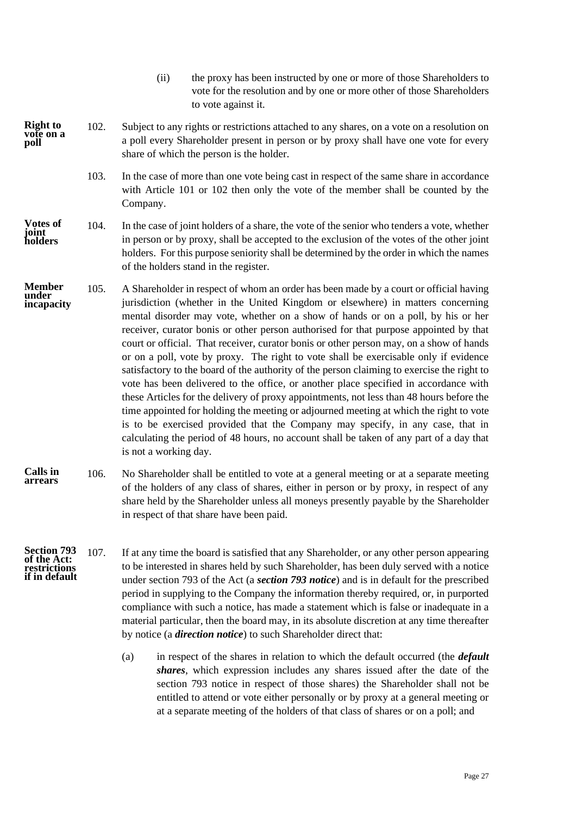- (ii) the proxy has been instructed by one or more of those Shareholders to vote for the resolution and by one or more other of those Shareholders to vote against it.
- <span id="page-29-0"></span>102. Subject to any rights or restrictions attached to any shares, on a vote on a resolution on a poll every Shareholder present in person or by proxy shall have one vote for every share of which the person is the holder. **Right to vote on a poll**
	- 103. In the case of more than one vote being cast in respect of the same share in accordance with Article [101](#page-28-2) or [102](#page-29-0) then only the vote of the member shall be counted by the Company.
- 104. In the case of joint holders of a share, the vote of the senior who tenders a vote, whether in person or by proxy, shall be accepted to the exclusion of the votes of the other joint holders. For this purpose seniority shall be determined by the order in which the names of the holders stand in the register. **Votes of joint holders**
- 105. A Shareholder in respect of whom an order has been made by a court or official having jurisdiction (whether in the United Kingdom or elsewhere) in matters concerning mental disorder may vote, whether on a show of hands or on a poll, by his or her receiver, curator bonis or other person authorised for that purpose appointed by that court or official. That receiver, curator bonis or other person may, on a show of hands or on a poll, vote by proxy. The right to vote shall be exercisable only if evidence satisfactory to the board of the authority of the person claiming to exercise the right to vote has been delivered to the office, or another place specified in accordance with these Articles for the delivery of proxy appointments, not less than 48 hours before the time appointed for holding the meeting or adjourned meeting at which the right to vote is to be exercised provided that the Company may specify, in any case, that in calculating the period of 48 hours, no account shall be taken of any part of a day that is not a working day. **Member under incapacity**
- 106. No Shareholder shall be entitled to vote at a general meeting or at a separate meeting of the holders of any class of shares, either in person or by proxy, in respect of any share held by the Shareholder unless all moneys presently payable by the Shareholder in respect of that share have been paid. **Calls in arrears**
- <span id="page-29-1"></span>107. If at any time the board is satisfied that any Shareholder, or any other person appearing to be interested in shares held by such Shareholder, has been duly served with a notice under section 793 of the Act (a *section 793 notice*) and is in default for the prescribed period in supplying to the Company the information thereby required, or, in purported compliance with such a notice, has made a statement which is false or inadequate in a material particular, then the board may, in its absolute discretion at any time thereafter by notice (a *direction notice*) to such Shareholder direct that: **Section 793 of the Act: restrictions if in default**
	- (a) in respect of the shares in relation to which the default occurred (the *default shares*, which expression includes any shares issued after the date of the section 793 notice in respect of those shares) the Shareholder shall not be entitled to attend or vote either personally or by proxy at a general meeting or at a separate meeting of the holders of that class of shares or on a poll; and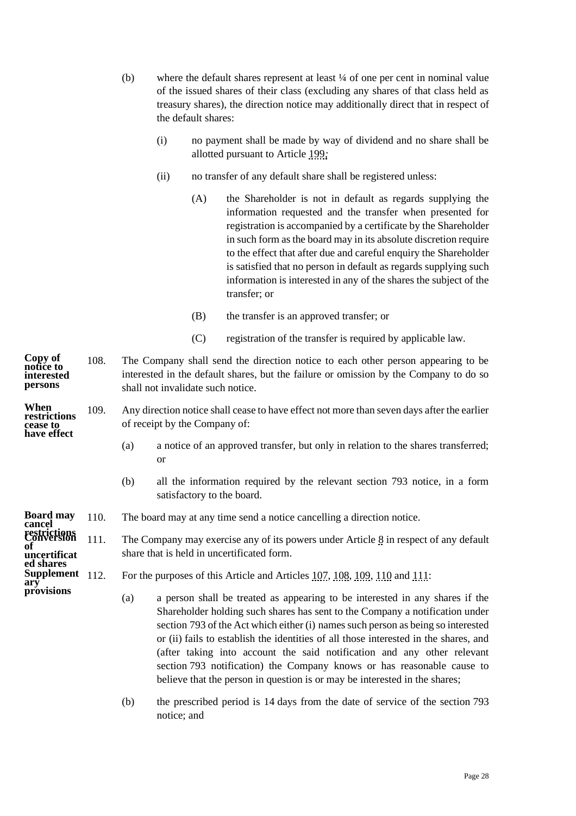- (b) where the default shares represent at least ¼ of one per cent in nominal value of the issued shares of their class (excluding any shares of that class held as treasury shares), the direction notice may additionally direct that in respect of the default shares:
	- (i) no payment shall be made by way of dividend and no share shall be allotted pursuant to Article [199](#page-50-0)*;*
	- (ii) no transfer of any default share shall be registered unless:
		- (A) the Shareholder is not in default as regards supplying the information requested and the transfer when presented for registration is accompanied by a certificate by the Shareholder in such form as the board may in its absolute discretion require to the effect that after due and careful enquiry the Shareholder is satisfied that no person in default as regards supplying such information is interested in any of the shares the subject of the transfer; or
		- (B) the transfer is an approved transfer; or
		- (C) registration of the transfer is required by applicable law.
- <span id="page-30-0"></span>108. The Company shall send the direction notice to each other person appearing to be interested in the default shares, but the failure or omission by the Company to do so shall not invalidate such notice. **Copy of notice to interested persons**

#### 109. Any direction notice shall cease to have effect not more than seven days after the earlier of receipt by the Company of: **When restrictions cease to have effect**

- <span id="page-30-1"></span>(a) a notice of an approved transfer, but only in relation to the shares transferred; or
- (b) all the information required by the relevant section 793 notice, in a form satisfactory to the board.
- 110. The board may at any time send a notice cancelling a direction notice. **Board may cancel**

<span id="page-30-3"></span><span id="page-30-2"></span>111. The Company may exercise any of its powers under Article [8](#page-9-1) in respect of any default share that is held in uncertificated form.

- <span id="page-30-4"></span>For the purposes of this Article and Articles [107,](#page-29-1) [108,](#page-30-0) [109,](#page-30-1) [110](#page-30-2) and [111:](#page-30-3)
	- (a) a person shall be treated as appearing to be interested in any shares if the Shareholder holding such shares has sent to the Company a notification under section 793 of the Act which either (i) names such person as being so interested or (ii) fails to establish the identities of all those interested in the shares, and (after taking into account the said notification and any other relevant section 793 notification) the Company knows or has reasonable cause to believe that the person in question is or may be interested in the shares;
	- (b) the prescribed period is 14 days from the date of service of the section 793 notice; and

**restrictions Conversion of uncertificat ed shares Supplement** 112. **ary provisions**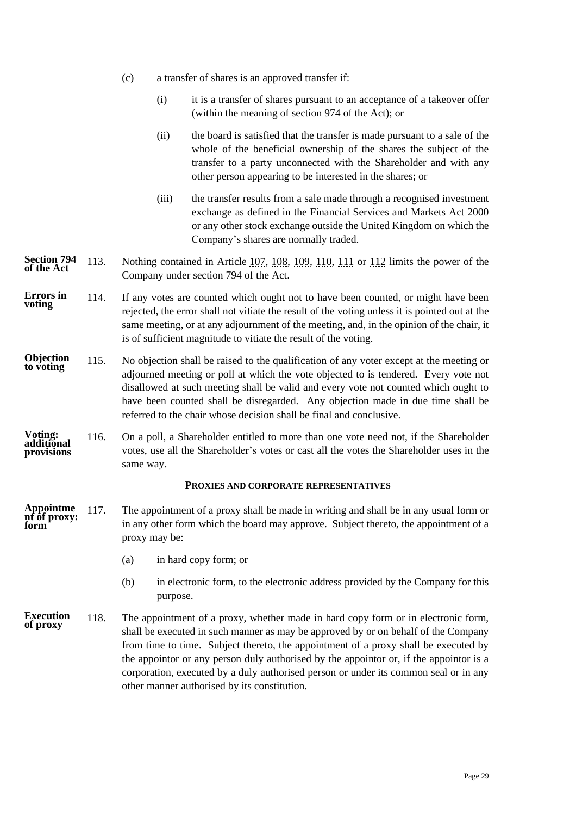- (c) a transfer of shares is an approved transfer if:
	- (i) it is a transfer of shares pursuant to an acceptance of a takeover offer (within the meaning of section 974 of the Act); or
	- (ii) the board is satisfied that the transfer is made pursuant to a sale of the whole of the beneficial ownership of the shares the subject of the transfer to a party unconnected with the Shareholder and with any other person appearing to be interested in the shares; or
	- (iii) the transfer results from a sale made through a recognised investment exchange as defined in the Financial Services and Markets Act 2000 or any other stock exchange outside the United Kingdom on which the Company's shares are normally traded.
- 113. Nothing contained in Article [107,](#page-29-1) [108,](#page-30-0) [109,](#page-30-1) [110,](#page-30-2) [111](#page-30-3) or [112](#page-30-4) limits the power of the Company under section 794 of the Act. **Section 794 of the Act**
- 114. If any votes are counted which ought not to have been counted, or might have been rejected, the error shall not vitiate the result of the voting unless it is pointed out at the same meeting, or at any adjournment of the meeting, and, in the opinion of the chair, it is of sufficient magnitude to vitiate the result of the voting. **Errors in voting**
- 115. No objection shall be raised to the qualification of any voter except at the meeting or adjourned meeting or poll at which the vote objected to is tendered. Every vote not disallowed at such meeting shall be valid and every vote not counted which ought to have been counted shall be disregarded. Any objection made in due time shall be referred to the chair whose decision shall be final and conclusive. **Objection to voting**
- 116. On a poll, a Shareholder entitled to more than one vote need not, if the Shareholder votes, use all the Shareholder's votes or cast all the votes the Shareholder uses in the same way. **Voting: additional provisions**

# **PROXIES AND CORPORATE REPRESENTATIVES**

- <span id="page-31-0"></span>117. The appointment of a proxy shall be made in writing and shall be in any usual form or in any other form which the board may approve. Subject thereto, the appointment of a proxy may be: **Appointme nt of proxy: form** 
	- (a) in hard copy form; or
	- (b) in electronic form, to the electronic address provided by the Company for this purpose.
- 118. The appointment of a proxy, whether made in hard copy form or in electronic form, shall be executed in such manner as may be approved by or on behalf of the Company from time to time. Subject thereto, the appointment of a proxy shall be executed by the appointor or any person duly authorised by the appointor or, if the appointor is a corporation, executed by a duly authorised person or under its common seal or in any other manner authorised by its constitution. **Execution of proxy**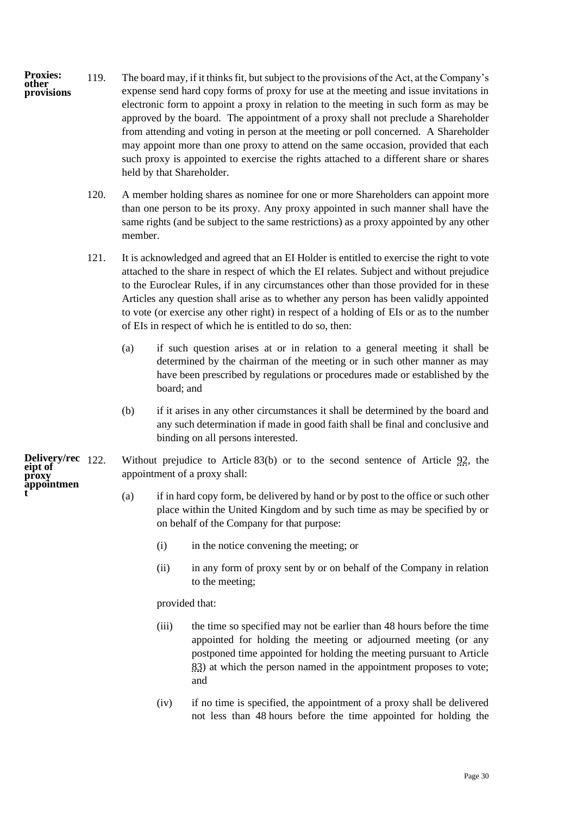- 119. The board may, if it thinks fit, but subject to the provisions of the Act, at the Company's expense send hard copy forms of proxy for use at the meeting and issue invitations in electronic form to appoint a proxy in relation to the meeting in such form as may be approved by the board. The appointment of a proxy shall not preclude a Shareholder from attending and voting in person at the meeting or poll concerned. A Shareholder may appoint more than one proxy to attend on the same occasion, provided that each such proxy is appointed to exercise the rights attached to a different share or shares held by that Shareholder. **Proxies: other provisions**
	- 120. A member holding shares as nominee for one or more Shareholders can appoint more than one person to be its proxy. Any proxy appointed in such manner shall have the same rights (and be subject to the same restrictions) as a proxy appointed by any other member.
	- 121. It is acknowledged and agreed that an EI Holder is entitled to exercise the right to vote attached to the share in respect of which the EI relates. Subject and without prejudice to the Euroclear Rules, if in any circumstances other than those provided for in these Articles any question shall arise as to whether any person has been validly appointed to vote (or exercise any other right) in respect of a holding of EIs or as to the number of EIs in respect of which he is entitled to do so, then:
		- (a) if such question arises at or in relation to a general meeting it shall be determined by the chairman of the meeting or in such other manner as may have been prescribed by regulations or procedures made or established by the board; and
		- (b) if it arises in any other circumstances it shall be determined by the board and any such determination if made in good faith shall be final and conclusive and binding on all persons interested.

Without prejudice to Article [83\(b\)](#page-24-0) or to the second sentence of Article [92,](#page-26-0) the appointment of a proxy shall: **Delivery/rec**

- <span id="page-32-1"></span><span id="page-32-0"></span>(a) if in hard copy form, be delivered by hand or by post to the office or such other place within the United Kingdom and by such time as may be specified by or on behalf of the Company for that purpose:
	- (i) in the notice convening the meeting; or
	- (ii) in any form of proxy sent by or on behalf of the Company in relation to the meeting;

provided that:

- (iii) the time so specified may not be earlier than 48 hours before the time appointed for holding the meeting or adjourned meeting (or any postponed time appointed for holding the meeting pursuant to Article [83\)](#page-24-1) at which the person named in the appointment proposes to vote; and
- (iv) if no time is specified, the appointment of a proxy shall be delivered not less than 48 hours before the time appointed for holding the

**eipt of proxy appointmen t**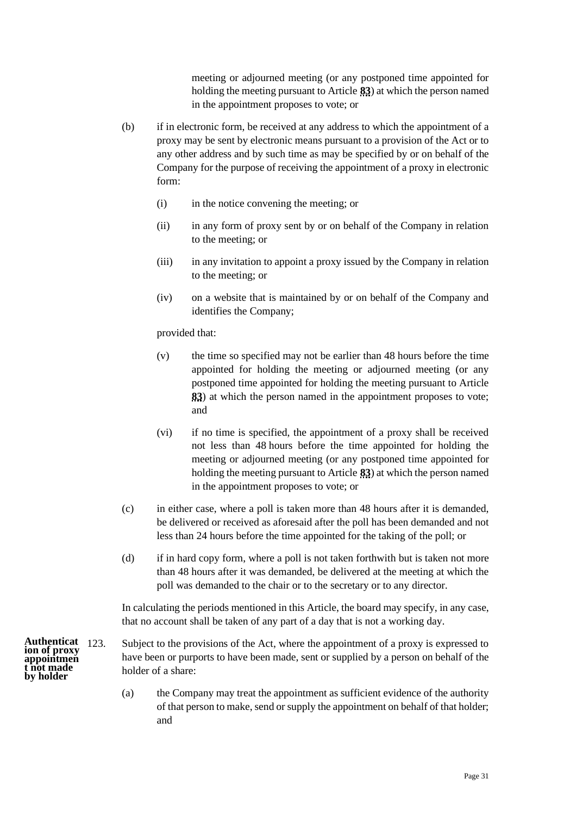meeting or adjourned meeting (or any postponed time appointed for holding the meeting pursuant to Article **[83](#page-24-1)**) at which the person named in the appointment proposes to vote; or

- <span id="page-33-0"></span>(b) if in electronic form, be received at any address to which the appointment of a proxy may be sent by electronic means pursuant to a provision of the Act or to any other address and by such time as may be specified by or on behalf of the Company for the purpose of receiving the appointment of a proxy in electronic form:
	- (i) in the notice convening the meeting; or
	- (ii) in any form of proxy sent by or on behalf of the Company in relation to the meeting; or
	- (iii) in any invitation to appoint a proxy issued by the Company in relation to the meeting; or
	- (iv) on a website that is maintained by or on behalf of the Company and identifies the Company;

provided that:

- (v) the time so specified may not be earlier than 48 hours before the time appointed for holding the meeting or adjourned meeting (or any postponed time appointed for holding the meeting pursuant to Article **[83](#page-24-1)**) at which the person named in the appointment proposes to vote; and
- (vi) if no time is specified, the appointment of a proxy shall be received not less than 48 hours before the time appointed for holding the meeting or adjourned meeting (or any postponed time appointed for holding the meeting pursuant to Article **[83](#page-24-1)**) at which the person named in the appointment proposes to vote; or
- (c) in either case, where a poll is taken more than 48 hours after it is demanded, be delivered or received as aforesaid after the poll has been demanded and not less than 24 hours before the time appointed for the taking of the poll; or
- (d) if in hard copy form, where a poll is not taken forthwith but is taken not more than 48 hours after it was demanded, be delivered at the meeting at which the poll was demanded to the chair or to the secretary or to any director.

In calculating the periods mentioned in this Article, the board may specify, in any case, that no account shall be taken of any part of a day that is not a working day.

- Subject to the provisions of the Act, where the appointment of a proxy is expressed to have been or purports to have been made, sent or supplied by a person on behalf of the holder of a share: Authenticat 123.
	- (a) the Company may treat the appointment as sufficient evidence of the authority of that person to make, send or supply the appointment on behalf of that holder; and

**ion of proxy appointmen t not made by holder**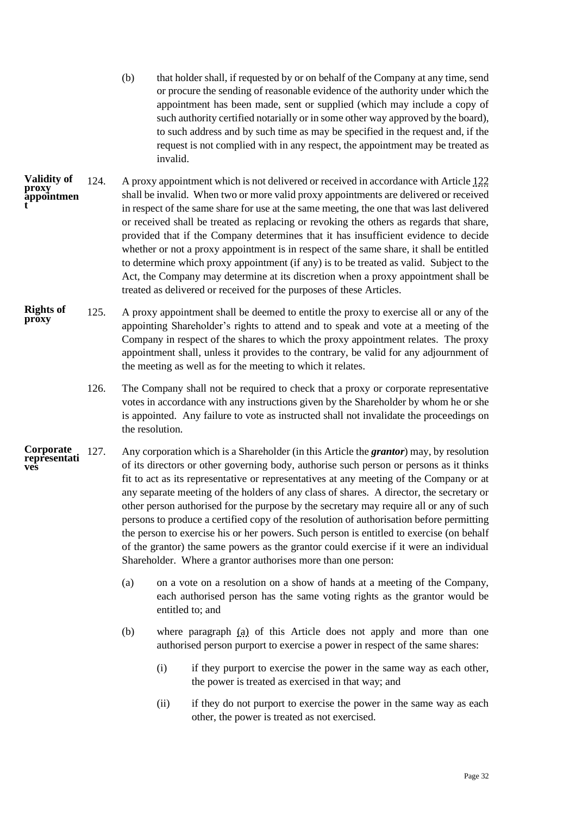- (b) that holder shall, if requested by or on behalf of the Company at any time, send or procure the sending of reasonable evidence of the authority under which the appointment has been made, sent or supplied (which may include a copy of such authority certified notarially or in some other way approved by the board), to such address and by such time as may be specified in the request and, if the request is not complied with in any respect, the appointment may be treated as invalid.
- 124. A proxy appointment which is not delivered or received in accordance with Articl[e 122](#page-32-1) shall be invalid. When two or more valid proxy appointments are delivered or received in respect of the same share for use at the same meeting, the one that was last delivered or received shall be treated as replacing or revoking the others as regards that share, provided that if the Company determines that it has insufficient evidence to decide whether or not a proxy appointment is in respect of the same share, it shall be entitled to determine which proxy appointment (if any) is to be treated as valid. Subject to the Act, the Company may determine at its discretion when a proxy appointment shall be treated as delivered or received for the purposes of these Articles. **Validity of proxy appointmen t**
- 125. A proxy appointment shall be deemed to entitle the proxy to exercise all or any of the appointing Shareholder's rights to attend and to speak and vote at a meeting of the Company in respect of the shares to which the proxy appointment relates. The proxy appointment shall, unless it provides to the contrary, be valid for any adjournment of the meeting as well as for the meeting to which it relates. **Rights of proxy**
	- 126. The Company shall not be required to check that a proxy or corporate representative votes in accordance with any instructions given by the Shareholder by whom he or she is appointed. Any failure to vote as instructed shall not invalidate the proceedings on the resolution.
- <span id="page-34-0"></span>127. Any corporation which is a Shareholder (in this Article the *grantor*) may, by resolution of its directors or other governing body, authorise such person or persons as it thinks fit to act as its representative or representatives at any meeting of the Company or at any separate meeting of the holders of any class of shares. A director, the secretary or other person authorised for the purpose by the secretary may require all or any of such persons to produce a certified copy of the resolution of authorisation before permitting the person to exercise his or her powers. Such person is entitled to exercise (on behalf of the grantor) the same powers as the grantor could exercise if it were an individual Shareholder. Where a grantor authorises more than one person: **Corporate representati ves**
	- (a) on a vote on a resolution on a show of hands at a meeting of the Company, each authorised person has the same voting rights as the grantor would be entitled to; and
	- (b) where paragraph [\(a\)](#page-34-0) of this Article does not apply and more than one authorised person purport to exercise a power in respect of the same shares:
		- (i) if they purport to exercise the power in the same way as each other, the power is treated as exercised in that way; and
		- (ii) if they do not purport to exercise the power in the same way as each other, the power is treated as not exercised.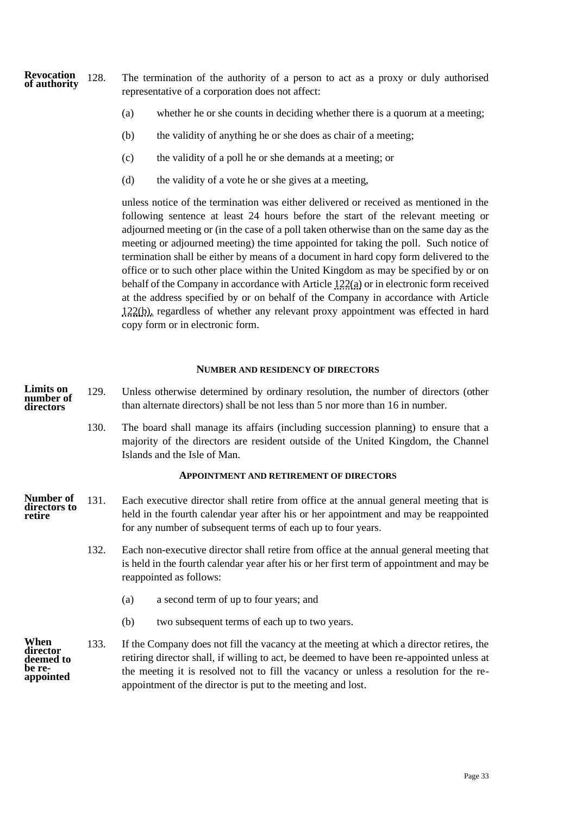- 128. The termination of the authority of a person to act as a proxy or duly authorised representative of a corporation does not affect: **Revocation of authority**
	- (a) whether he or she counts in deciding whether there is a quorum at a meeting;
	- (b) the validity of anything he or she does as chair of a meeting;
	- (c) the validity of a poll he or she demands at a meeting; or
	- (d) the validity of a vote he or she gives at a meeting,

unless notice of the termination was either delivered or received as mentioned in the following sentence at least 24 hours before the start of the relevant meeting or adjourned meeting or (in the case of a poll taken otherwise than on the same day as the meeting or adjourned meeting) the time appointed for taking the poll. Such notice of termination shall be either by means of a document in hard copy form delivered to the office or to such other place within the United Kingdom as may be specified by or on behalf of the Company in accordance with Article [122\(a\)](#page-32-0) or in electronic form received at the address specified by or on behalf of the Company in accordance with Article [122\(b\),](#page-33-0) regardless of whether any relevant proxy appointment was effected in hard copy form or in electronic form.

#### **NUMBER AND RESIDENCY OF DIRECTORS**

- <span id="page-35-2"></span><span id="page-35-0"></span>129. Unless otherwise determined by ordinary resolution, the number of directors (other than alternate directors) shall be not less than 5 nor more than 16 in number. **Limits on number of directors**
	- 130. The board shall manage its affairs (including succession planning) to ensure that a majority of the directors are resident outside of the United Kingdom, the Channel Islands and the Isle of Man.

### **APPOINTMENT AND RETIREMENT OF DIRECTORS**

- <span id="page-35-3"></span><span id="page-35-1"></span>131. Each executive director shall retire from office at the annual general meeting that is held in the fourth calendar year after his or her appointment and may be reappointed for any number of subsequent terms of each up to four years. **Number of directors to retire**
	- 132. Each non-executive director shall retire from office at the annual general meeting that is held in the fourth calendar year after his or her first term of appointment and may be reappointed as follows:
		- (a) a second term of up to four years; and
		- (b) two subsequent terms of each up to two years.
- 133. If the Company does not fill the vacancy at the meeting at which a director retires, the retiring director shall, if willing to act, be deemed to have been re-appointed unless at the meeting it is resolved not to fill the vacancy or unless a resolution for the reappointment of the director is put to the meeting and lost. **When director deemed to be reappointed**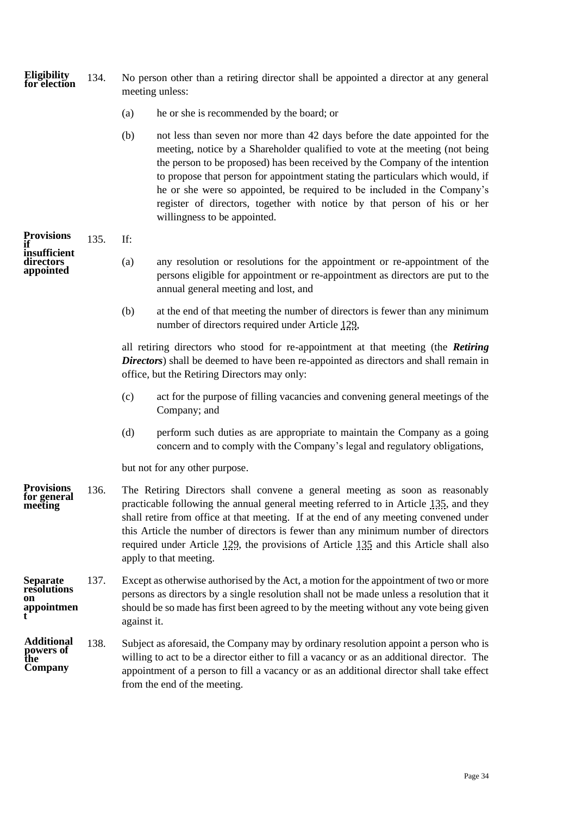<span id="page-36-0"></span>

| Eligibility<br>for election                        | 134. | No person other than a retiring director shall be appointed a director at any general<br>meeting unless:                                                                                                                                                                                     |                                                                                                                                                                                                                                                                                                                                                                                                                                                                                                                       |  |  |  |  |
|----------------------------------------------------|------|----------------------------------------------------------------------------------------------------------------------------------------------------------------------------------------------------------------------------------------------------------------------------------------------|-----------------------------------------------------------------------------------------------------------------------------------------------------------------------------------------------------------------------------------------------------------------------------------------------------------------------------------------------------------------------------------------------------------------------------------------------------------------------------------------------------------------------|--|--|--|--|
|                                                    |      | (a)                                                                                                                                                                                                                                                                                          | he or she is recommended by the board; or                                                                                                                                                                                                                                                                                                                                                                                                                                                                             |  |  |  |  |
|                                                    |      | (b)                                                                                                                                                                                                                                                                                          | not less than seven nor more than 42 days before the date appointed for the<br>meeting, notice by a Shareholder qualified to vote at the meeting (not being<br>the person to be proposed) has been received by the Company of the intention<br>to propose that person for appointment stating the particulars which would, if<br>he or she were so appointed, be required to be included in the Company's<br>register of directors, together with notice by that person of his or her<br>willingness to be appointed. |  |  |  |  |
| <b>Provisions</b>                                  | 135. | If:                                                                                                                                                                                                                                                                                          |                                                                                                                                                                                                                                                                                                                                                                                                                                                                                                                       |  |  |  |  |
| insufficient<br>directors<br>appointed             |      | (a)                                                                                                                                                                                                                                                                                          | any resolution or resolutions for the appointment or re-appointment of the<br>persons eligible for appointment or re-appointment as directors are put to the<br>annual general meeting and lost, and                                                                                                                                                                                                                                                                                                                  |  |  |  |  |
|                                                    |      | (b)                                                                                                                                                                                                                                                                                          | at the end of that meeting the number of directors is fewer than any minimum<br>number of directors required under Article 129,                                                                                                                                                                                                                                                                                                                                                                                       |  |  |  |  |
|                                                    |      | all retiring directors who stood for re-appointment at that meeting (the Retiring<br>Directors) shall be deemed to have been re-appointed as directors and shall remain in<br>office, but the Retiring Directors may only:                                                                   |                                                                                                                                                                                                                                                                                                                                                                                                                                                                                                                       |  |  |  |  |
|                                                    |      | (c)                                                                                                                                                                                                                                                                                          | act for the purpose of filling vacancies and convening general meetings of the<br>Company; and                                                                                                                                                                                                                                                                                                                                                                                                                        |  |  |  |  |
|                                                    |      | (d)                                                                                                                                                                                                                                                                                          | perform such duties as are appropriate to maintain the Company as a going<br>concern and to comply with the Company's legal and regulatory obligations,                                                                                                                                                                                                                                                                                                                                                               |  |  |  |  |
|                                                    |      |                                                                                                                                                                                                                                                                                              | but not for any other purpose.                                                                                                                                                                                                                                                                                                                                                                                                                                                                                        |  |  |  |  |
| <b>Provisions</b><br>for general<br>meeting        | 136. |                                                                                                                                                                                                                                                                                              | The Retiring Directors shall convene a general meeting as soon as reasonably<br>practicable following the annual general meeting referred to in Article 135, and they<br>shall retire from office at that meeting. If at the end of any meeting convened under<br>this Article the number of directors is fewer than any minimum number of directors<br>required under Article 129, the provisions of Article 135 and this Article shall also<br>apply to that meeting.                                               |  |  |  |  |
| <b>Separate</b><br>resolutions<br>on<br>appointmen | 137. | Except as otherwise authorised by the Act, a motion for the appointment of two or more<br>persons as directors by a single resolution shall not be made unless a resolution that it<br>should be so made has first been agreed to by the meeting without any vote being given<br>against it. |                                                                                                                                                                                                                                                                                                                                                                                                                                                                                                                       |  |  |  |  |
| <b>Additional</b><br>powers of<br>the<br>Company   | 138. |                                                                                                                                                                                                                                                                                              | Subject as aforesaid, the Company may by ordinary resolution appoint a person who is<br>willing to act to be a director either to fill a vacancy or as an additional director. The<br>appointment of a person to fill a vacancy or as an additional director shall take effect<br>from the end of the meeting.                                                                                                                                                                                                        |  |  |  |  |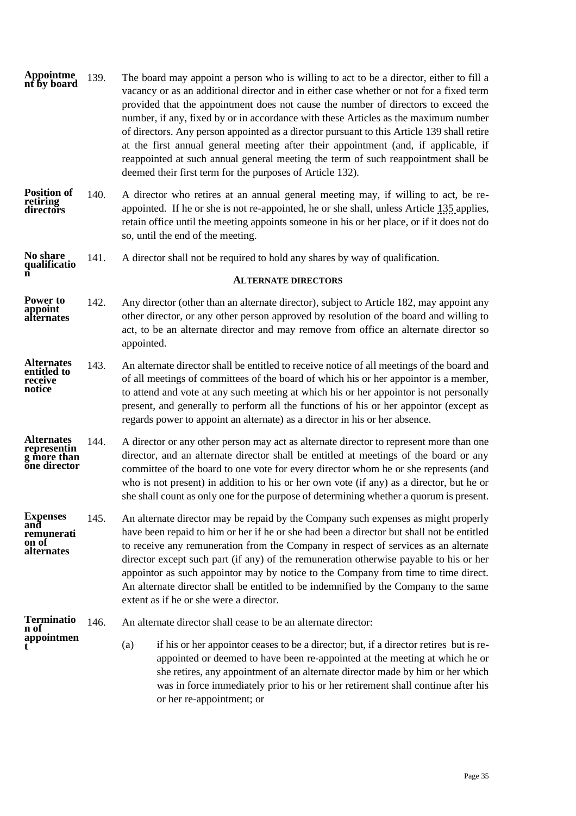- <span id="page-37-1"></span>139. The board may appoint a person who is willing to act to be a director, either to fill a vacancy or as an additional director and in either case whether or not for a fixed term provided that the appointment does not cause the number of directors to exceed the number, if any, fixed by or in accordance with these Articles as the maximum number of directors. Any person appointed as a director pursuant to this Article [139](#page-37-1) shall retire at the first annual general meeting after their appointment (and, if applicable, if reappointed at such annual general meeting the term of such reappointment shall be deemed their first term for the purposes of Article [132\)](#page-35-3). **Appointme nt by board**
- 140. A director who retires at an annual general meeting may, if willing to act, be reappointed. If he or she is not re-appointed, he or she shall, unless Article [135](#page-36-0) applies, retain office until the meeting appoints someone in his or her place, or if it does not do so, until the end of the meeting. **Position of retiring directors**
- 141. A director shall not be required to hold any shares by way of qualification. **No share qualificatio**

### **ALTERNATE DIRECTORS**

- <span id="page-37-2"></span>142. Any director (other than an alternate director), subject to Article [182,](#page-46-0) may appoint any other director, or any other person approved by resolution of the board and willing to act, to be an alternate director and may remove from office an alternate director so appointed. **Power to appoint alternates**
- 143. An alternate director shall be entitled to receive notice of all meetings of the board and of all meetings of committees of the board of which his or her appointor is a member, to attend and vote at any such meeting at which his or her appointor is not personally present, and generally to perform all the functions of his or her appointor (except as regards power to appoint an alternate) as a director in his or her absence. **Alternates entitled to receive notice**
- 144. A director or any other person may act as alternate director to represent more than one director, and an alternate director shall be entitled at meetings of the board or any committee of the board to one vote for every director whom he or she represents (and who is not present) in addition to his or her own vote (if any) as a director, but he or she shall count as only one for the purpose of determining whether a quorum is present. **Alternates representin g more than one director**
- 145. An alternate director may be repaid by the Company such expenses as might properly have been repaid to him or her if he or she had been a director but shall not be entitled to receive any remuneration from the Company in respect of services as an alternate director except such part (if any) of the remuneration otherwise payable to his or her appointor as such appointor may by notice to the Company from time to time direct. An alternate director shall be entitled to be indemnified by the Company to the same extent as if he or she were a director. **Expenses and remunerati on of alternates**

#### 146. An alternate director shall cease to be an alternate director: **Terminatio n of**

**appointmen t**

<span id="page-37-0"></span>**n**

(a) if his or her appointor ceases to be a director; but, if a director retires but is reappointed or deemed to have been re-appointed at the meeting at which he or she retires, any appointment of an alternate director made by him or her which was in force immediately prior to his or her retirement shall continue after his or her re-appointment; or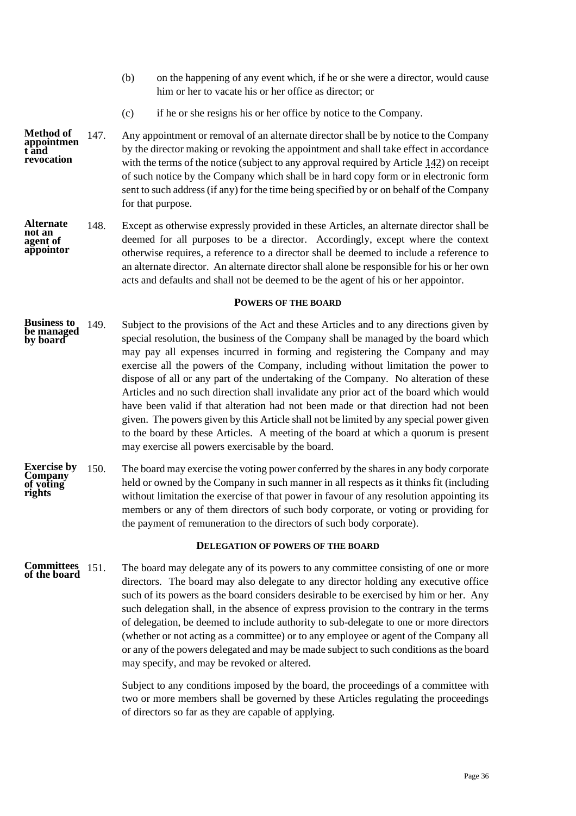- (b) on the happening of any event which, if he or she were a director, would cause him or her to vacate his or her office as director; or
- (c) if he or she resigns his or her office by notice to the Company.
- 147. Any appointment or removal of an alternate director shall be by notice to the Company by the director making or revoking the appointment and shall take effect in accordance with the terms of the notice (subject to any approval required by Article [142\)](#page-37-2) on receipt of such notice by the Company which shall be in hard copy form or in electronic form sent to such address (if any) for the time being specified by or on behalf of the Company for that purpose. **Method of appointmen t and revocation**
- 148. Except as otherwise expressly provided in these Articles, an alternate director shall be deemed for all purposes to be a director. Accordingly, except where the context otherwise requires, a reference to a director shall be deemed to include a reference to an alternate director. An alternate director shall alone be responsible for his or her own acts and defaults and shall not be deemed to be the agent of his or her appointor. **Alternate not an agent of appointor**

# **POWERS OF THE BOARD**

- <span id="page-38-0"></span>149. Subject to the provisions of the Act and these Articles and to any directions given by special resolution, the business of the Company shall be managed by the board which may pay all expenses incurred in forming and registering the Company and may exercise all the powers of the Company, including without limitation the power to dispose of all or any part of the undertaking of the Company. No alteration of these Articles and no such direction shall invalidate any prior act of the board which would have been valid if that alteration had not been made or that direction had not been given. The powers given by this Article shall not be limited by any special power given to the board by these Articles. A meeting of the board at which a quorum is present may exercise all powers exercisable by the board. **Business to be managed by board**
- 150. The board may exercise the voting power conferred by the shares in any body corporate held or owned by the Company in such manner in all respects as it thinks fit (including without limitation the exercise of that power in favour of any resolution appointing its members or any of them directors of such body corporate, or voting or providing for the payment of remuneration to the directors of such body corporate). **Exercise by Company of voting rights**

#### **DELEGATION OF POWERS OF THE BOARD**

<span id="page-38-1"></span>151. The board may delegate any of its powers to any committee consisting of one or more directors. The board may also delegate to any director holding any executive office such of its powers as the board considers desirable to be exercised by him or her. Any such delegation shall, in the absence of express provision to the contrary in the terms of delegation, be deemed to include authority to sub-delegate to one or more directors (whether or not acting as a committee) or to any employee or agent of the Company all or any of the powers delegated and may be made subject to such conditions as the board may specify, and may be revoked or altered. **Committees of the board**

> Subject to any conditions imposed by the board, the proceedings of a committee with two or more members shall be governed by these Articles regulating the proceedings of directors so far as they are capable of applying.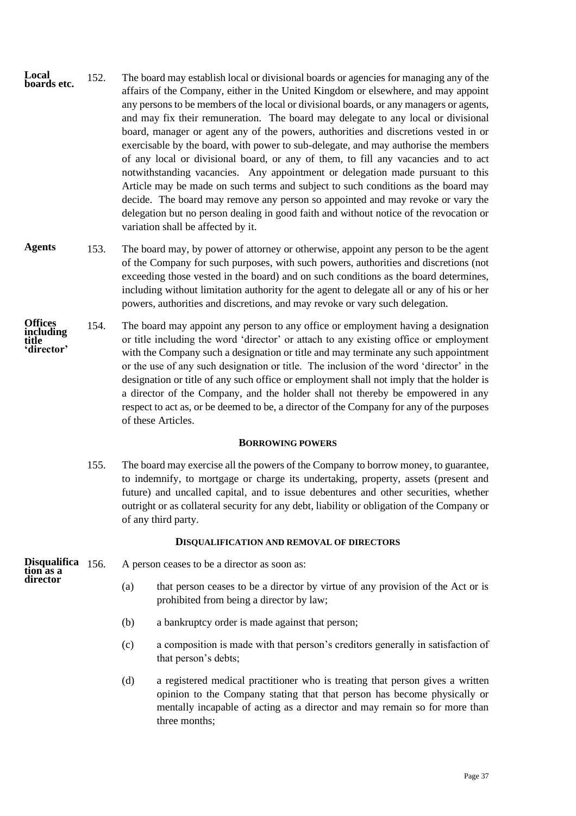- 152. The board may establish local or divisional boards or agencies for managing any of the affairs of the Company, either in the United Kingdom or elsewhere, and may appoint any persons to be members of the local or divisional boards, or any managers or agents, and may fix their remuneration. The board may delegate to any local or divisional board, manager or agent any of the powers, authorities and discretions vested in or exercisable by the board, with power to sub-delegate, and may authorise the members of any local or divisional board, or any of them, to fill any vacancies and to act notwithstanding vacancies. Any appointment or delegation made pursuant to this Article may be made on such terms and subject to such conditions as the board may decide. The board may remove any person so appointed and may revoke or vary the delegation but no person dealing in good faith and without notice of the revocation or variation shall be affected by it. **Local boards etc.**
- 153. The board may, by power of attorney or otherwise, appoint any person to be the agent of the Company for such purposes, with such powers, authorities and discretions (not exceeding those vested in the board) and on such conditions as the board determines, including without limitation authority for the agent to delegate all or any of his or her powers, authorities and discretions, and may revoke or vary such delegation. **Agents**
- 154. The board may appoint any person to any office or employment having a designation or title including the word 'director' or attach to any existing office or employment with the Company such a designation or title and may terminate any such appointment or the use of any such designation or title. The inclusion of the word 'director' in the designation or title of any such office or employment shall not imply that the holder is a director of the Company, and the holder shall not thereby be empowered in any respect to act as, or be deemed to be, a director of the Company for any of the purposes of these Articles. **Offices including title 'director'**

# **BORROWING POWERS**

<span id="page-39-0"></span>155. The board may exercise all the powers of the Company to borrow money, to guarantee, to indemnify, to mortgage or charge its undertaking, property, assets (present and future) and uncalled capital, and to issue debentures and other securities, whether outright or as collateral security for any debt, liability or obligation of the Company or of any third party.

### **DISQUALIFICATION AND REMOVAL OF DIRECTORS**

**Disqualifica tion as a director**

- <span id="page-39-1"></span>A person ceases to be a director as soon as:
	- (a) that person ceases to be a director by virtue of any provision of the Act or is prohibited from being a director by law;
	- (b) a bankruptcy order is made against that person;
	- (c) a composition is made with that person's creditors generally in satisfaction of that person's debts;
	- (d) a registered medical practitioner who is treating that person gives a written opinion to the Company stating that that person has become physically or mentally incapable of acting as a director and may remain so for more than three months;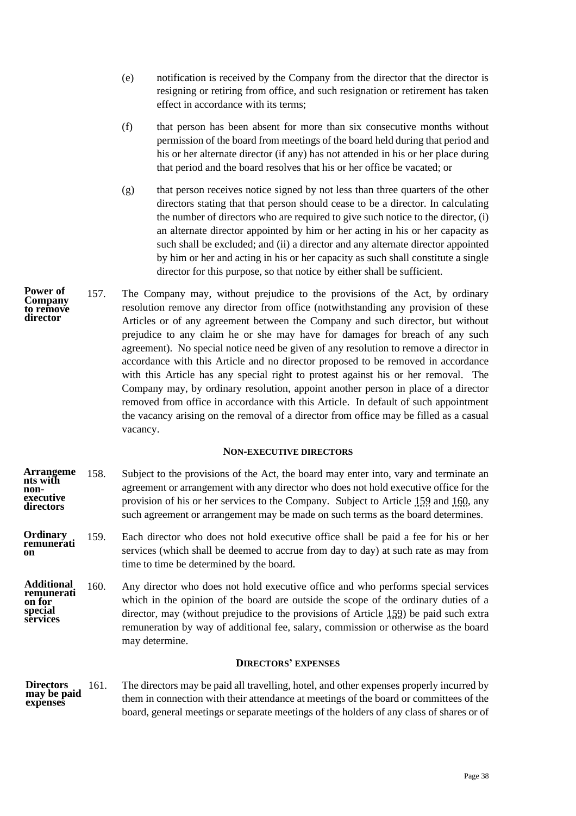- (e) notification is received by the Company from the director that the director is resigning or retiring from office, and such resignation or retirement has taken effect in accordance with its terms;
- (f) that person has been absent for more than six consecutive months without permission of the board from meetings of the board held during that period and his or her alternate director (if any) has not attended in his or her place during that period and the board resolves that his or her office be vacated; or
- (g) that person receives notice signed by not less than three quarters of the other directors stating that that person should cease to be a director. In calculating the number of directors who are required to give such notice to the director, (i) an alternate director appointed by him or her acting in his or her capacity as such shall be excluded; and (ii) a director and any alternate director appointed by him or her and acting in his or her capacity as such shall constitute a single director for this purpose, so that notice by either shall be sufficient.
- 157. The Company may, without prejudice to the provisions of the Act, by ordinary resolution remove any director from office (notwithstanding any provision of these Articles or of any agreement between the Company and such director, but without prejudice to any claim he or she may have for damages for breach of any such agreement). No special notice need be given of any resolution to remove a director in accordance with this Article and no director proposed to be removed in accordance with this Article has any special right to protest against his or her removal. The Company may, by ordinary resolution, appoint another person in place of a director removed from office in accordance with this Article. In default of such appointment the vacancy arising on the removal of a director from office may be filled as a casual vacancy. **Power of Company to remove director**

### **NON-EXECUTIVE DIRECTORS**

- <span id="page-40-0"></span>158. Subject to the provisions of the Act, the board may enter into, vary and terminate an agreement or arrangement with any director who does not hold executive office for the provision of his or her services to the Company. Subject to Article [159](#page-40-2) and [160,](#page-40-3) any such agreement or arrangement may be made on such terms as the board determines. **Arrangeme nts with nonexecutive directors**
- <span id="page-40-2"></span>159. Each director who does not hold executive office shall be paid a fee for his or her services (which shall be deemed to accrue from day to day) at such rate as may from time to time be determined by the board. **Ordinary remunerati on**
- <span id="page-40-3"></span>160. Any director who does not hold executive office and who performs special services which in the opinion of the board are outside the scope of the ordinary duties of a director, may (without prejudice to the provisions of Article [159\)](#page-40-2) be paid such extra remuneration by way of additional fee, salary, commission or otherwise as the board may determine. **Additional remunerati on for special services**

# **DIRECTORS' EXPENSES**

<span id="page-40-1"></span>161. The directors may be paid all travelling, hotel, and other expenses properly incurred by them in connection with their attendance at meetings of the board or committees of the board, general meetings or separate meetings of the holders of any class of shares or of **Directors may be paid expenses**

Page 38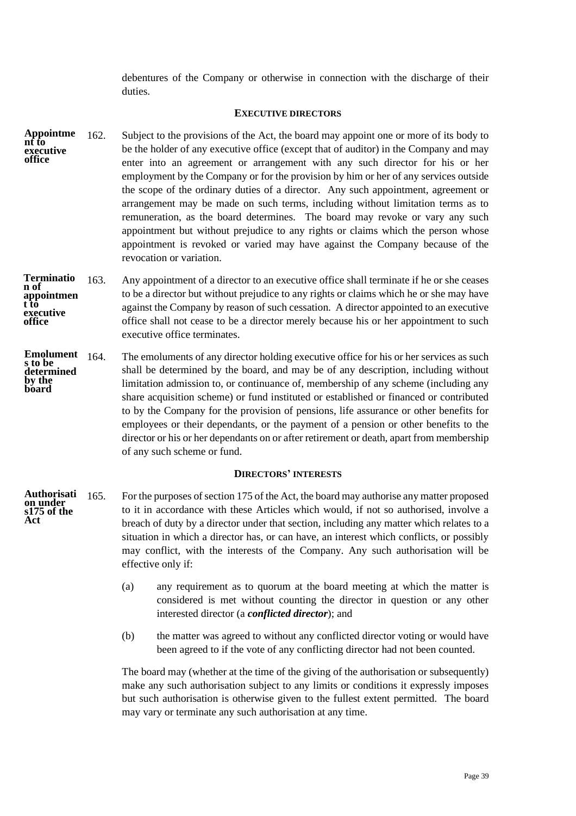<span id="page-41-0"></span>debentures of the Company or otherwise in connection with the discharge of their duties.

## **EXECUTIVE DIRECTORS**

- 162. Subject to the provisions of the Act, the board may appoint one or more of its body to be the holder of any executive office (except that of auditor) in the Company and may enter into an agreement or arrangement with any such director for his or her employment by the Company or for the provision by him or her of any services outside the scope of the ordinary duties of a director. Any such appointment, agreement or arrangement may be made on such terms, including without limitation terms as to remuneration, as the board determines. The board may revoke or vary any such appointment but without prejudice to any rights or claims which the person whose appointment is revoked or varied may have against the Company because of the revocation or variation. **Appointme nt to executive office**
- 163. Any appointment of a director to an executive office shall terminate if he or she ceases to be a director but without prejudice to any rights or claims which he or she may have against the Company by reason of such cessation. A director appointed to an executive office shall not cease to be a director merely because his or her appointment to such executive office terminates. **Terminatio n of appointmen t to executive office**
- The emoluments of any director holding executive office for his or her services as such shall be determined by the board, and may be of any description, including without limitation admission to, or continuance of, membership of any scheme (including any share acquisition scheme) or fund instituted or established or financed or contributed to by the Company for the provision of pensions, life assurance or other benefits for employees or their dependants, or the payment of a pension or other benefits to the director or his or her dependants on or after retirement or death, apart from membership of any such scheme or fund. Emolument 164. **s to be determined by the board**

# **DIRECTORS' INTERESTS**

- <span id="page-41-3"></span><span id="page-41-1"></span>165. For the purposes of section 175 of the Act, the board may authorise any matter proposed to it in accordance with these Articles which would, if not so authorised, involve a breach of duty by a director under that section, including any matter which relates to a situation in which a director has, or can have, an interest which conflicts, or possibly may conflict, with the interests of the Company. Any such authorisation will be effective only if: **Authorisati on under s175 of the Act**
	- (a) any requirement as to quorum at the board meeting at which the matter is considered is met without counting the director in question or any other interested director (a *conflicted director*); and
	- (b) the matter was agreed to without any conflicted director voting or would have been agreed to if the vote of any conflicting director had not been counted.

<span id="page-41-2"></span>The board may (whether at the time of the giving of the authorisation or subsequently) make any such authorisation subject to any limits or conditions it expressly imposes but such authorisation is otherwise given to the fullest extent permitted. The board may vary or terminate any such authorisation at any time.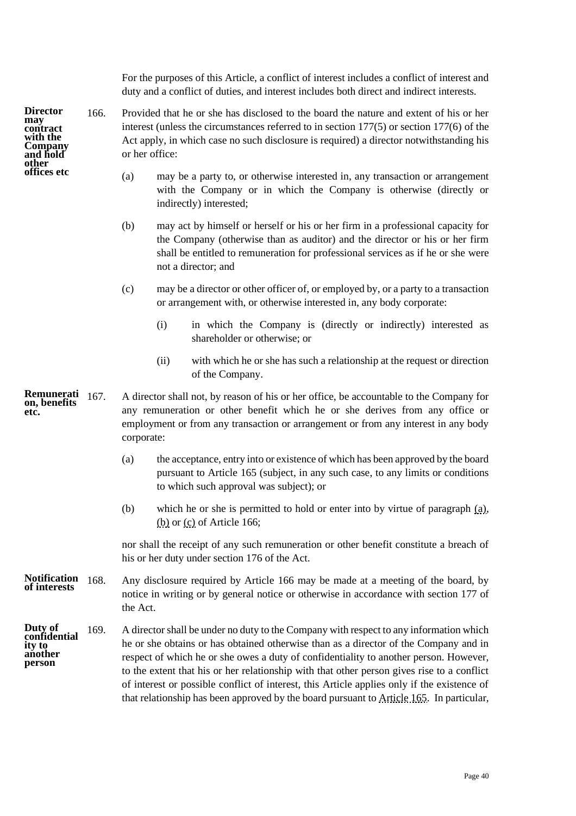For the purposes of this Article, a conflict of interest includes a conflict of interest and duty and a conflict of duties, and interest includes both direct and indirect interests.

- <span id="page-42-3"></span><span id="page-42-1"></span><span id="page-42-0"></span>166. Provided that he or she has disclosed to the board the nature and extent of his or her interest (unless the circumstances referred to in section 177(5) or section 177(6) of the Act apply, in which case no such disclosure is required) a director notwithstanding his or her office:
	- (a) may be a party to, or otherwise interested in, any transaction or arrangement with the Company or in which the Company is otherwise (directly or indirectly) interested;
	- (b) may act by himself or herself or his or her firm in a professional capacity for the Company (otherwise than as auditor) and the director or his or her firm shall be entitled to remuneration for professional services as if he or she were not a director; and
	- (c) may be a director or other officer of, or employed by, or a party to a transaction or arrangement with, or otherwise interested in, any body corporate:
		- (i) in which the Company is (directly or indirectly) interested as shareholder or otherwise; or
		- (ii) with which he or she has such a relationship at the request or direction of the Company.
- 167. A director shall not, by reason of his or her office, be accountable to the Company for any remuneration or other benefit which he or she derives from any office or employment or from any transaction or arrangement or from any interest in any body corporate: **Remunerati on, benefits etc.**
	- (a) the acceptance, entry into or existence of which has been approved by the board pursuant to Article [165](#page-41-3) (subject, in any such case, to any limits or conditions to which such approval was subject); or
	- (b) which he or she is permitted to hold or enter into by virtue of paragraph [\(a\),](#page-42-0) [\(b\)](#page-42-1) or [\(c\)](#page-42-2) of Articl[e 166;](#page-42-3)

nor shall the receipt of any such remuneration or other benefit constitute a breach of his or her duty under section 176 of the Act.

- Any disclosure required by Article [166](#page-42-3) may be made at a meeting of the board, by notice in writing or by general notice or otherwise in accordance with section 177 of the Act. **Notification of interests**
- <span id="page-42-4"></span>169. A director shall be under no duty to the Company with respect to any information which he or she obtains or has obtained otherwise than as a director of the Company and in respect of which he or she owes a duty of confidentiality to another person. However, to the extent that his or her relationship with that other person gives rise to a conflict of interest or possible conflict of interest, this Article applies only if the existence of that relationship has been approved by the board pursuant to Articl[e 165.](#page-41-3) In particular, **Duty of confidential ity to another person**

**Director may contract with the Company and hold other offices etc**

<span id="page-42-2"></span>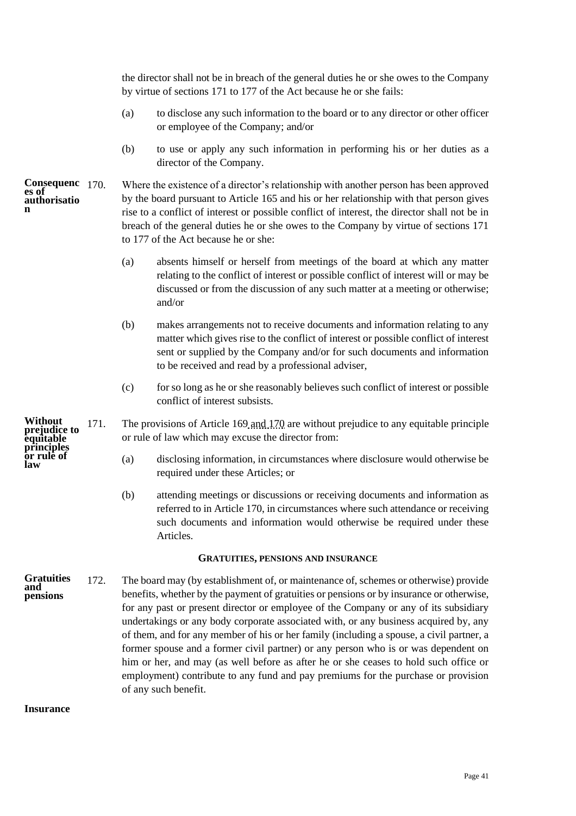the director shall not be in breach of the general duties he or she owes to the Company by virtue of sections 171 to 177 of the Act because he or she fails:

- (a) to disclose any such information to the board or to any director or other officer or employee of the Company; and/or
- <span id="page-43-2"></span>(b) to use or apply any such information in performing his or her duties as a director of the Company.
- Where the existence of a director's relationship with another person has been approved by the board pursuant to Article [165](#page-41-3) and his or her relationship with that person gives rise to a conflict of interest or possible conflict of interest, the director shall not be in breach of the general duties he or she owes to the Company by virtue of sections 171 to 177 of the Act because he or she: **Consequenc es of authorisatio n**
	- (a) absents himself or herself from meetings of the board at which any matter relating to the conflict of interest or possible conflict of interest will or may be discussed or from the discussion of any such matter at a meeting or otherwise; and/or
	- (b) makes arrangements not to receive documents and information relating to any matter which gives rise to the conflict of interest or possible conflict of interest sent or supplied by the Company and/or for such documents and information to be received and read by a professional adviser,
	- (c) for so long as he or she reasonably believes such conflict of interest or possible conflict of interest subsists.
	- 171. The provisions of Article [169](#page-42-4) and [170](#page-43-2) are without prejudice to any equitable principle or rule of law which may excuse the director from:
		- (a) disclosing information, in circumstances where disclosure would otherwise be required under these Articles; or
		- (b) attending meetings or discussions or receiving documents and information as referred to in Article [170,](#page-43-2) in circumstances where such attendance or receiving such documents and information would otherwise be required under these Articles.

# **GRATUITIES, PENSIONS AND INSURANCE**

<span id="page-43-0"></span>172. The board may (by establishment of, or maintenance of, schemes or otherwise) provide benefits, whether by the payment of gratuities or pensions or by insurance or otherwise, for any past or present director or employee of the Company or any of its subsidiary undertakings or any body corporate associated with, or any business acquired by, any of them, and for any member of his or her family (including a spouse, a civil partner, a former spouse and a former civil partner) or any person who is or was dependent on him or her, and may (as well before as after he or she ceases to hold such office or employment) contribute to any fund and pay premiums for the purchase or provision of any such benefit. **Gratuities and pensions**

**Insurance**

<span id="page-43-1"></span>**Without prejudice to equitable principles or rule of law**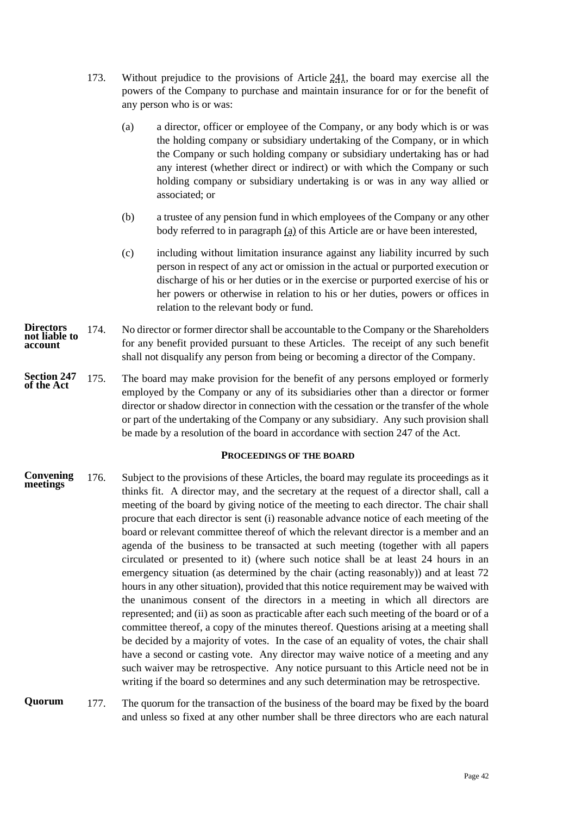- <span id="page-44-1"></span>173. Without prejudice to the provisions of Article [241,](#page-61-2) the board may exercise all the powers of the Company to purchase and maintain insurance for or for the benefit of any person who is or was:
	- (a) a director, officer or employee of the Company, or any body which is or was the holding company or subsidiary undertaking of the Company, or in which the Company or such holding company or subsidiary undertaking has or had any interest (whether direct or indirect) or with which the Company or such holding company or subsidiary undertaking is or was in any way allied or associated; or
	- (b) a trustee of any pension fund in which employees of the Company or any other body referred to in paragraph [\(a\)](#page-44-1) of this Article are or have been interested,
	- (c) including without limitation insurance against any liability incurred by such person in respect of any act or omission in the actual or purported execution or discharge of his or her duties or in the exercise or purported exercise of his or her powers or otherwise in relation to his or her duties, powers or offices in relation to the relevant body or fund.
- 174. No director or former director shall be accountable to the Company or the Shareholders for any benefit provided pursuant to these Articles. The receipt of any such benefit shall not disqualify any person from being or becoming a director of the Company. **Directors not liable to account**
- 175. The board may make provision for the benefit of any persons employed or formerly employed by the Company or any of its subsidiaries other than a director or former director or shadow director in connection with the cessation or the transfer of the whole or part of the undertaking of the Company or any subsidiary. Any such provision shall be made by a resolution of the board in accordance with section 247 of the Act. **Section 247 of the Act**

### **PROCEEDINGS OF THE BOARD**

- <span id="page-44-2"></span><span id="page-44-0"></span>176. Subject to the provisions of these Articles, the board may regulate its proceedings as it thinks fit. A director may, and the secretary at the request of a director shall, call a meeting of the board by giving notice of the meeting to each director. The chair shall procure that each director is sent (i) reasonable advance notice of each meeting of the board or relevant committee thereof of which the relevant director is a member and an agenda of the business to be transacted at such meeting (together with all papers circulated or presented to it) (where such notice shall be at least 24 hours in an emergency situation (as determined by the chair (acting reasonably)) and at least 72 hours in any other situation), provided that this notice requirement may be waived with the unanimous consent of the directors in a meeting in which all directors are represented; and (ii) as soon as practicable after each such meeting of the board or of a committee thereof, a copy of the minutes thereof. Questions arising at a meeting shall be decided by a majority of votes. In the case of an equality of votes, the chair shall have a second or casting vote. Any director may waive notice of a meeting and any such waiver may be retrospective. Any notice pursuant to this Article need not be in writing if the board so determines and any such determination may be retrospective. **Convening meetings**
- <span id="page-44-3"></span>177. The quorum for the transaction of the business of the board may be fixed by the board and unless so fixed at any other number shall be three directors who are each natural **Quorum**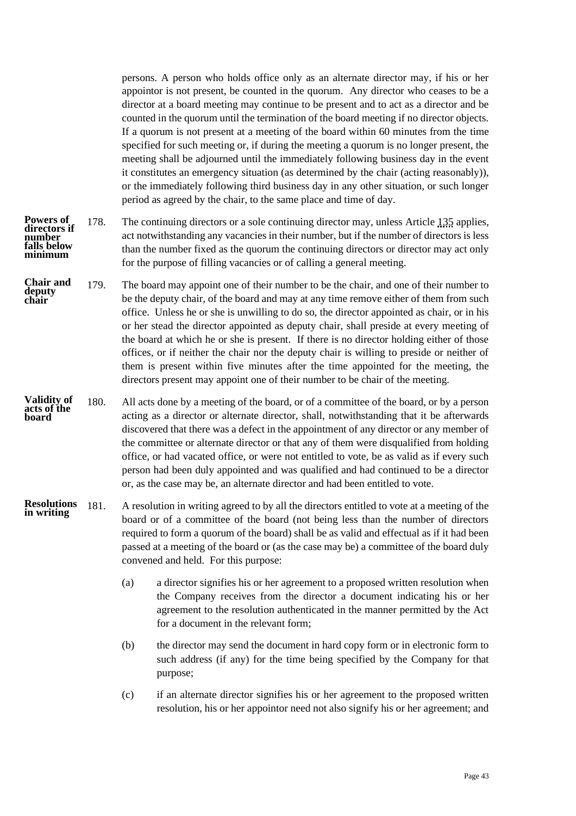persons. A person who holds office only as an alternate director may, if his or her appointor is not present, be counted in the quorum. Any director who ceases to be a director at a board meeting may continue to be present and to act as a director and be counted in the quorum until the termination of the board meeting if no director objects. If a quorum is not present at a meeting of the board within 60 minutes from the time specified for such meeting or, if during the meeting a quorum is no longer present, the meeting shall be adjourned until the immediately following business day in the event it constitutes an emergency situation (as determined by the chair (acting reasonably)), or the immediately following third business day in any other situation, or such longer period as agreed by the chair, to the same place and time of day.

- 178. The continuing directors or a sole continuing director may, unless Article [135](#page-36-0) applies, act notwithstanding any vacancies in their number, but if the number of directors is less than the number fixed as the quorum the continuing directors or director may act only for the purpose of filling vacancies or of calling a general meeting. **Powers of directors if number falls below minimum**
- <span id="page-45-0"></span>179. The board may appoint one of their number to be the chair, and one of their number to be the deputy chair, of the board and may at any time remove either of them from such office. Unless he or she is unwilling to do so, the director appointed as chair, or in his or her stead the director appointed as deputy chair, shall preside at every meeting of the board at which he or she is present. If there is no director holding either of those offices, or if neither the chair nor the deputy chair is willing to preside or neither of them is present within five minutes after the time appointed for the meeting, the directors present may appoint one of their number to be chair of the meeting. **Chair and deputy chair**
- <span id="page-45-1"></span>180. All acts done by a meeting of the board, or of a committee of the board, or by a person acting as a director or alternate director, shall, notwithstanding that it be afterwards discovered that there was a defect in the appointment of any director or any member of the committee or alternate director or that any of them were disqualified from holding office, or had vacated office, or were not entitled to vote, be as valid as if every such person had been duly appointed and was qualified and had continued to be a director or, as the case may be, an alternate director and had been entitled to vote. **Validity of acts of the board**
- 181. A resolution in writing agreed to by all the directors entitled to vote at a meeting of the board or of a committee of the board (not being less than the number of directors required to form a quorum of the board) shall be as valid and effectual as if it had been passed at a meeting of the board or (as the case may be) a committee of the board duly convened and held. For this purpose: **Resolutions in writing**
	- (a) a director signifies his or her agreement to a proposed written resolution when the Company receives from the director a document indicating his or her agreement to the resolution authenticated in the manner permitted by the Act for a document in the relevant form;
	- (b) the director may send the document in hard copy form or in electronic form to such address (if any) for the time being specified by the Company for that purpose;
	- (c) if an alternate director signifies his or her agreement to the proposed written resolution, his or her appointor need not also signify his or her agreement; and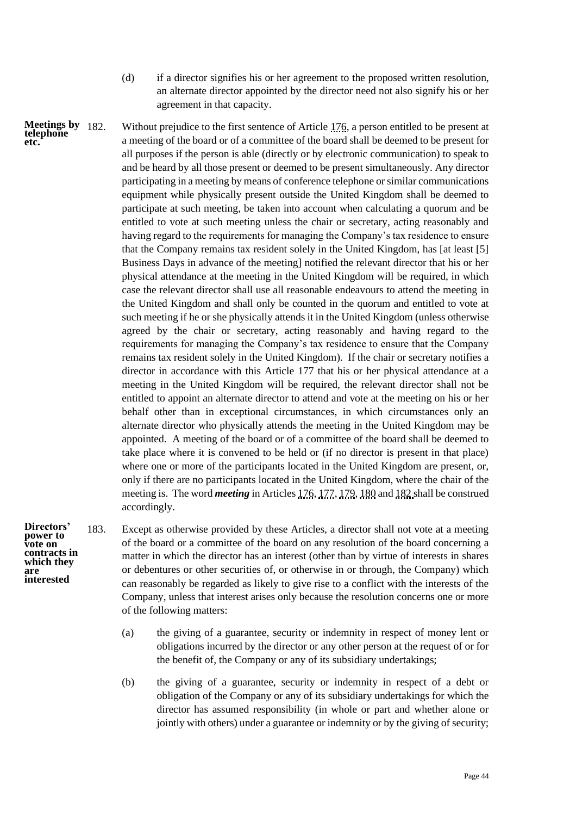<span id="page-46-0"></span>(d) if a director signifies his or her agreement to the proposed written resolution, an alternate director appointed by the director need not also signify his or her agreement in that capacity.

Without prejudice to the first sentence of Article  $176$ , a person entitled to be present at a meeting of the board or of a committee of the board shall be deemed to be present for all purposes if the person is able (directly or by electronic communication) to speak to and be heard by all those present or deemed to be present simultaneously. Any director participating in a meeting by means of conference telephone or similar communications equipment while physically present outside the United Kingdom shall be deemed to participate at such meeting, be taken into account when calculating a quorum and be entitled to vote at such meeting unless the chair or secretary, acting reasonably and having regard to the requirements for managing the Company's tax residence to ensure that the Company remains tax resident solely in the United Kingdom, has [at least [5] Business Days in advance of the meeting] notified the relevant director that his or her physical attendance at the meeting in the United Kingdom will be required, in which case the relevant director shall use all reasonable endeavours to attend the meeting in the United Kingdom and shall only be counted in the quorum and entitled to vote at such meeting if he or she physically attends it in the United Kingdom (unless otherwise agreed by the chair or secretary, acting reasonably and having regard to the requirements for managing the Company's tax residence to ensure that the Company remains tax resident solely in the United Kingdom). If the chair or secretary notifies a director in accordance with this Article 177 that his or her physical attendance at a meeting in the United Kingdom will be required, the relevant director shall not be entitled to appoint an alternate director to attend and vote at the meeting on his or her behalf other than in exceptional circumstances, in which circumstances only an alternate director who physically attends the meeting in the United Kingdom may be appointed. A meeting of the board or of a committee of the board shall be deemed to take place where it is convened to be held or (if no director is present in that place) where one or more of the participants located in the United Kingdom are present, or, only if there are no participants located in the United Kingdom, where the chair of the meeting is. The word *meeting* in Article[s 176,](#page-44-2) [177,](#page-44-3) [179,](#page-45-0) [180](#page-45-1) an[d 182](#page-46-0) shall be construed accordingly. **Meetings by** 

**Directors' power to vote on contracts in which they are interested**

**telephone etc.**

- 183. Except as otherwise provided by these Articles, a director shall not vote at a meeting of the board or a committee of the board on any resolution of the board concerning a matter in which the director has an interest (other than by virtue of interests in shares or debentures or other securities of, or otherwise in or through, the Company) which can reasonably be regarded as likely to give rise to a conflict with the interests of the Company, unless that interest arises only because the resolution concerns one or more of the following matters:
	- (a) the giving of a guarantee, security or indemnity in respect of money lent or obligations incurred by the director or any other person at the request of or for the benefit of, the Company or any of its subsidiary undertakings;
	- (b) the giving of a guarantee, security or indemnity in respect of a debt or obligation of the Company or any of its subsidiary undertakings for which the director has assumed responsibility (in whole or part and whether alone or jointly with others) under a guarantee or indemnity or by the giving of security;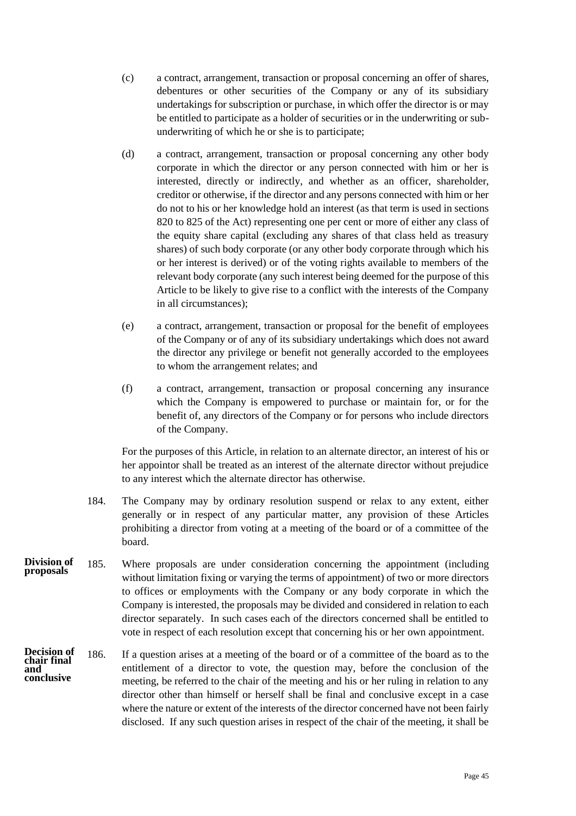- (c) a contract, arrangement, transaction or proposal concerning an offer of shares, debentures or other securities of the Company or any of its subsidiary undertakings for subscription or purchase, in which offer the director is or may be entitled to participate as a holder of securities or in the underwriting or subunderwriting of which he or she is to participate;
- (d) a contract, arrangement, transaction or proposal concerning any other body corporate in which the director or any person connected with him or her is interested, directly or indirectly, and whether as an officer, shareholder, creditor or otherwise, if the director and any persons connected with him or her do not to his or her knowledge hold an interest (as that term is used in sections 820 to 825 of the Act) representing one per cent or more of either any class of the equity share capital (excluding any shares of that class held as treasury shares) of such body corporate (or any other body corporate through which his or her interest is derived) or of the voting rights available to members of the relevant body corporate (any such interest being deemed for the purpose of this Article to be likely to give rise to a conflict with the interests of the Company in all circumstances);
- (e) a contract, arrangement, transaction or proposal for the benefit of employees of the Company or of any of its subsidiary undertakings which does not award the director any privilege or benefit not generally accorded to the employees to whom the arrangement relates; and
- (f) a contract, arrangement, transaction or proposal concerning any insurance which the Company is empowered to purchase or maintain for, or for the benefit of, any directors of the Company or for persons who include directors of the Company.

For the purposes of this Article, in relation to an alternate director, an interest of his or her appointor shall be treated as an interest of the alternate director without prejudice to any interest which the alternate director has otherwise.

- 184. The Company may by ordinary resolution suspend or relax to any extent, either generally or in respect of any particular matter, any provision of these Articles prohibiting a director from voting at a meeting of the board or of a committee of the board.
- 185. Where proposals are under consideration concerning the appointment (including without limitation fixing or varying the terms of appointment) of two or more directors to offices or employments with the Company or any body corporate in which the Company is interested, the proposals may be divided and considered in relation to each director separately. In such cases each of the directors concerned shall be entitled to vote in respect of each resolution except that concerning his or her own appointment. **Division of proposals**
- 186. If a question arises at a meeting of the board or of a committee of the board as to the entitlement of a director to vote, the question may, before the conclusion of the meeting, be referred to the chair of the meeting and his or her ruling in relation to any director other than himself or herself shall be final and conclusive except in a case where the nature or extent of the interests of the director concerned have not been fairly disclosed. If any such question arises in respect of the chair of the meeting, it shall be **Decision of chair final and conclusive**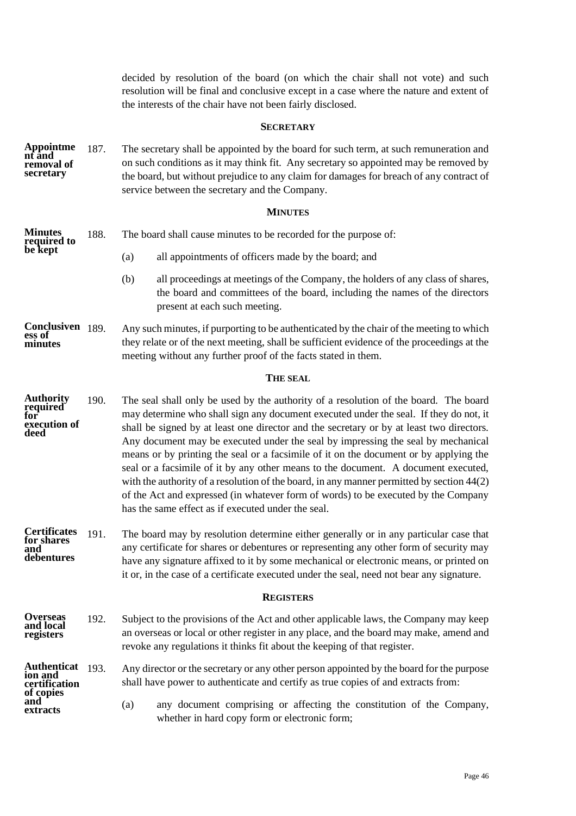<span id="page-48-0"></span>decided by resolution of the board (on which the chair shall not vote) and such resolution will be final and conclusive except in a case where the nature and extent of the interests of the chair have not been fairly disclosed.

### **SECRETARY**

187. The secretary shall be appointed by the board for such term, at such remuneration and on such conditions as it may think fit. Any secretary so appointed may be removed by the board, but without prejudice to any claim for damages for breach of any contract of service between the secretary and the Company. **Appointme nt and removal of secretary**

### **MINUTES**

<span id="page-48-1"></span>188. The board shall cause minutes to be recorded for the purpose of: (a) all appointments of officers made by the board; and (b) all proceedings at meetings of the Company, the holders of any class of shares, the board and committees of the board, including the names of the directors present at each such meeting. Any such minutes, if purporting to be authenticated by the chair of the meeting to which **Minutes required to be kept** Conclusiven 189.

they relate or of the next meeting, shall be sufficient evidence of the proceedings at the meeting without any further proof of the facts stated in them. **ess of minutes**

#### **THE SEAL**

- <span id="page-48-2"></span>190. The seal shall only be used by the authority of a resolution of the board. The board may determine who shall sign any document executed under the seal. If they do not, it shall be signed by at least one director and the secretary or by at least two directors. Any document may be executed under the seal by impressing the seal by mechanical means or by printing the seal or a facsimile of it on the document or by applying the seal or a facsimile of it by any other means to the document. A document executed, with the authority of a resolution of the board, in any manner permitted by section 44(2) of the Act and expressed (in whatever form of words) to be executed by the Company has the same effect as if executed under the seal. **Authority required for execution of deed**
- <span id="page-48-4"></span>191. The board may by resolution determine either generally or in any particular case that any certificate for shares or debentures or representing any other form of security may have any signature affixed to it by some mechanical or electronic means, or printed on it or, in the case of a certificate executed under the seal, need not bear any signature. **Certificates for shares and debentures**

#### **REGISTERS**

- <span id="page-48-3"></span>192. Subject to the provisions of the Act and other applicable laws, the Company may keep an overseas or local or other register in any place, and the board may make, amend and revoke any regulations it thinks fit about the keeping of that register. **Overseas and local registers**
- Any director or the secretary or any other person appointed by the board for the purpose shall have power to authenticate and certify as true copies of and extracts from: Authenticat 193. **ion and certification of copies**

**and extracts** (a) any document comprising or affecting the constitution of the Company, whether in hard copy form or electronic form;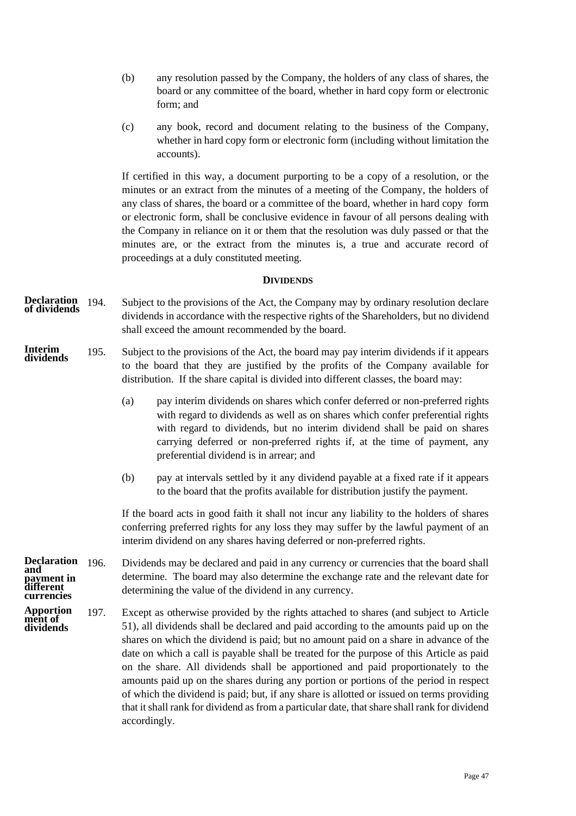- (b) any resolution passed by the Company, the holders of any class of shares, the board or any committee of the board, whether in hard copy form or electronic form; and
- (c) any book, record and document relating to the business of the Company, whether in hard copy form or electronic form (including without limitation the accounts).

If certified in this way, a document purporting to be a copy of a resolution, or the minutes or an extract from the minutes of a meeting of the Company, the holders of any class of shares, the board or a committee of the board, whether in hard copy form or electronic form, shall be conclusive evidence in favour of all persons dealing with the Company in reliance on it or them that the resolution was duly passed or that the minutes are, or the extract from the minutes is, a true and accurate record of proceedings at a duly constituted meeting.

### **DIVIDENDS**

- <span id="page-49-0"></span>Subject to the provisions of the Act, the Company may by ordinary resolution declare dividends in accordance with the respective rights of the Shareholders, but no dividend shall exceed the amount recommended by the board. **Declaration of dividends**
- 195. Subject to the provisions of the Act, the board may pay interim dividends if it appears to the board that they are justified by the profits of the Company available for distribution. If the share capital is divided into different classes, the board may: **Interim dividends**
	- (a) pay interim dividends on shares which confer deferred or non-preferred rights with regard to dividends as well as on shares which confer preferential rights with regard to dividends, but no interim dividend shall be paid on shares carrying deferred or non-preferred rights if, at the time of payment, any preferential dividend is in arrear; and
	- (b) pay at intervals settled by it any dividend payable at a fixed rate if it appears to the board that the profits available for distribution justify the payment.

If the board acts in good faith it shall not incur any liability to the holders of shares conferring preferred rights for any loss they may suffer by the lawful payment of an interim dividend on any shares having deferred or non-preferred rights.

- 196. Dividends may be declared and paid in any currency or currencies that the board shall determine. The board may also determine the exchange rate and the relevant date for determining the value of the dividend in any currency. **Declaration and payment in different currencies**
- 197. Except as otherwise provided by the rights attached to shares (and subject to Article 51), all dividends shall be declared and paid according to the amounts paid up on the shares on which the dividend is paid; but no amount paid on a share in advance of the date on which a call is payable shall be treated for the purpose of this Article as paid on the share. All dividends shall be apportioned and paid proportionately to the amounts paid up on the shares during any portion or portions of the period in respect of which the dividend is paid; but, if any share is allotted or issued on terms providing that it shall rank for dividend as from a particular date, that share shall rank for dividend accordingly. **Apportion ment of dividends**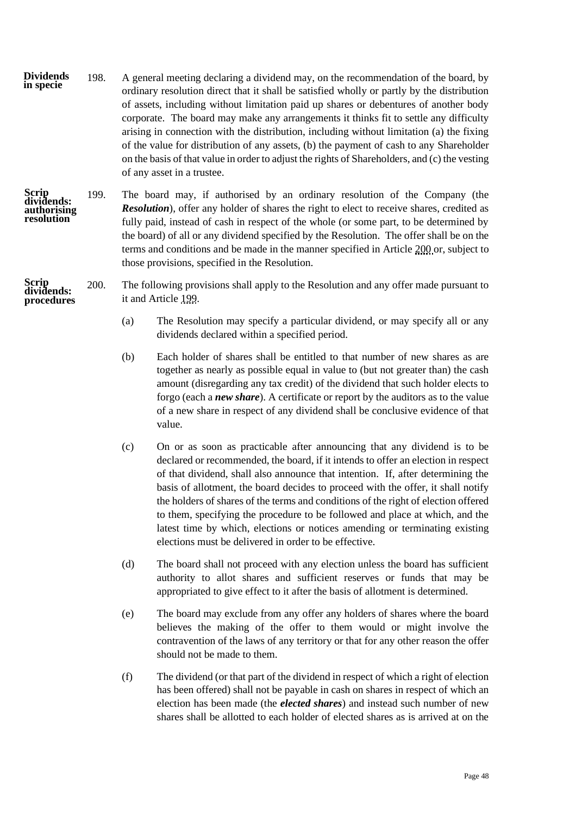- 198. A general meeting declaring a dividend may, on the recommendation of the board, by ordinary resolution direct that it shall be satisfied wholly or partly by the distribution of assets, including without limitation paid up shares or debentures of another body corporate. The board may make any arrangements it thinks fit to settle any difficulty arising in connection with the distribution, including without limitation (a) the fixing of the value for distribution of any assets, (b) the payment of cash to any Shareholder on the basis of that value in order to adjust the rights of Shareholders, and (c) the vesting of any asset in a trustee. **Dividends in specie**
- **Scrip dividends: authorising resolution**

<span id="page-50-2"></span><span id="page-50-1"></span>**Scrip** 

- <span id="page-50-0"></span>199. The board may, if authorised by an ordinary resolution of the Company (the *Resolution*), offer any holder of shares the right to elect to receive shares, credited as fully paid, instead of cash in respect of the whole (or some part, to be determined by the board) of all or any dividend specified by the Resolution. The offer shall be on the terms and conditions and be made in the manner specified in Articl[e 200](#page-50-1) or, subject to those provisions, specified in the Resolution.
- 200. The following provisions shall apply to the Resolution and any offer made pursuant to it and Article [199.](#page-50-0) **dividends: procedures**
	- (a) The Resolution may specify a particular dividend, or may specify all or any dividends declared within a specified period.
	- (b) Each holder of shares shall be entitled to that number of new shares as are together as nearly as possible equal in value to (but not greater than) the cash amount (disregarding any tax credit) of the dividend that such holder elects to forgo (each a *new share*). A certificate or report by the auditors as to the value of a new share in respect of any dividend shall be conclusive evidence of that value.
	- (c) On or as soon as practicable after announcing that any dividend is to be declared or recommended, the board, if it intends to offer an election in respect of that dividend, shall also announce that intention. If, after determining the basis of allotment, the board decides to proceed with the offer, it shall notify the holders of shares of the terms and conditions of the right of election offered to them, specifying the procedure to be followed and place at which, and the latest time by which, elections or notices amending or terminating existing elections must be delivered in order to be effective.
	- (d) The board shall not proceed with any election unless the board has sufficient authority to allot shares and sufficient reserves or funds that may be appropriated to give effect to it after the basis of allotment is determined.
	- (e) The board may exclude from any offer any holders of shares where the board believes the making of the offer to them would or might involve the contravention of the laws of any territory or that for any other reason the offer should not be made to them.
	- (f) The dividend (or that part of the dividend in respect of which a right of election has been offered) shall not be payable in cash on shares in respect of which an election has been made (the *elected shares*) and instead such number of new shares shall be allotted to each holder of elected shares as is arrived at on the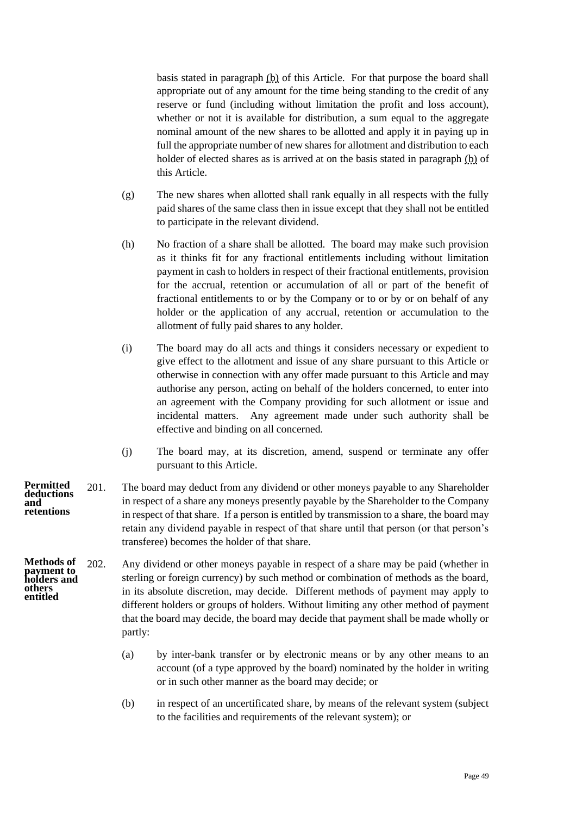basis stated in paragraph [\(b\)](#page-50-2) of this Article. For that purpose the board shall appropriate out of any amount for the time being standing to the credit of any reserve or fund (including without limitation the profit and loss account), whether or not it is available for distribution, a sum equal to the aggregate nominal amount of the new shares to be allotted and apply it in paying up in full the appropriate number of new shares for allotment and distribution to each holder of elected shares as is arrived at on the basis stated in paragraph [\(b\)](#page-50-2) of this Article.

- (g) The new shares when allotted shall rank equally in all respects with the fully paid shares of the same class then in issue except that they shall not be entitled to participate in the relevant dividend.
- (h) No fraction of a share shall be allotted. The board may make such provision as it thinks fit for any fractional entitlements including without limitation payment in cash to holders in respect of their fractional entitlements, provision for the accrual, retention or accumulation of all or part of the benefit of fractional entitlements to or by the Company or to or by or on behalf of any holder or the application of any accrual, retention or accumulation to the allotment of fully paid shares to any holder.
- (i) The board may do all acts and things it considers necessary or expedient to give effect to the allotment and issue of any share pursuant to this Article or otherwise in connection with any offer made pursuant to this Article and may authorise any person, acting on behalf of the holders concerned, to enter into an agreement with the Company providing for such allotment or issue and incidental matters. Any agreement made under such authority shall be effective and binding on all concerned.
- <span id="page-51-0"></span>(j) The board may, at its discretion, amend, suspend or terminate any offer pursuant to this Article.
- 201. The board may deduct from any dividend or other moneys payable to any Shareholder in respect of a share any moneys presently payable by the Shareholder to the Company in respect of that share. If a person is entitled by transmission to a share, the board may retain any dividend payable in respect of that share until that person (or that person's transferee) becomes the holder of that share. **Permitted deductions and retentions**
- <span id="page-51-1"></span>202. Any dividend or other moneys payable in respect of a share may be paid (whether in sterling or foreign currency) by such method or combination of methods as the board, in its absolute discretion, may decide. Different methods of payment may apply to different holders or groups of holders. Without limiting any other method of payment that the board may decide, the board may decide that payment shall be made wholly or partly: **Methods of payment to holders and others entitled**
	- (a) by inter-bank transfer or by electronic means or by any other means to an account (of a type approved by the board) nominated by the holder in writing or in such other manner as the board may decide; or
	- (b) in respect of an uncertificated share, by means of the relevant system (subject to the facilities and requirements of the relevant system); or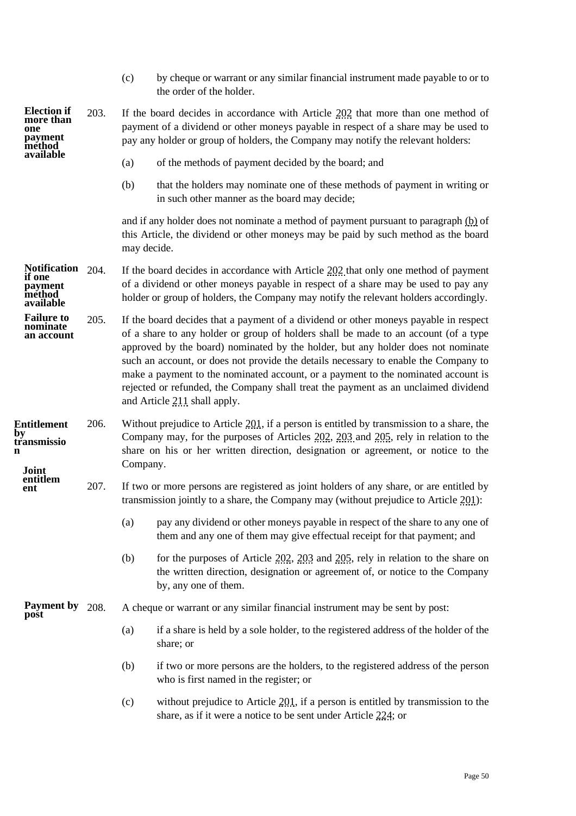<span id="page-52-2"></span><span id="page-52-1"></span><span id="page-52-0"></span>

|                                                                          |      | (c)                                                                                                                                                                                                                                                                                                                                                                                                                                                                                                                                                               | by cheque or warrant or any similar financial instrument made payable to or to<br>the order of the holder.                                                                                     |  |  |  |  |
|--------------------------------------------------------------------------|------|-------------------------------------------------------------------------------------------------------------------------------------------------------------------------------------------------------------------------------------------------------------------------------------------------------------------------------------------------------------------------------------------------------------------------------------------------------------------------------------------------------------------------------------------------------------------|------------------------------------------------------------------------------------------------------------------------------------------------------------------------------------------------|--|--|--|--|
| <b>Election if</b><br>more than<br>one<br>payment<br>method<br>available | 203. | If the board decides in accordance with Article $202$ that more than one method of<br>payment of a dividend or other moneys payable in respect of a share may be used to<br>pay any holder or group of holders, the Company may notify the relevant holders:                                                                                                                                                                                                                                                                                                      |                                                                                                                                                                                                |  |  |  |  |
|                                                                          |      | (a)                                                                                                                                                                                                                                                                                                                                                                                                                                                                                                                                                               | of the methods of payment decided by the board; and                                                                                                                                            |  |  |  |  |
|                                                                          |      | (b)                                                                                                                                                                                                                                                                                                                                                                                                                                                                                                                                                               | that the holders may nominate one of these methods of payment in writing or<br>in such other manner as the board may decide;                                                                   |  |  |  |  |
|                                                                          |      | may decide.                                                                                                                                                                                                                                                                                                                                                                                                                                                                                                                                                       | and if any holder does not nominate a method of payment pursuant to paragraph (b) of<br>this Article, the dividend or other moneys may be paid by such method as the board                     |  |  |  |  |
| <b>Notification</b><br>if one<br>payment<br>method<br>available          | 204. | If the board decides in accordance with Article $202$ that only one method of payment<br>of a dividend or other moneys payable in respect of a share may be used to pay any<br>holder or group of holders, the Company may notify the relevant holders accordingly.                                                                                                                                                                                                                                                                                               |                                                                                                                                                                                                |  |  |  |  |
| <b>Failure to</b><br>minate<br>an account                                | 205. | If the board decides that a payment of a dividend or other moneys payable in respect<br>of a share to any holder or group of holders shall be made to an account (of a type<br>approved by the board) nominated by the holder, but any holder does not nominate<br>such an account, or does not provide the details necessary to enable the Company to<br>make a payment to the nominated account, or a payment to the nominated account is<br>rejected or refunded, the Company shall treat the payment as an unclaimed dividend<br>and Article 211 shall apply. |                                                                                                                                                                                                |  |  |  |  |
| <b>Entitlement</b><br>by<br>transmissio<br>Joint                         | 206. | Without prejudice to Article $201$ , if a person is entitled by transmission to a share, the<br>Company may, for the purposes of Articles 202, 203 and 205, rely in relation to the<br>share on his or her written direction, designation or agreement, or notice to the<br>Company.                                                                                                                                                                                                                                                                              |                                                                                                                                                                                                |  |  |  |  |
| entitlem<br>ent                                                          | 207. |                                                                                                                                                                                                                                                                                                                                                                                                                                                                                                                                                                   | If two or more persons are registered as joint holders of any share, or are entitled by<br>transmission jointly to a share, the Company may (without prejudice to Article 201):                |  |  |  |  |
|                                                                          |      | (a)                                                                                                                                                                                                                                                                                                                                                                                                                                                                                                                                                               | pay any dividend or other moneys payable in respect of the share to any one of<br>them and any one of them may give effectual receipt for that payment; and                                    |  |  |  |  |
|                                                                          |      | (b)                                                                                                                                                                                                                                                                                                                                                                                                                                                                                                                                                               | for the purposes of Article $202$ , $203$ and $205$ , rely in relation to the share on<br>the written direction, designation or agreement of, or notice to the Company<br>by, any one of them. |  |  |  |  |
| <b>Payment by</b><br>post                                                | 208. |                                                                                                                                                                                                                                                                                                                                                                                                                                                                                                                                                                   | A cheque or warrant or any similar financial instrument may be sent by post:                                                                                                                   |  |  |  |  |
|                                                                          |      | (a)                                                                                                                                                                                                                                                                                                                                                                                                                                                                                                                                                               | if a share is held by a sole holder, to the registered address of the holder of the<br>share; or                                                                                               |  |  |  |  |
|                                                                          |      | (b)                                                                                                                                                                                                                                                                                                                                                                                                                                                                                                                                                               | if two or more persons are the holders, to the registered address of the person<br>who is first named in the register; or                                                                      |  |  |  |  |
|                                                                          |      | (c)                                                                                                                                                                                                                                                                                                                                                                                                                                                                                                                                                               | without prejudice to Article 201, if a person is entitled by transmission to the<br>share, as if it were a notice to be sent under Article 224; or                                             |  |  |  |  |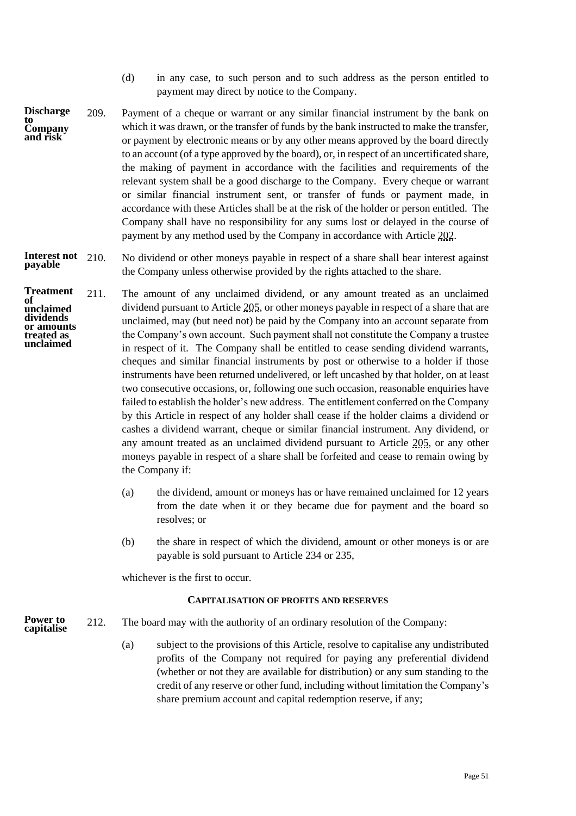- (d) in any case, to such person and to such address as the person entitled to payment may direct by notice to the Company.
- 209. Payment of a cheque or warrant or any similar financial instrument by the bank on which it was drawn, or the transfer of funds by the bank instructed to make the transfer, or payment by electronic means or by any other means approved by the board directly to an account (of a type approved by the board), or, in respect of an uncertificated share, the making of payment in accordance with the facilities and requirements of the relevant system shall be a good discharge to the Company. Every cheque or warrant or similar financial instrument sent, or transfer of funds or payment made, in accordance with these Articles shall be at the risk of the holder or person entitled. The Company shall have no responsibility for any sums lost or delayed in the course of payment by any method used by the Company in accordance with Article [202.](#page-51-1) **Discharge to Company and risk**

#### 210. No dividend or other moneys payable in respect of a share shall bear interest against the Company unless otherwise provided by the rights attached to the share. **Interest not payable**

- <span id="page-53-1"></span>211. The amount of any unclaimed dividend, or any amount treated as an unclaimed dividend pursuant to Article [205,](#page-52-2) or other moneys payable in respect of a share that are unclaimed, may (but need not) be paid by the Company into an account separate from the Company's own account. Such payment shall not constitute the Company a trustee in respect of it. The Company shall be entitled to cease sending dividend warrants, cheques and similar financial instruments by post or otherwise to a holder if those instruments have been returned undelivered, or left uncashed by that holder, on at least two consecutive occasions, or, following one such occasion, reasonable enquiries have failed to establish the holder's new address. The entitlement conferred on the Company by this Article in respect of any holder shall cease if the holder claims a dividend or cashes a dividend warrant, cheque or similar financial instrument. Any dividend, or any amount treated as an unclaimed dividend pursuant to Article [205,](#page-52-2) or any other moneys payable in respect of a share shall be forfeited and cease to remain owing by the Company if: **Treatment of unclaimed dividends or amounts treated as unclaimed**
	- (a) the dividend, amount or moneys has or have remained unclaimed for 12 years from the date when it or they became due for payment and the board so resolves; or
	- (b) the share in respect of which the dividend, amount or other moneys is or are payable is sold pursuant to Article [234](#page-60-1) or [235,](#page-60-2)

<span id="page-53-0"></span>whichever is the first to occur.

### **CAPITALISATION OF PROFITS AND RESERVES**

- 212. The board may with the authority of an ordinary resolution of the Company: **Power to capitalise**
	- (a) subject to the provisions of this Article, resolve to capitalise any undistributed profits of the Company not required for paying any preferential dividend (whether or not they are available for distribution) or any sum standing to the credit of any reserve or other fund, including without limitation the Company's share premium account and capital redemption reserve, if any;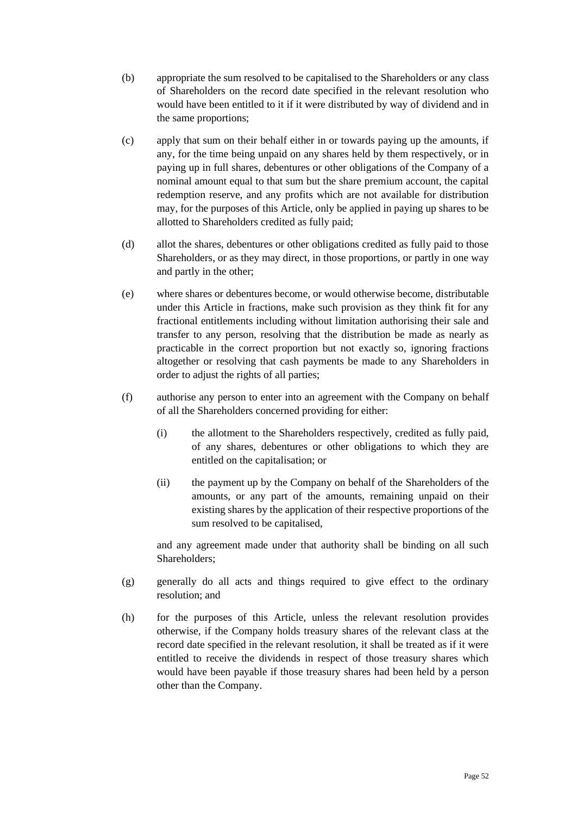- (b) appropriate the sum resolved to be capitalised to the Shareholders or any class of Shareholders on the record date specified in the relevant resolution who would have been entitled to it if it were distributed by way of dividend and in the same proportions;
- (c) apply that sum on their behalf either in or towards paying up the amounts, if any, for the time being unpaid on any shares held by them respectively, or in paying up in full shares, debentures or other obligations of the Company of a nominal amount equal to that sum but the share premium account, the capital redemption reserve, and any profits which are not available for distribution may, for the purposes of this Article, only be applied in paying up shares to be allotted to Shareholders credited as fully paid;
- (d) allot the shares, debentures or other obligations credited as fully paid to those Shareholders, or as they may direct, in those proportions, or partly in one way and partly in the other;
- (e) where shares or debentures become, or would otherwise become, distributable under this Article in fractions, make such provision as they think fit for any fractional entitlements including without limitation authorising their sale and transfer to any person, resolving that the distribution be made as nearly as practicable in the correct proportion but not exactly so, ignoring fractions altogether or resolving that cash payments be made to any Shareholders in order to adjust the rights of all parties;
- (f) authorise any person to enter into an agreement with the Company on behalf of all the Shareholders concerned providing for either:
	- (i) the allotment to the Shareholders respectively, credited as fully paid, of any shares, debentures or other obligations to which they are entitled on the capitalisation; or
	- (ii) the payment up by the Company on behalf of the Shareholders of the amounts, or any part of the amounts, remaining unpaid on their existing shares by the application of their respective proportions of the sum resolved to be capitalised,

and any agreement made under that authority shall be binding on all such Shareholders;

- (g) generally do all acts and things required to give effect to the ordinary resolution; and
- (h) for the purposes of this Article, unless the relevant resolution provides otherwise, if the Company holds treasury shares of the relevant class at the record date specified in the relevant resolution, it shall be treated as if it were entitled to receive the dividends in respect of those treasury shares which would have been payable if those treasury shares had been held by a person other than the Company.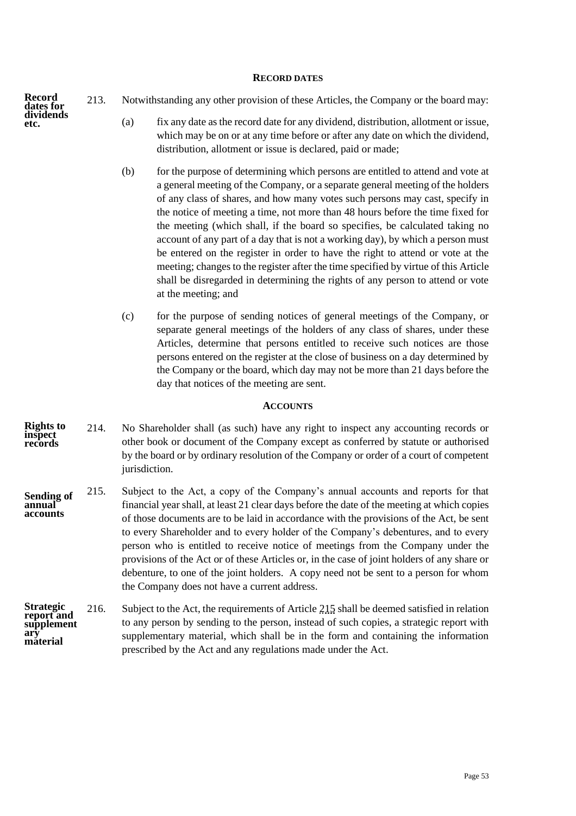#### **RECORD DATES**

**Record dates for dividends etc.**

- <span id="page-55-0"></span>213. Notwithstanding any other provision of these Articles, the Company or the board may:
	- (a) fix any date as the record date for any dividend, distribution, allotment or issue, which may be on or at any time before or after any date on which the dividend, distribution, allotment or issue is declared, paid or made;
	- (b) for the purpose of determining which persons are entitled to attend and vote at a general meeting of the Company, or a separate general meeting of the holders of any class of shares, and how many votes such persons may cast, specify in the notice of meeting a time, not more than 48 hours before the time fixed for the meeting (which shall, if the board so specifies, be calculated taking no account of any part of a day that is not a working day), by which a person must be entered on the register in order to have the right to attend or vote at the meeting; changes to the register after the time specified by virtue of this Article shall be disregarded in determining the rights of any person to attend or vote at the meeting; and
	- (c) for the purpose of sending notices of general meetings of the Company, or separate general meetings of the holders of any class of shares, under these Articles, determine that persons entitled to receive such notices are those persons entered on the register at the close of business on a day determined by the Company or the board, which day may not be more than 21 days before the day that notices of the meeting are sent.

#### **ACCOUNTS**

- <span id="page-55-1"></span>214. No Shareholder shall (as such) have any right to inspect any accounting records or other book or document of the Company except as conferred by statute or authorised by the board or by ordinary resolution of the Company or order of a court of competent jurisdiction. **Rights to inspect records**
- <span id="page-55-2"></span>215. Subject to the Act, a copy of the Company's annual accounts and reports for that financial year shall, at least 21 clear days before the date of the meeting at which copies of those documents are to be laid in accordance with the provisions of the Act, be sent to every Shareholder and to every holder of the Company's debentures, and to every person who is entitled to receive notice of meetings from the Company under the provisions of the Act or of these Articles or, in the case of joint holders of any share or debenture, to one of the joint holders. A copy need not be sent to a person for whom the Company does not have a current address. **Sending of annual accounts**
- 216. Subject to the Act, the requirements of Articl[e 215](#page-55-2) shall be deemed satisfied in relation to any person by sending to the person, instead of such copies, a strategic report with supplementary material, which shall be in the form and containing the information prescribed by the Act and any regulations made under the Act. **Strategic report and supplement ary material**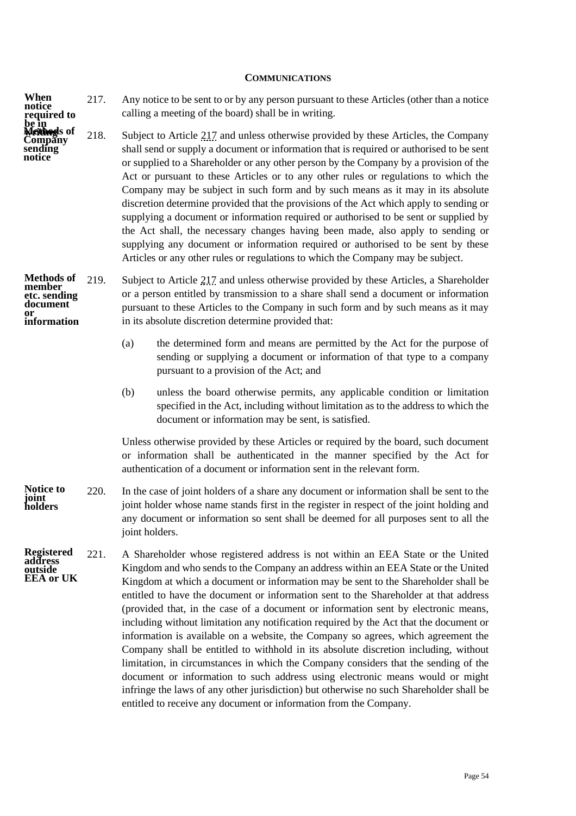#### **COMMUNICATIONS**

217. Any notice to be sent to or by any person pursuant to these Articles (other than a notice calling a meeting of the board) shall be in writing. **When notice required to**  be in<br>**Method**s of

**Company sending notice**

<span id="page-56-1"></span><span id="page-56-0"></span>218. Subject to Article [217](#page-56-1) and unless otherwise provided by these Articles, the Company shall send or supply a document or information that is required or authorised to be sent or supplied to a Shareholder or any other person by the Company by a provision of the Act or pursuant to these Articles or to any other rules or regulations to which the Company may be subject in such form and by such means as it may in its absolute discretion determine provided that the provisions of the Act which apply to sending or supplying a document or information required or authorised to be sent or supplied by the Act shall, the necessary changes having been made, also apply to sending or supplying any document or information required or authorised to be sent by these Articles or any other rules or regulations to which the Company may be subject.

219. Subject to Article [217](#page-56-1) and unless otherwise provided by these Articles, a Shareholder or a person entitled by transmission to a share shall send a document or information pursuant to these Articles to the Company in such form and by such means as it may in its absolute discretion determine provided that: Methods of 219. **member etc. sending document or information**

- (a) the determined form and means are permitted by the Act for the purpose of sending or supplying a document or information of that type to a company pursuant to a provision of the Act; and
- (b) unless the board otherwise permits, any applicable condition or limitation specified in the Act, including without limitation as to the address to which the document or information may be sent, is satisfied.

Unless otherwise provided by these Articles or required by the board, such document or information shall be authenticated in the manner specified by the Act for authentication of a document or information sent in the relevant form.

- 220. In the case of joint holders of a share any document or information shall be sent to the joint holder whose name stands first in the register in respect of the joint holding and any document or information so sent shall be deemed for all purposes sent to all the joint holders. **Notice to joint holders**
- <span id="page-56-2"></span>221. A Shareholder whose registered address is not within an EEA State or the United Kingdom and who sends to the Company an address within an EEA State or the United Kingdom at which a document or information may be sent to the Shareholder shall be entitled to have the document or information sent to the Shareholder at that address (provided that, in the case of a document or information sent by electronic means, including without limitation any notification required by the Act that the document or information is available on a website, the Company so agrees, which agreement the Company shall be entitled to withhold in its absolute discretion including, without limitation, in circumstances in which the Company considers that the sending of the document or information to such address using electronic means would or might infringe the laws of any other jurisdiction) but otherwise no such Shareholder shall be entitled to receive any document or information from the Company. **Registered address outside EEA or UK**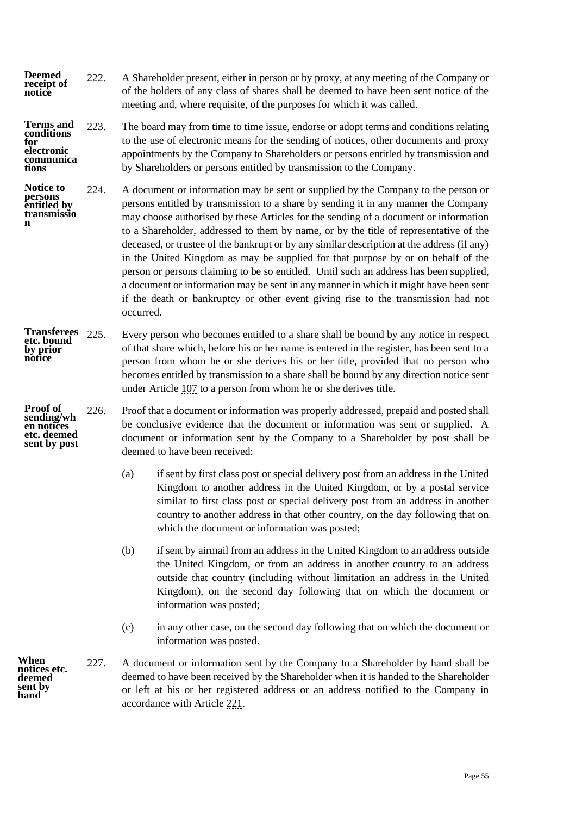222. A Shareholder present, either in person or by proxy, at any meeting of the Company or of the holders of any class of shares shall be deemed to have been sent notice of the meeting and, where requisite, of the purposes for which it was called. **Deemed receipt of notice**

223. The board may from time to time issue, endorse or adopt terms and conditions relating to the use of electronic means for the sending of notices, other documents and proxy appointments by the Company to Shareholders or persons entitled by transmission and by Shareholders or persons entitled by transmission to the Company. **Terms and conditions for electronic communica tions**

<span id="page-57-0"></span>224. A document or information may be sent or supplied by the Company to the person or persons entitled by transmission to a share by sending it in any manner the Company may choose authorised by these Articles for the sending of a document or information to a Shareholder, addressed to them by name, or by the title of representative of the deceased, or trustee of the bankrupt or by any similar description at the address (if any) in the United Kingdom as may be supplied for that purpose by or on behalf of the person or persons claiming to be so entitled. Until such an address has been supplied, a document or information may be sent in any manner in which it might have been sent if the death or bankruptcy or other event giving rise to the transmission had not occurred. **Notice to persons entitled by transmissio**

- 225. Every person who becomes entitled to a share shall be bound by any notice in respect of that share which, before his or her name is entered in the register, has been sent to a person from whom he or she derives his or her title, provided that no person who becomes entitled by transmission to a share shall be bound by any direction notice sent under Article [107](#page-29-1) to a person from whom he or she derives title. **Transferees etc. bound by prior notice**
- **Proof of sending/wh en notices etc. deemed sent by post**

**n**

<span id="page-57-1"></span>226. Proof that a document or information was properly addressed, prepaid and posted shall be conclusive evidence that the document or information was sent or supplied. A document or information sent by the Company to a Shareholder by post shall be deemed to have been received:

- (a) if sent by first class post or special delivery post from an address in the United Kingdom to another address in the United Kingdom, or by a postal service similar to first class post or special delivery post from an address in another country to another address in that other country, on the day following that on which the document or information was posted;
- (b) if sent by airmail from an address in the United Kingdom to an address outside the United Kingdom, or from an address in another country to an address outside that country (including without limitation an address in the United Kingdom), on the second day following that on which the document or information was posted;
- (c) in any other case, on the second day following that on which the document or information was posted.

<span id="page-57-2"></span>227. A document or information sent by the Company to a Shareholder by hand shall be deemed to have been received by the Shareholder when it is handed to the Shareholder or left at his or her registered address or an address notified to the Company in accordance with Article [221.](#page-56-2)

**When notices etc. deemed sent by hand**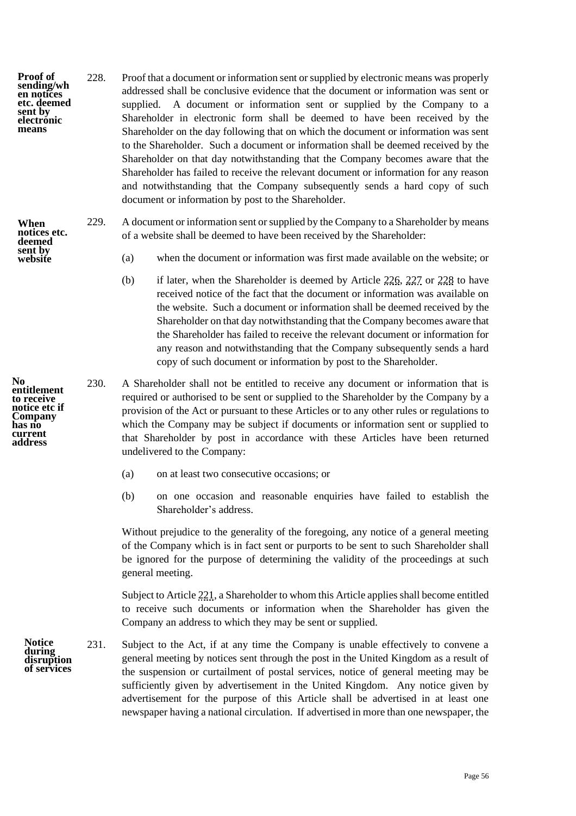- <span id="page-58-0"></span>228. Proof that a document or information sent or supplied by electronic means was properly addressed shall be conclusive evidence that the document or information was sent or supplied. A document or information sent or supplied by the Company to a Shareholder in electronic form shall be deemed to have been received by the Shareholder on the day following that on which the document or information was sent to the Shareholder. Such a document or information shall be deemed received by the Shareholder on that day notwithstanding that the Company becomes aware that the Shareholder has failed to receive the relevant document or information for any reason and notwithstanding that the Company subsequently sends a hard copy of such document or information by post to the Shareholder. **Proof of sending/wh en notices etc. deemed sent by electronic means**
- 229. A document or information sent or supplied by the Company to a Shareholder by means of a website shall be deemed to have been received by the Shareholder: **When notices etc. deemed** 
	- (a) when the document or information was first made available on the website; or
	- (b) if later, when the Shareholder is deemed by Article [226,](#page-57-1) [227](#page-57-2) or [228](#page-58-0) to have received notice of the fact that the document or information was available on the website. Such a document or information shall be deemed received by the Shareholder on that day notwithstanding that the Company becomes aware that the Shareholder has failed to receive the relevant document or information for any reason and notwithstanding that the Company subsequently sends a hard copy of such document or information by post to the Shareholder.
	- 230. A Shareholder shall not be entitled to receive any document or information that is required or authorised to be sent or supplied to the Shareholder by the Company by a provision of the Act or pursuant to these Articles or to any other rules or regulations to which the Company may be subject if documents or information sent or supplied to that Shareholder by post in accordance with these Articles have been returned undelivered to the Company:
		- (a) on at least two consecutive occasions; or
		- (b) on one occasion and reasonable enquiries have failed to establish the Shareholder's address.

Without prejudice to the generality of the foregoing, any notice of a general meeting of the Company which is in fact sent or purports to be sent to such Shareholder shall be ignored for the purpose of determining the validity of the proceedings at such general meeting.

Subject to Articl[e 221,](#page-56-2) a Shareholder to whom this Article applies shall become entitled to receive such documents or information when the Shareholder has given the Company an address to which they may be sent or supplied.

231. Subject to the Act, if at any time the Company is unable effectively to convene a general meeting by notices sent through the post in the United Kingdom as a result of the suspension or curtailment of postal services, notice of general meeting may be sufficiently given by advertisement in the United Kingdom. Any notice given by advertisement for the purpose of this Article shall be advertised in at least one newspaper having a national circulation. If advertised in more than one newspaper, the

**No entitlement to receive notice etc if Company has no current address**

**sent by website**

> **Notice during disruption of services**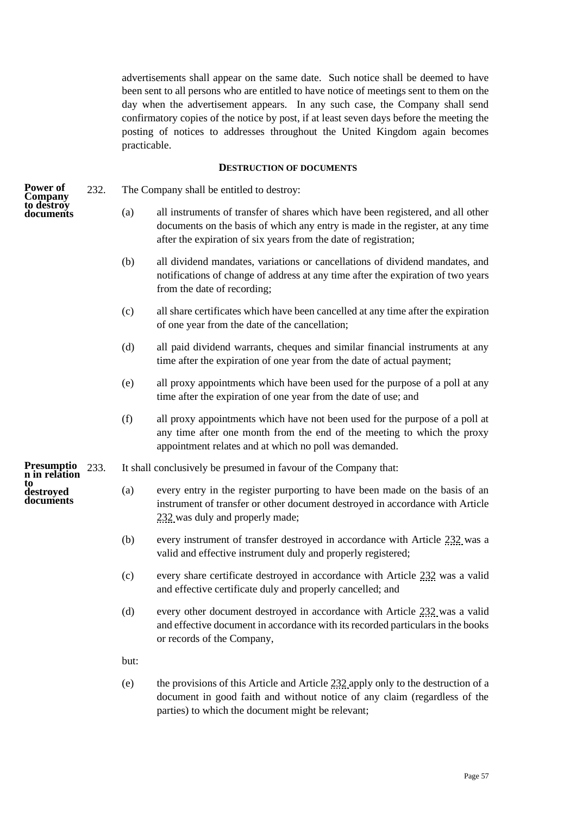advertisements shall appear on the same date. Such notice shall be deemed to have been sent to all persons who are entitled to have notice of meetings sent to them on the day when the advertisement appears. In any such case, the Company shall send confirmatory copies of the notice by post, if at least seven days before the meeting the posting of notices to addresses throughout the United Kingdom again becomes practicable.

# **DESTRUCTION OF DOCUMENTS**

- <span id="page-59-1"></span><span id="page-59-0"></span>232. The Company shall be entitled to destroy:
	- (a) all instruments of transfer of shares which have been registered, and all other documents on the basis of which any entry is made in the register, at any time after the expiration of six years from the date of registration;
	- (b) all dividend mandates, variations or cancellations of dividend mandates, and notifications of change of address at any time after the expiration of two years from the date of recording;
	- (c) all share certificates which have been cancelled at any time after the expiration of one year from the date of the cancellation;
	- (d) all paid dividend warrants, cheques and similar financial instruments at any time after the expiration of one year from the date of actual payment;
	- (e) all proxy appointments which have been used for the purpose of a poll at any time after the expiration of one year from the date of use; and
	- (f) all proxy appointments which have not been used for the purpose of a poll at any time after one month from the end of the meeting to which the proxy appointment relates and at which no poll was demanded.
- 233. It shall conclusively be presumed in favour of the Company that:
	- (a) every entry in the register purporting to have been made on the basis of an instrument of transfer or other document destroyed in accordance with Article [232](#page-59-1) was duly and properly made;
	- (b) every instrument of transfer destroyed in accordance with Article [232](#page-59-1) was a valid and effective instrument duly and properly registered;
	- (c) every share certificate destroyed in accordance with Article [232](#page-59-1) was a valid and effective certificate duly and properly cancelled; and
	- (d) every other document destroyed in accordance with Article [232](#page-59-1) was a valid and effective document in accordance with its recorded particulars in the books or records of the Company,

but:

(e) the provisions of this Article and Article [232](#page-59-1) apply only to the destruction of a document in good faith and without notice of any claim (regardless of the parties) to which the document might be relevant;

**Power of Company to destroy documents**

**Presumptio n in relation to destroyed documents**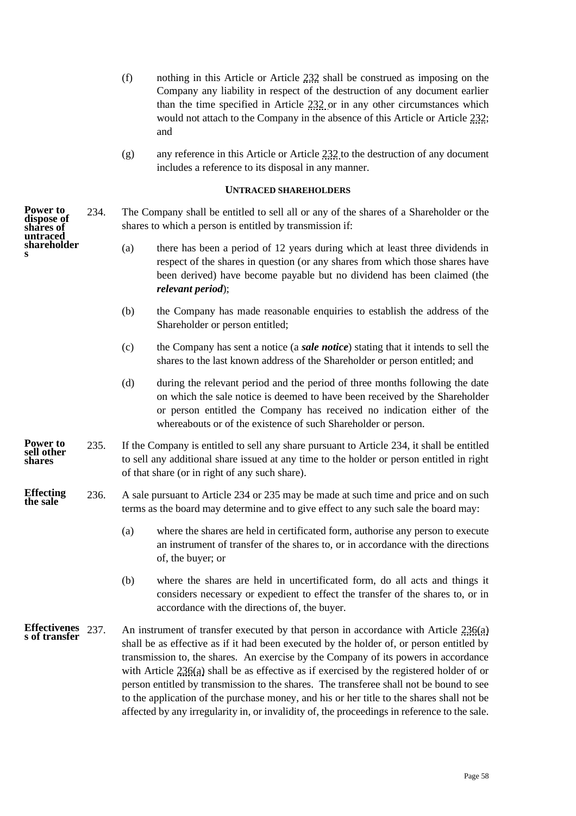- (f) nothing in this Article or Article [232](#page-59-1) shall be construed as imposing on the Company any liability in respect of the destruction of any document earlier than the time specified in Article [232](#page-59-1) or in any other circumstances which would not attach to the Company in the absence of this Article or Article [232;](#page-59-1) and
- (g) any reference in this Article or Article  $232$  to the destruction of any document includes a reference to its disposal in any manner.

#### **UNTRACED SHAREHOLDERS**

<span id="page-60-1"></span><span id="page-60-0"></span>234. The Company shall be entitled to sell all or any of the shares of a Shareholder or the shares to which a person is entitled by transmission if:

- (a) there has been a period of 12 years during which at least three dividends in respect of the shares in question (or any shares from which those shares have been derived) have become payable but no dividend has been claimed (the *relevant period*);
- (b) the Company has made reasonable enquiries to establish the address of the Shareholder or person entitled;
- (c) the Company has sent a notice (a *sale notice*) stating that it intends to sell the shares to the last known address of the Shareholder or person entitled; and
- (d) during the relevant period and the period of three months following the date on which the sale notice is deemed to have been received by the Shareholder or person entitled the Company has received no indication either of the whereabouts or of the existence of such Shareholder or person.
- <span id="page-60-2"></span>235. If the Company is entitled to sell any share pursuant to Article [234,](#page-60-1) it shall be entitled to sell any additional share issued at any time to the holder or person entitled in right of that share (or in right of any such share).
- <span id="page-60-3"></span>236. A sale pursuant to Article [234](#page-60-1) or [235](#page-60-2) may be made at such time and price and on such terms as the board may determine and to give effect to any such sale the board may: **Effecting the sale**
	- (a) where the shares are held in certificated form, authorise any person to execute an instrument of transfer of the shares to, or in accordance with the directions of, the buyer; or
	- (b) where the shares are held in uncertificated form, do all acts and things it considers necessary or expedient to effect the transfer of the shares to, or in accordance with the directions of, the buyer.
- An instrument of transfer executed by that person in accordance with Article  $236(a)$ shall be as effective as if it had been executed by the holder of, or person entitled by transmission to, the shares. An exercise by the Company of its powers in accordance with Article  $236(a)$  shall be as effective as if exercised by the registered holder of or person entitled by transmission to the shares. The transferee shall not be bound to see to the application of the purchase money, and his or her title to the shares shall not be affected by any irregularity in, or invalidity of, the proceedings in reference to the sale. **Effectivenes s of transfer**

**Power to dispose of shares of untraced shareholder s**

**Power to sell other shares**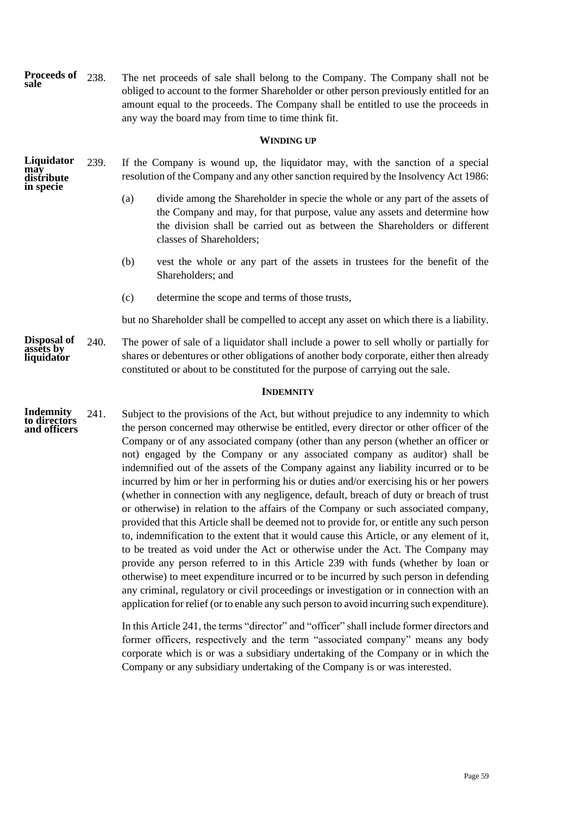<span id="page-61-0"></span>238. The net proceeds of sale shall belong to the Company. The Company shall not be obliged to account to the former Shareholder or other person previously entitled for an amount equal to the proceeds. The Company shall be entitled to use the proceeds in any way the board may from time to time think fit. **WINDING UP** 239. If the Company is wound up, the liquidator may, with the sanction of a special resolution of the Company and any other sanction required by the Insolvency Act 1986: (a) divide among the Shareholder in specie the whole or any part of the assets of the Company and may, for that purpose, value any assets and determine how the division shall be carried out as between the Shareholders or different classes of Shareholders; (b) vest the whole or any part of the assets in trustees for the benefit of the Shareholders; and (c) determine the scope and terms of those trusts, but no Shareholder shall be compelled to accept any asset on which there is a liability. 240. The power of sale of a liquidator shall include a power to sell wholly or partially for shares or debentures or other obligations of another body corporate, either then already constituted or about to be constituted for the purpose of carrying out the sale. **INDEMNITY** 241. Subject to the provisions of the Act, but without prejudice to any indemnity to which the person concerned may otherwise be entitled, every director or other officer of the Company or of any associated company (other than any person (whether an officer or not) engaged by the Company or any associated company as auditor) shall be indemnified out of the assets of the Company against any liability incurred or to be incurred by him or her in performing his or duties and/or exercising his or her powers (whether in connection with any negligence, default, breach of duty or breach of trust or otherwise) in relation to the affairs of the Company or such associated company, provided that this Article shall be deemed not to provide for, or entitle any such person to, indemnification to the extent that it would cause this Article, or any element of it, to be treated as void under the Act or otherwise under the Act. The Company may provide any person referred to in this Article 239 with funds (whether by loan or otherwise) to meet expenditure incurred or to be incurred by such person in defending any criminal, regulatory or civil proceedings or investigation or in connection with an application for relief (or to enable any such person to avoid incurring such expenditure). In this Articl[e 241,](#page-61-2) the terms "director" and "officer" shall include former directors and **Proceeds of sale Liquidator may distribute in specie Disposal of assets by liquidator Indemnity to directors and officers**

<span id="page-61-2"></span><span id="page-61-1"></span>former officers, respectively and the term "associated company" means any body corporate which is or was a subsidiary undertaking of the Company or in which the Company or any subsidiary undertaking of the Company is or was interested.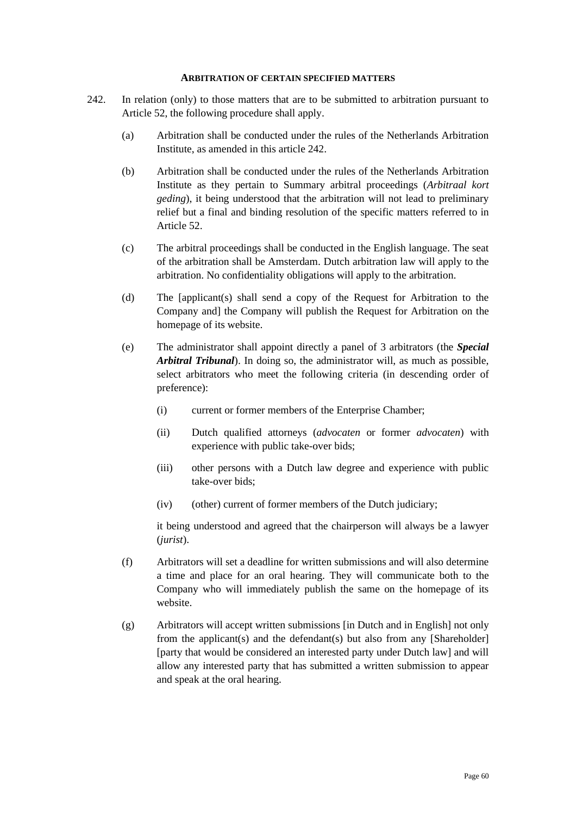#### **ARBITRATION OF CERTAIN SPECIFIED MATTERS**

- <span id="page-62-1"></span><span id="page-62-0"></span>242. In relation (only) to those matters that are to be submitted to arbitration pursuant to Article [52,](#page-17-1) the following procedure shall apply.
	- (a) Arbitration shall be conducted under the rules of the Netherlands Arbitration Institute, as amended in this article [242.](#page-62-1)
	- (b) Arbitration shall be conducted under the rules of the Netherlands Arbitration Institute as they pertain to Summary arbitral proceedings (*Arbitraal kort geding*), it being understood that the arbitration will not lead to preliminary relief but a final and binding resolution of the specific matters referred to in Article [52.](#page-17-1)
	- (c) The arbitral proceedings shall be conducted in the English language. The seat of the arbitration shall be Amsterdam. Dutch arbitration law will apply to the arbitration. No confidentiality obligations will apply to the arbitration.
	- (d) The [applicant(s) shall send a copy of the Request for Arbitration to the Company and] the Company will publish the Request for Arbitration on the homepage of its website.
	- (e) The administrator shall appoint directly a panel of 3 arbitrators (the *Special Arbitral Tribunal*). In doing so, the administrator will, as much as possible, select arbitrators who meet the following criteria (in descending order of preference):
		- (i) current or former members of the Enterprise Chamber;
		- (ii) Dutch qualified attorneys (*advocaten* or former *advocaten*) with experience with public take-over bids;
		- (iii) other persons with a Dutch law degree and experience with public take-over bids;
		- (iv) (other) current of former members of the Dutch judiciary;

it being understood and agreed that the chairperson will always be a lawyer (*jurist*).

- (f) Arbitrators will set a deadline for written submissions and will also determine a time and place for an oral hearing. They will communicate both to the Company who will immediately publish the same on the homepage of its website.
- (g) Arbitrators will accept written submissions [in Dutch and in English] not only from the applicant(s) and the defendant(s) but also from any [Shareholder] [party that would be considered an interested party under Dutch law] and will allow any interested party that has submitted a written submission to appear and speak at the oral hearing.